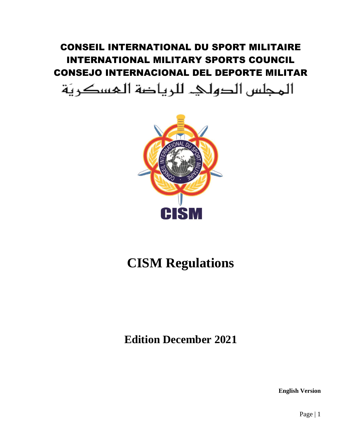CONSEIL INTERNATIONAL DU SPORT MILITAIRE INTERNATIONAL MILITARY SPORTS COUNCIL CONSEJO INTERNACIONAL DEL DEPORTE MILITAR

المجلس الدولي. للرياضة المسكريّة



# **CISM Regulations**

**Edition December 2021**

**English Version**

Page | 1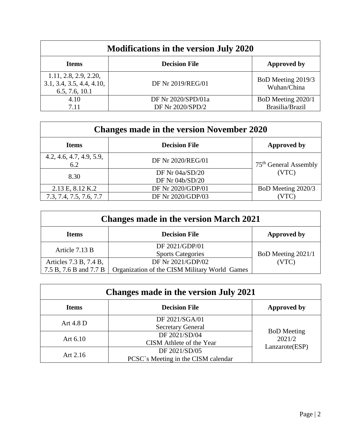| <b>Modifications in the version July 2020</b>                        |                                        |                                       |
|----------------------------------------------------------------------|----------------------------------------|---------------------------------------|
| <b>Items</b>                                                         | <b>Decision File</b>                   | <b>Approved by</b>                    |
| 1.11, 2.8, 2.9, 2.20,<br>3.1, 3.4, 3.5, 4.4, 4.10,<br>6.5, 7.6, 10.1 | DF Nr 2019/REG/01                      | BoD Meeting 2019/3<br>Wuhan/China     |
| 4.10<br>7.11                                                         | DF Nr 2020/SPD/01a<br>DF Nr 2020/SPD/2 | BoD Meeting 2020/1<br>Brasilia/Brazil |

| <b>Changes made in the version November 2020</b> |                      |                                   |
|--------------------------------------------------|----------------------|-----------------------------------|
| <b>Items</b>                                     | <b>Decision File</b> | <b>Approved by</b>                |
| 4.2, 4.6, 4.7, 4.9, 5.9,<br>6.2                  | DF Nr 2020/REG/01    | 75 <sup>th</sup> General Assembly |
| 8.30                                             | DF Nr 04a/SD/20      | (VTC)                             |
|                                                  | DF Nr 04b/SD/20      |                                   |
| 2.13 E, 8.12 K.2                                 | DF Nr 2020/GDP/01    | BoD Meeting 2020/3                |
| 7.3, 7.4, 7.5, 7.6, 7.7                          | DF Nr 2020/GDP/03    |                                   |

| <b>Changes made in the version March 2021</b> |                                               |                    |
|-----------------------------------------------|-----------------------------------------------|--------------------|
| <b>Items</b>                                  | <b>Decision File</b>                          | <b>Approved by</b> |
| Article 7.13 B                                | DF 2021/GDP/01                                |                    |
|                                               | <b>Sports Categories</b>                      | BoD Meeting 2021/1 |
| Articles 7.3 B, 7.4 B,                        | DF Nr 2021/GDP/02                             | (VTC)              |
| 7.5 B, 7.6 B and 7.7 B                        | Organization of the CISM Military World Games |                    |

| Changes made in the version July 2021 |                                                      |                                                |
|---------------------------------------|------------------------------------------------------|------------------------------------------------|
| <b>Items</b>                          | <b>Decision File</b>                                 | <b>Approved by</b>                             |
| Art $4.8$ D                           | DF 2021/SGA/01<br><b>Secretary General</b>           | <b>BoD</b> Meeting<br>2021/2<br>Lanzarote(ESP) |
| Art $6.10$                            | DF 2021/SD/04<br>CISM Athlete of the Year            |                                                |
| Art $2.16$                            | DF 2021/SD/05<br>PCSC's Meeting in the CISM calendar |                                                |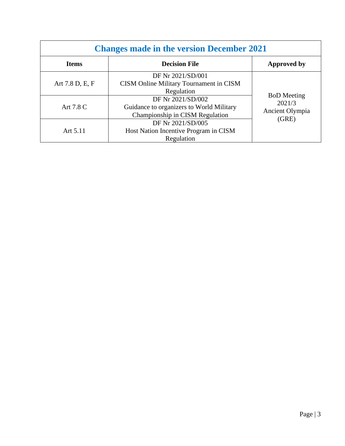| <b>Changes made in the version December 2021</b> |                                                                                                  |                                                          |
|--------------------------------------------------|--------------------------------------------------------------------------------------------------|----------------------------------------------------------|
| <b>Items</b>                                     | <b>Decision File</b>                                                                             | <b>Approved by</b>                                       |
| Art 7.8 D, E, F                                  | DF Nr 2021/SD/001<br>CISM Online Military Tournament in CISM<br>Regulation                       |                                                          |
| Art 7.8 C                                        | DF Nr 2021/SD/002<br>Guidance to organizers to World Military<br>Championship in CISM Regulation | <b>BoD</b> Meeting<br>2021/3<br>Ancient Olympia<br>(GRE) |
| Art 5.11                                         | DF Nr 2021/SD/005<br>Host Nation Incentive Program in CISM<br>Regulation                         |                                                          |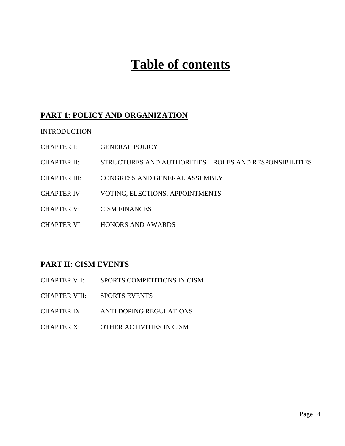# **Table of contents**

# **PART 1: POLICY AND ORGANIZATION**

INTRODUCTION

- CHAPTER I: GENERAL POLICY
- CHAPTER II: STRUCTURES AND AUTHORITIES ROLES AND RESPONSIBILITIES
- CHAPTER III: CONGRESS AND GENERAL ASSEMBLY
- CHAPTER IV: VOTING, ELECTIONS, APPOINTMENTS
- CHAPTER V: CISM FINANCES
- CHAPTER VI: HONORS AND AWARDS

# **PART II: CISM EVENTS**

| <b>CHAPTER VII:</b> | SPORTS COMPETITIONS IN CISM    |
|---------------------|--------------------------------|
| CHAPTER VIII:       | <b>SPORTS EVENTS</b>           |
| <b>CHAPTER IX:</b>  | <b>ANTI DOPING REGULATIONS</b> |
| <b>CHAPTER X:</b>   | OTHER ACTIVITIES IN CISM       |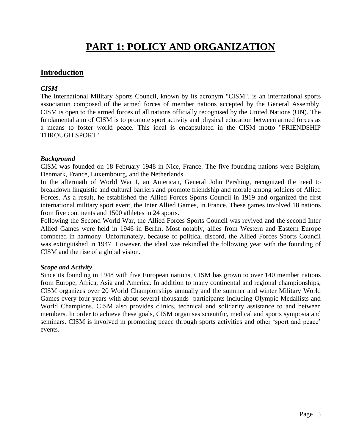# **PART 1: POLICY AND ORGANIZATION**

## **Introduction**

#### *CISM*

The International Military Sports Council, known by its acronym "CISM", is an international sports association composed of the armed forces of member nations accepted by the General Assembly. CISM is open to the armed forces of all nations officially recognised by the United Nations (UN). The fundamental aim of CISM is to promote sport activity and physical education between armed forces as a means to foster world peace. This ideal is encapsulated in the CISM motto "FRIENDSHIP THROUGH SPORT".

#### *Background*

CISM was founded on 18 February 1948 in Nice, France. The five founding nations were Belgium, Denmark, France, Luxembourg, and the Netherlands.

In the aftermath of World War I, an American, General John Pershing, recognized the need to breakdown linguistic and cultural barriers and promote friendship and morale among soldiers of Allied Forces. As a result, he established the Allied Forces Sports Council in 1919 and organized the first international military sport event, the Inter Allied Games, in France. These games involved 18 nations from five continents and 1500 athletes in 24 sports.

Following the Second World War, the Allied Forces Sports Council was revived and the second Inter Allied Games were held in 1946 in Berlin. Most notably, allies from Western and Eastern Europe competed in harmony. Unfortunately, because of political discord, the Allied Forces Sports Council was extinguished in 1947. However, the ideal was rekindled the following year with the founding of CISM and the rise of a global vision.

#### *Scope and Activity*

Since its founding in 1948 with five European nations, CISM has grown to over 140 member nations from Europe, Africa, Asia and America. In addition to many continental and regional championships, CISM organizes over 20 World Championships annually and the summer and winter Military World Games every four years with about several thousands participants including Olympic Medallists and World Champions. CISM also provides clinics, technical and solidarity assistance to and between members. In order to achieve these goals, CISM organises scientific, medical and sports symposia and seminars. CISM is involved in promoting peace through sports activities and other 'sport and peace' events.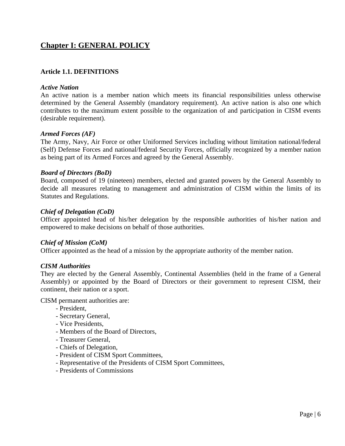# **Chapter I: GENERAL POLICY**

#### **Article 1.1. DEFINITIONS**

#### *Active Nation*

An active nation is a member nation which meets its financial responsibilities unless otherwise determined by the General Assembly (mandatory requirement). An active nation is also one which contributes to the maximum extent possible to the organization of and participation in CISM events (desirable requirement).

#### *Armed Forces (AF)*

The Army, Navy, Air Force or other Uniformed Services including without limitation national/federal (Self) Defense Forces and national/federal Security Forces, officially recognized by a member nation as being part of its Armed Forces and agreed by the General Assembly.

#### *Board of Directors (BoD)*

Board, composed of 19 (nineteen) members, elected and granted powers by the General Assembly to decide all measures relating to management and administration of CISM within the limits of its Statutes and Regulations.

#### *Chief of Delegation (CoD)*

Officer appointed head of his/her delegation by the responsible authorities of his/her nation and empowered to make decisions on behalf of those authorities.

#### *Chief of Mission (CoM)*

Officer appointed as the head of a mission by the appropriate authority of the member nation.

#### *CISM Authorities*

They are elected by the General Assembly, Continental Assemblies (held in the frame of a General Assembly) or appointed by the Board of Directors or their government to represent CISM, their continent, their nation or a sport.

CISM permanent authorities are:

- President,
- Secretary General,
- Vice Presidents,
- Members of the Board of Directors,
- Treasurer General,
- Chiefs of Delegation,
- President of CISM Sport Committees,
- Representative of the Presidents of CISM Sport Committees,
- Presidents of Commissions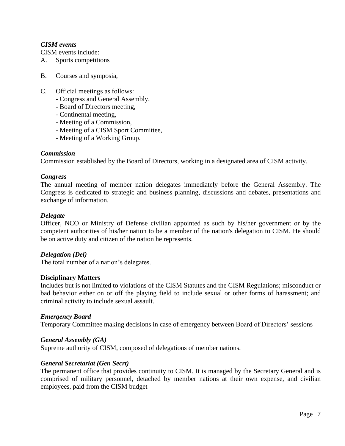#### *CISM events*

CISM events include:

- A. Sports competitions
- B. Courses and symposia,
- C. Official meetings as follows:
	- Congress and General Assembly,
	- Board of Directors meeting,
	- Continental meeting,
	- Meeting of a Commission,
	- Meeting of a CISM Sport Committee,
	- Meeting of a Working Group.

#### *Commission*

Commission established by the Board of Directors, working in a designated area of CISM activity.

#### *Congress*

The annual meeting of member nation delegates immediately before the General Assembly. The Congress is dedicated to strategic and business planning, discussions and debates, presentations and exchange of information.

#### *Delegate*

Officer, NCO or Ministry of Defense civilian appointed as such by his/her government or by the competent authorities of his/her nation to be a member of the nation's delegation to CISM. He should be on active duty and citizen of the nation he represents.

#### *Delegation (Del)*

The total number of a nation's delegates.

#### **Disciplinary Matters**

Includes but is not limited to violations of the CISM Statutes and the CISM Regulations; misconduct or bad behavior either on or off the playing field to include sexual or other forms of harassment; and criminal activity to include sexual assault.

#### *Emergency Board*

Temporary Committee making decisions in case of emergency between Board of Directors' sessions

#### *General Assembly (GA)*

Supreme authority of CISM, composed of delegations of member nations.

#### *General Secretariat (Gen Secrt)*

The permanent office that provides continuity to CISM. It is managed by the Secretary General and is comprised of military personnel, detached by member nations at their own expense, and civilian employees, paid from the CISM budget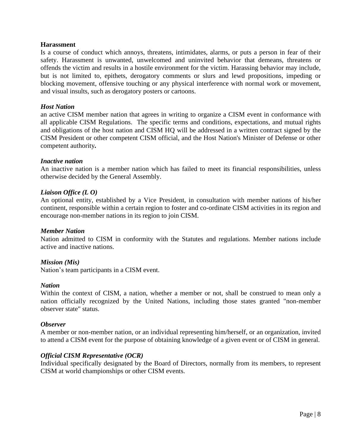#### **Harassment**

Is a course of conduct which annoys, threatens, intimidates, alarms, or puts a person in fear of their safety. Harassment is unwanted, unwelcomed and uninvited behavior that demeans, threatens or offends the victim and results in a hostile environment for the victim. Harassing behavior may include, but is not limited to, epithets, derogatory comments or slurs and lewd propositions, impeding or blocking movement, offensive touching or any physical interference with normal work or movement, and visual insults, such as derogatory posters or cartoons.

#### *Host Nation*

an active CISM member nation that agrees in writing to organize a CISM event in conformance with all applicable CISM Regulations. The specific terms and conditions, expectations, and mutual rights and obligations of the host nation and CISM HQ will be addressed in a written contract signed by the CISM President or other competent CISM official, and the Host Nation's Minister of Defense or other competent authority*.*

#### *Inactive nation*

An inactive nation is a member nation which has failed to meet its financial responsibilities, unless otherwise decided by the General Assembly.

#### *Liaison Office (L O)*

An optional entity, established by a Vice President, in consultation with member nations of his/her continent, responsible within a certain region to foster and co-ordinate CISM activities in its region and encourage non-member nations in its region to join CISM.

#### *Member Nation*

Nation admitted to CISM in conformity with the Statutes and regulations. Member nations include active and inactive nations.

#### *Mission (Mis)*

Nation's team participants in a CISM event.

#### *Nation*

Within the context of CISM, a nation, whether a member or not, shall be construed to mean only a nation officially recognized by the United Nations, including those states granted "non-member observer state" status.

#### *Observer*

A member or non-member nation, or an individual representing him/herself, or an organization, invited to attend a CISM event for the purpose of obtaining knowledge of a given event or of CISM in general.

#### *Official CISM Representative (OCR)*

Individual specifically designated by the Board of Directors, normally from its members, to represent CISM at world championships or other CISM events.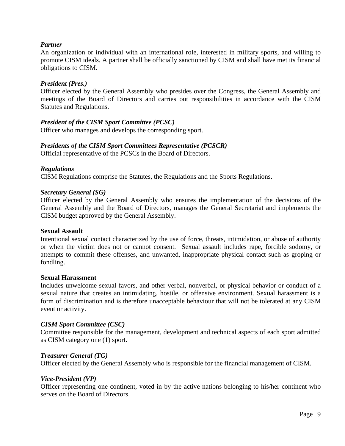#### *Partner*

An organization or individual with an international role, interested in military sports, and willing to promote CISM ideals. A partner shall be officially sanctioned by CISM and shall have met its financial obligations to CISM.

#### *President (Pres.)*

Officer elected by the General Assembly who presides over the Congress, the General Assembly and meetings of the Board of Directors and carries out responsibilities in accordance with the CISM Statutes and Regulations.

#### *President of the CISM Sport Committee (PCSC)*

Officer who manages and develops the corresponding sport.

#### *Presidents of the CISM Sport Committees Representative (PCSCR)*

Official representative of the PCSCs in the Board of Directors.

#### *Regulations*

CISM Regulations comprise the Statutes, the Regulations and the Sports Regulations.

#### *Secretary General (SG)*

Officer elected by the General Assembly who ensures the implementation of the decisions of the General Assembly and the Board of Directors, manages the General Secretariat and implements the CISM budget approved by the General Assembly.

#### **Sexual Assault**

Intentional sexual contact characterized by the use of force, threats, intimidation, or abuse of authority or when the victim does not or cannot consent. Sexual assault includes rape, forcible sodomy, or attempts to commit these offenses, and unwanted, inappropriate physical contact such as groping or fondling.

#### **Sexual Harassment**

Includes unwelcome sexual favors, and other verbal, nonverbal, or physical behavior or conduct of a sexual nature that creates an intimidating, hostile, or offensive environment. Sexual harassment is a form of discrimination and is therefore unacceptable behaviour that will not be tolerated at any CISM event or activity.

#### *CISM Sport Committee (CSC)*

Committee responsible for the management, development and technical aspects of each sport admitted as CISM category one (1) sport.

#### *Treasurer General (TG)*

Officer elected by the General Assembly who is responsible for the financial management of CISM.

#### *Vice-President (VP)*

Officer representing one continent, voted in by the active nations belonging to his/her continent who serves on the Board of Directors.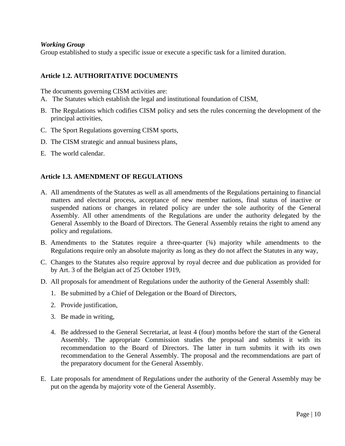#### *Working Group*

Group established to study a specific issue or execute a specific task for a limited duration.

#### **Article 1.2. AUTHORITATIVE DOCUMENTS**

The documents governing CISM activities are:

- A. The Statutes which establish the legal and institutional foundation of CISM,
- B. The Regulations which codifies CISM policy and sets the rules concerning the development of the principal activities,
- C. The Sport Regulations governing CISM sports,
- D. The CISM strategic and annual business plans,
- E. The world calendar.

#### **Article 1.3. AMENDMENT OF REGULATIONS**

- A. All amendments of the Statutes as well as all amendments of the Regulations pertaining to financial matters and electoral process, acceptance of new member nations, final status of inactive or suspended nations or changes in related policy are under the sole authority of the General Assembly. All other amendments of the Regulations are under the authority delegated by the General Assembly to the Board of Directors. The General Assembly retains the right to amend any policy and regulations.
- B. Amendments to the Statutes require a three-quarter  $(\frac{3}{4})$  majority while amendments to the Regulations require only an absolute majority as long as they do not affect the Statutes in any way,
- C. Changes to the Statutes also require approval by royal decree and due publication as provided for by Art. 3 of the Belgian act of 25 October 1919,
- D. All proposals for amendment of Regulations under the authority of the General Assembly shall:
	- 1. Be submitted by a Chief of Delegation or the Board of Directors,
	- 2. Provide justification,
	- 3. Be made in writing,
	- 4. Be addressed to the General Secretariat, at least 4 (four) months before the start of the General Assembly. The appropriate Commission studies the proposal and submits it with its recommendation to the Board of Directors. The latter in turn submits it with its own recommendation to the General Assembly. The proposal and the recommendations are part of the preparatory document for the General Assembly.
- E. Late proposals for amendment of Regulations under the authority of the General Assembly may be put on the agenda by majority vote of the General Assembly.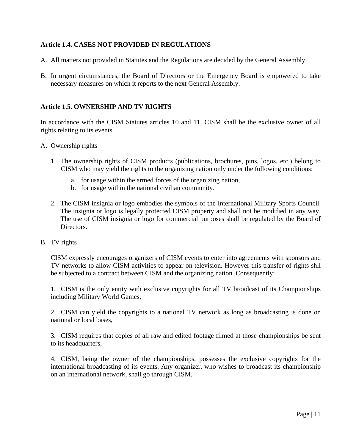#### **Article 1.4. CASES NOT PROVIDED IN REGULATIONS**

- A. All matters not provided in Statutes and the Regulations are decided by the General Assembly.
- B. In urgent circumstances, the Board of Directors or the Emergency Board is empowered to take necessary measures on which it reports to the next General Assembly.

#### **Article 1.5. OWNERSHIP AND TV RIGHTS**

In accordance with the CISM Statutes articles 10 and 11, CISM shall be the exclusive owner of all rights relating to its events.

- A. Ownership rights
	- 1. The ownership rights of CISM products (publications, brochures, pins, logos, etc.) belong to CISM who may yield the rights to the organizing nation only under the following conditions:
		- a. for usage within the armed forces of the organizing nation,
		- b. for usage within the national civilian community.
	- 2. The CISM insignia or logo embodies the symbols of the International Military Sports Council. The insignia or logo is legally protected CISM property and shall not be modified in any way. The use of CISM insignia or logo for commercial purposes shall be regulated by the Board of Directors.
- B. TV rights

CISM expressly encourages organizers of CISM events to enter into agreements with sponsors and TV networks to allow CISM activities to appear on television. However this transfer of rights shll be subjected to a contract between CISM and the organizing nation. Consequently:

1. CISM is the only entity with exclusive copyrights for all TV broadcast of its Championships including Military World Games,

2. CISM can yield the copyrights to a national TV network as long as broadcasting is done on national or local bases,

3. CISM requires that copies of all raw and edited footage filmed at those championships be sent to its headquarters,

4. CISM, being the owner of the championships, possesses the exclusive copyrights for the international broadcasting of its events. Any organizer, who wishes to broadcast its championship on an international network, shall go through CISM.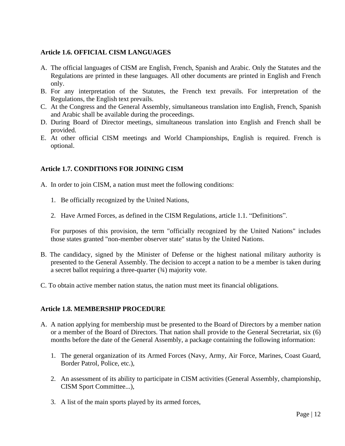#### **Article 1.6. OFFICIAL CISM LANGUAGES**

- A. The official languages of CISM are English, French, Spanish and Arabic. Only the Statutes and the Regulations are printed in these languages. All other documents are printed in English and French only.
- B. For any interpretation of the Statutes, the French text prevails. For interpretation of the Regulations, the English text prevails.
- C. At the Congress and the General Assembly, simultaneous translation into English, French, Spanish and Arabic shall be available during the proceedings.
- D. During Board of Director meetings, simultaneous translation into English and French shall be provided.
- E. At other official CISM meetings and World Championships, English is required. French is optional.

## **Article 1.7. CONDITIONS FOR JOINING CISM**

- A. In order to join CISM, a nation must meet the following conditions:
	- 1. Be officially recognized by the United Nations,
	- 2. Have Armed Forces, as defined in the CISM Regulations, article 1.1. "Definitions".

For purposes of this provision, the term "officially recognized by the United Nations" includes those states granted "non-member observer state" status by the United Nations.

- B. The candidacy, signed by the Minister of Defense or the highest national military authority is presented to the General Assembly. The decision to accept a nation to be a member is taken during a secret ballot requiring a three-quarter  $(34)$  majority vote.
- C. To obtain active member nation status, the nation must meet its financial obligations.

#### **Article 1.8. MEMBERSHIP PROCEDURE**

- A. A nation applying for membership must be presented to the Board of Directors by a member nation or a member of the Board of Directors. That nation shall provide to the General Secretariat, six (6) months before the date of the General Assembly, a package containing the following information:
	- 1. The general organization of its Armed Forces (Navy, Army, Air Force, Marines, Coast Guard, Border Patrol, Police, etc.),
	- 2. An assessment of its ability to participate in CISM activities (General Assembly, championship, CISM Sport Committee...),
	- 3. A list of the main sports played by its armed forces,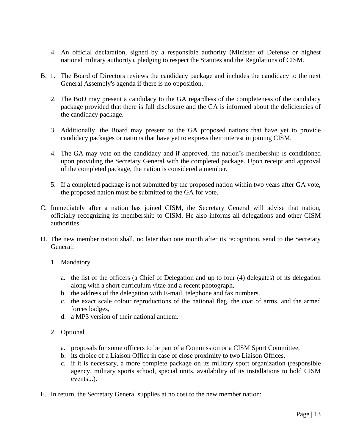- 4. An official declaration, signed by a responsible authority (Minister of Defense or highest national military authority), pledging to respect the Statutes and the Regulations of CISM.
- B. 1. The Board of Directors reviews the candidacy package and includes the candidacy to the next General Assembly's agenda if there is no opposition.
	- 2. The BoD may present a candidacy to the GA regardless of the completeness of the candidacy package provided that there is full disclosure and the GA is informed about the deficiencies of the candidacy package.
	- 3. Additionally, the Board may present to the GA proposed nations that have yet to provide candidacy packages or nations that have yet to express their interest in joining CISM.
	- 4. The GA may vote on the candidacy and if approved, the nation's membership is conditioned upon providing the Secretary General with the completed package. Upon receipt and approval of the completed package, the nation is considered a member.
	- 5. If a completed package is not submitted by the proposed nation within two years after GA vote, the proposed nation must be submitted to the GA for vote.
- C. Immediately after a nation has joined CISM, the Secretary General will advise that nation, officially recognizing its membership to CISM. He also informs all delegations and other CISM authorities.
- D. The new member nation shall, no later than one month after its recognition, send to the Secretary General:
	- 1. Mandatory
		- a. the list of the officers (a Chief of Delegation and up to four (4) delegates) of its delegation along with a short curriculum vitae and a recent photograph,
		- b. the address of the delegation with E-mail, telephone and fax numbers.
		- c. the exact scale colour reproductions of the national flag, the coat of arms, and the armed forces badges,
		- d. a MP3 version of their national anthem.
	- 2. Optional
		- a. proposals for some officers to be part of a Commission or a CISM Sport Committee,
		- b. its choice of a Liaison Office in case of close proximity to two Liaison Offices,
		- c. if it is necessary, a more complete package on its military sport organization (responsible agency, military sports school, special units, availability of its installations to hold CISM events...).
- E. In return, the Secretary General supplies at no cost to the new member nation: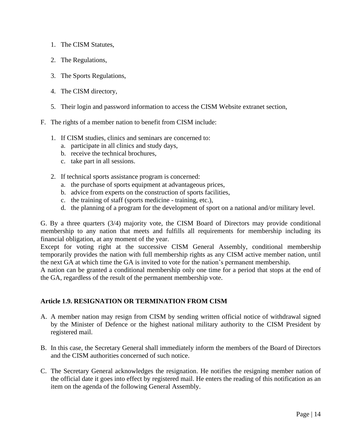- 1. The CISM Statutes,
- 2. The Regulations,
- 3. The Sports Regulations,
- 4. The CISM directory,
- 5. Their login and password information to access the CISM Website extranet section,
- F. The rights of a member nation to benefit from CISM include:
	- 1. If CISM studies, clinics and seminars are concerned to:
		- a. participate in all clinics and study days,
		- b. receive the technical brochures,
		- c. take part in all sessions.
	- 2. If technical sports assistance program is concerned:
		- a. the purchase of sports equipment at advantageous prices,
		- b. advice from experts on the construction of sports facilities,
		- c. the training of staff (sports medicine training, etc.),
		- d. the planning of a program for the development of sport on a national and/or military level.

G. By a three quarters (3/4) majority vote, the CISM Board of Directors may provide conditional membership to any nation that meets and fulfills all requirements for membership including its financial obligation, at any moment of the year.

Except for voting right at the successive CISM General Assembly, conditional membership temporarily provides the nation with full membership rights as any CISM active member nation, until the next GA at which time the GA is invited to vote for the nation's permanent membership.

A nation can be granted a conditional membership only one time for a period that stops at the end of the GA, regardless of the result of the permanent membership vote.

#### **Article 1.9. RESIGNATION OR TERMINATION FROM CISM**

- A. A member nation may resign from CISM by sending written official notice of withdrawal signed by the Minister of Defence or the highest national military authority to the CISM President by registered mail.
- B. In this case, the Secretary General shall immediately inform the members of the Board of Directors and the CISM authorities concerned of such notice.
- C. The Secretary General acknowledges the resignation. He notifies the resigning member nation of the official date it goes into effect by registered mail. He enters the reading of this notification as an item on the agenda of the following General Assembly.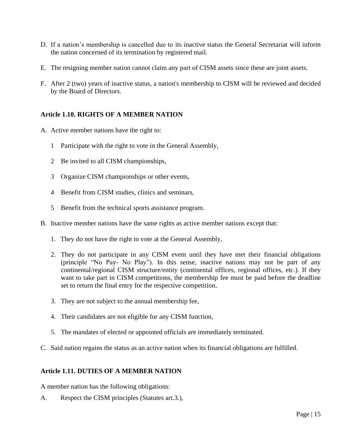- D. If a nation's membership is cancelled due to its inactive status the General Secretariat will inform the nation concerned of its termination by registered mail.
- E. The resigning member nation cannot claim any part of CISM assets since these are joint assets.
- F. After 2 (two) years of inactive status, a nation's membership to CISM will be reviewed and decided by the Board of Directors.

#### **Article 1.10. RIGHTS OF A MEMBER NATION**

- A. Active member nations have the right to:
	- 1 Participate with the right to vote in the General Assembly,
	- 2 Be invited to all CISM championships,
	- 3 Organize CISM championships or other events,
	- 4 Benefit from CISM studies, clinics and seminars,
	- 5 Benefit from the technical sports assistance program.
- B. Inactive member nations have the same rights as active member nations except that:
	- 1. They do not have the right to vote at the General Assembly,
	- 2. They do not participate in any CISM event until they have met their financial obligations (principle "No Pay- No Play"). In this sense, inactive nations may not be part of any continental/regional CISM structure/entity (continental offices, regional offices, etc.). If they want to take part in CISM competitions, the membership fee must be paid before the deadline set to return the final entry for the respective competition,
	- 3. They are not subject to the annual membership fee,
	- 4. Their candidates are not eligible for any CISM function,
	- 5. The mandates of elected or appointed officials are immediately terminated.
- C. Said nation regains the status as an active nation when its financial obligations are fulfilled.

#### **Article 1.11. DUTIES OF A MEMBER NATION**

A member nation has the following obligations:

A. Respect the CISM principles (Statutes art.3.),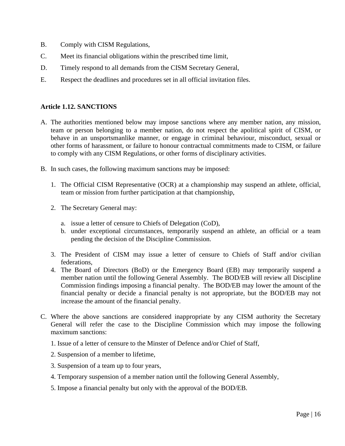- B. Comply with CISM Regulations,
- C. Meet its financial obligations within the prescribed time limit,
- D. Timely respond to all demands from the CISM Secretary General,
- E. Respect the deadlines and procedures set in all official invitation files.

#### **Article 1.12. SANCTIONS**

- A. The authorities mentioned below may impose sanctions where any member nation, any mission, team or person belonging to a member nation, do not respect the apolitical spirit of CISM, or behave in an unsportsmanlike manner, or engage in criminal behaviour, misconduct, sexual or other forms of harassment, or failure to honour contractual commitments made to CISM, or failure to comply with any CISM Regulations, or other forms of disciplinary activities.
- B. In such cases, the following maximum sanctions may be imposed:
	- 1. The Official CISM Representative (OCR) at a championship may suspend an athlete, official, team or mission from further participation at that championship,
	- 2. The Secretary General may:
		- a. issue a letter of censure to Chiefs of Delegation (CoD),
		- b. under exceptional circumstances, temporarily suspend an athlete, an official or a team pending the decision of the Discipline Commission.
	- 3. The President of CISM may issue a letter of censure to Chiefs of Staff and/or civilian federations,
	- 4. The Board of Directors (BoD) or the Emergency Board (EB) may temporarily suspend a member nation until the following General Assembly. The BOD/EB will review all Discipline Commission findings imposing a financial penalty. The BOD/EB may lower the amount of the financial penalty or decide a financial penalty is not appropriate, but the BOD/EB may not increase the amount of the financial penalty.
- C. Where the above sanctions are considered inappropriate by any CISM authority the Secretary General will refer the case to the Discipline Commission which may impose the following maximum sanctions:
	- 1. Issue of a letter of censure to the Minster of Defence and/or Chief of Staff,
	- 2. Suspension of a member to lifetime,
	- 3. Suspension of a team up to four years,
	- 4. Temporary suspension of a member nation until the following General Assembly,
	- 5. Impose a financial penalty but only with the approval of the BOD/EB.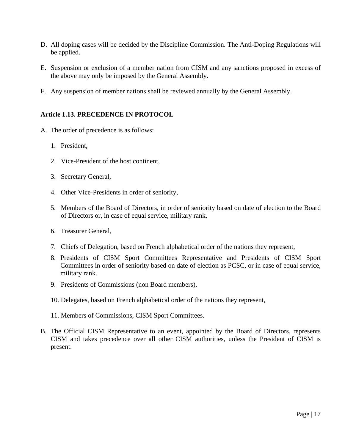- D. All doping cases will be decided by the Discipline Commission. The Anti-Doping Regulations will be applied.
- E. Suspension or exclusion of a member nation from CISM and any sanctions proposed in excess of the above may only be imposed by the General Assembly.
- F. Any suspension of member nations shall be reviewed annually by the General Assembly.

#### **Article 1.13. PRECEDENCE IN PROTOCOL**

- A. The order of precedence is as follows:
	- 1. President,
	- 2. Vice-President of the host continent,
	- 3. Secretary General,
	- 4. Other Vice-Presidents in order of seniority,
	- 5. Members of the Board of Directors, in order of seniority based on date of election to the Board of Directors or, in case of equal service, military rank,
	- 6. Treasurer General,
	- 7. Chiefs of Delegation, based on French alphabetical order of the nations they represent,
	- 8. Presidents of CISM Sport Committees Representative and Presidents of CISM Sport Committees in order of seniority based on date of election as PCSC, or in case of equal service, military rank.
	- 9. Presidents of Commissions (non Board members),
	- 10. Delegates, based on French alphabetical order of the nations they represent,
	- 11. Members of Commissions, CISM Sport Committees.
- B. The Official CISM Representative to an event, appointed by the Board of Directors, represents CISM and takes precedence over all other CISM authorities, unless the President of CISM is present.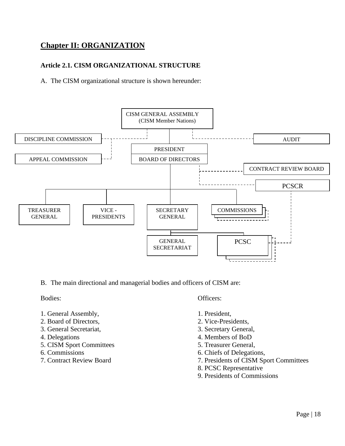# **Chapter II: ORGANIZATION**

#### **Article 2.1. CISM ORGANIZATIONAL STRUCTURE**

A. The CISM organizational structure is shown hereunder:



B. The main directional and managerial bodies and officers of CISM are:

- 1. General Assembly, 1. President,
- 2. Board of Directors, 2. Vice-Presidents,
- 
- 
- 5. CISM Sport Committees 5. Treasurer General,
- 
- 

Bodies: Officers: Officers:

- 
- 
- 3. General Secretariat, 3. Secretary General,
- 4. Delegations 4. Members of BoD
	-
- 6. Commissions 6. Chiefs of Delegations,
- 7. Contract Review Board 7. Presidents of CISM Sport Committees
	- 8. PCSC Representative
	- 9. Presidents of Commissions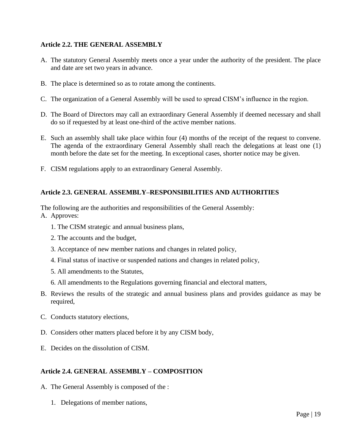#### **Article 2.2. THE GENERAL ASSEMBLY**

- A. The statutory General Assembly meets once a year under the authority of the president. The place and date are set two years in advance.
- B. The place is determined so as to rotate among the continents.
- C. The organization of a General Assembly will be used to spread CISM's influence in the region.
- D. The Board of Directors may call an extraordinary General Assembly if deemed necessary and shall do so if requested by at least one-third of the active member nations.
- E. Such an assembly shall take place within four (4) months of the receipt of the request to convene. The agenda of the extraordinary General Assembly shall reach the delegations at least one (1) month before the date set for the meeting. In exceptional cases, shorter notice may be given.
- F. CISM regulations apply to an extraordinary General Assembly.

#### **Article 2.3. GENERAL ASSEMBLY–RESPONSIBILITIES AND AUTHORITIES**

The following are the authorities and responsibilities of the General Assembly: A. Approves:

- 1. The CISM strategic and annual business plans,
- 2. The accounts and the budget,
- 3. Acceptance of new member nations and changes in related policy,
- 4. Final status of inactive or suspended nations and changes in related policy,
- 5. All amendments to the Statutes,
- 6. All amendments to the Regulations governing financial and electoral matters,
- B. Reviews the results of the strategic and annual business plans and provides guidance as may be required,
- C. Conducts statutory elections,
- D. Considers other matters placed before it by any CISM body,
- E. Decides on the dissolution of CISM.

#### **Article 2.4. GENERAL ASSEMBLY – COMPOSITION**

- A. The General Assembly is composed of the :
	- 1. Delegations of member nations,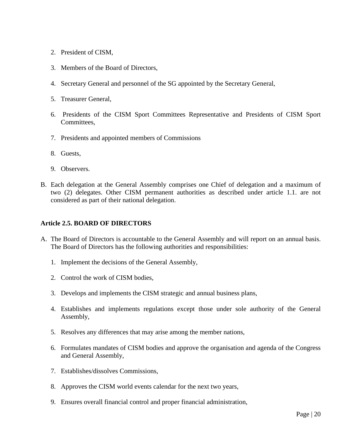- 2. President of CISM,
- 3. Members of the Board of Directors,
- 4. Secretary General and personnel of the SG appointed by the Secretary General,
- 5. Treasurer General,
- 6. Presidents of the CISM Sport Committees Representative and Presidents of CISM Sport Committees,
- 7. Presidents and appointed members of Commissions
- 8. Guests,
- 9. Observers.
- B. Each delegation at the General Assembly comprises one Chief of delegation and a maximum of two (2) delegates. Other CISM permanent authorities as described under article 1.1. are not considered as part of their national delegation.

#### **Article 2.5. BOARD OF DIRECTORS**

- A. The Board of Directors is accountable to the General Assembly and will report on an annual basis. The Board of Directors has the following authorities and responsibilities:
	- 1. Implement the decisions of the General Assembly,
	- 2. Control the work of CISM bodies,
	- 3. Develops and implements the CISM strategic and annual business plans,
	- 4. Establishes and implements regulations except those under sole authority of the General Assembly,
	- 5. Resolves any differences that may arise among the member nations,
	- 6. Formulates mandates of CISM bodies and approve the organisation and agenda of the Congress and General Assembly,
	- 7. Establishes/dissolves Commissions,
	- 8. Approves the CISM world events calendar for the next two years,
	- 9. Ensures overall financial control and proper financial administration,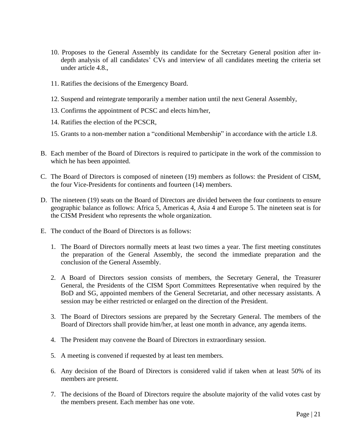- 10. Proposes to the General Assembly its candidate for the Secretary General position after indepth analysis of all candidates' CVs and interview of all candidates meeting the criteria set under article 4.8.,
- 11. Ratifies the decisions of the Emergency Board.
- 12. Suspend and reintegrate temporarily a member nation until the next General Assembly,
- 13. Confirms the appointment of PCSC and elects him/her,
- 14. Ratifies the election of the PCSCR,
- 15. Grants to a non-member nation a "conditional Membership" in accordance with the article 1.8.
- B. Each member of the Board of Directors is required to participate in the work of the commission to which he has been appointed.
- C. The Board of Directors is composed of nineteen (19) members as follows: the President of CISM, the four Vice-Presidents for continents and fourteen (14) members.
- D. The nineteen (19) seats on the Board of Directors are divided between the four continents to ensure geographic balance as follows: Africa 5, Americas 4, Asia 4 and Europe 5. The nineteen seat is for the CISM President who represents the whole organization.
- E. The conduct of the Board of Directors is as follows:
	- 1. The Board of Directors normally meets at least two times a year. The first meeting constitutes the preparation of the General Assembly, the second the immediate preparation and the conclusion of the General Assembly.
	- 2. A Board of Directors session consists of members, the Secretary General, the Treasurer General, the Presidents of the CISM Sport Committees Representative when required by the BoD and SG, appointed members of the General Secretariat, and other necessary assistants. A session may be either restricted or enlarged on the direction of the President.
	- 3. The Board of Directors sessions are prepared by the Secretary General. The members of the Board of Directors shall provide him/her, at least one month in advance, any agenda items.
	- 4. The President may convene the Board of Directors in extraordinary session.
	- 5. A meeting is convened if requested by at least ten members.
	- 6. Any decision of the Board of Directors is considered valid if taken when at least 50% of its members are present.
	- 7. The decisions of the Board of Directors require the absolute majority of the valid votes cast by the members present. Each member has one vote.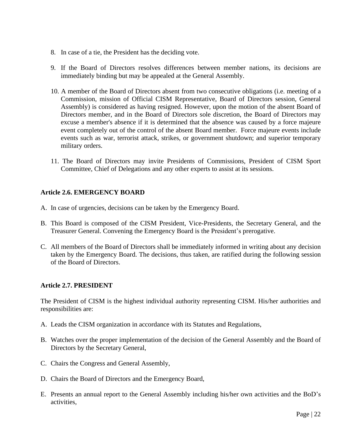- 8. In case of a tie, the President has the deciding vote.
- 9. If the Board of Directors resolves differences between member nations, its decisions are immediately binding but may be appealed at the General Assembly.
- 10. A member of the Board of Directors absent from two consecutive obligations (i.e. meeting of a Commission, mission of Official CISM Representative, Board of Directors session, General Assembly) is considered as having resigned. However, upon the motion of the absent Board of Directors member, and in the Board of Directors sole discretion, the Board of Directors may excuse a member's absence if it is determined that the absence was caused by a force majeure event completely out of the control of the absent Board member. Force majeure events include events such as war, terrorist attack, strikes, or government shutdown; and superior temporary military orders.
- 11. The Board of Directors may invite Presidents of Commissions, President of CISM Sport Committee, Chief of Delegations and any other experts to assist at its sessions.

#### **Article 2.6. EMERGENCY BOARD**

- A. In case of urgencies, decisions can be taken by the Emergency Board.
- B. This Board is composed of the CISM President, Vice-Presidents, the Secretary General, and the Treasurer General. Convening the Emergency Board is the President's prerogative.
- C. All members of the Board of Directors shall be immediately informed in writing about any decision taken by the Emergency Board. The decisions, thus taken, are ratified during the following session of the Board of Directors.

#### **Article 2.7. PRESIDENT**

The President of CISM is the highest individual authority representing CISM. His/her authorities and responsibilities are:

- A. Leads the CISM organization in accordance with its Statutes and Regulations,
- B. Watches over the proper implementation of the decision of the General Assembly and the Board of Directors by the Secretary General,
- C. Chairs the Congress and General Assembly,
- D. Chairs the Board of Directors and the Emergency Board,
- E. Presents an annual report to the General Assembly including his/her own activities and the BoD's activities,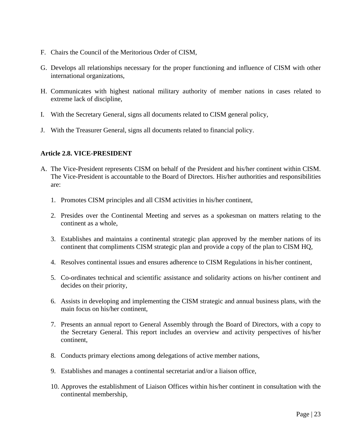- F. Chairs the Council of the Meritorious Order of CISM,
- G. Develops all relationships necessary for the proper functioning and influence of CISM with other international organizations,
- H. Communicates with highest national military authority of member nations in cases related to extreme lack of discipline,
- I. With the Secretary General, signs all documents related to CISM general policy,
- J. With the Treasurer General, signs all documents related to financial policy.

#### **Article 2.8. VICE-PRESIDENT**

- A. The Vice-President represents CISM on behalf of the President and his/her continent within CISM. The Vice-President is accountable to the Board of Directors. His/her authorities and responsibilities are:
	- 1. Promotes CISM principles and all CISM activities in his/her continent,
	- 2. Presides over the Continental Meeting and serves as a spokesman on matters relating to the continent as a whole,
	- 3. Establishes and maintains a continental strategic plan approved by the member nations of its continent that compliments CISM strategic plan and provide a copy of the plan to CISM HQ,
	- 4. Resolves continental issues and ensures adherence to CISM Regulations in his/her continent,
	- 5. Co-ordinates technical and scientific assistance and solidarity actions on his/her continent and decides on their priority,
	- 6. Assists in developing and implementing the CISM strategic and annual business plans, with the main focus on his/her continent,
	- 7. Presents an annual report to General Assembly through the Board of Directors, with a copy to the Secretary General. This report includes an overview and activity perspectives of his/her continent,
	- 8. Conducts primary elections among delegations of active member nations,
	- 9. Establishes and manages a continental secretariat and/or a liaison office,
	- 10. Approves the establishment of Liaison Offices within his/her continent in consultation with the continental membership,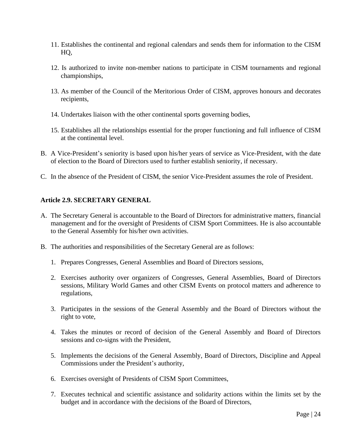- 11. Establishes the continental and regional calendars and sends them for information to the CISM HQ,
- 12. Is authorized to invite non-member nations to participate in CISM tournaments and regional championships,
- 13. As member of the Council of the Meritorious Order of CISM, approves honours and decorates recipients,
- 14. Undertakes liaison with the other continental sports governing bodies,
- 15. Establishes all the relationships essential for the proper functioning and full influence of CISM at the continental level.
- B. A Vice-President's seniority is based upon his/her years of service as Vice-President, with the date of election to the Board of Directors used to further establish seniority, if necessary.
- C. In the absence of the President of CISM, the senior Vice-President assumes the role of President.

#### **Article 2.9. SECRETARY GENERAL**

- A. The Secretary General is accountable to the Board of Directors for administrative matters, financial management and for the oversight of Presidents of CISM Sport Committees. He is also accountable to the General Assembly for his/her own activities.
- B. The authorities and responsibilities of the Secretary General are as follows:
	- 1. Prepares Congresses, General Assemblies and Board of Directors sessions,
	- 2. Exercises authority over organizers of Congresses, General Assemblies, Board of Directors sessions, Military World Games and other CISM Events on protocol matters and adherence to regulations,
	- 3. Participates in the sessions of the General Assembly and the Board of Directors without the right to vote,
	- 4. Takes the minutes or record of decision of the General Assembly and Board of Directors sessions and co-signs with the President,
	- 5. Implements the decisions of the General Assembly, Board of Directors, Discipline and Appeal Commissions under the President's authority,
	- 6. Exercises oversight of Presidents of CISM Sport Committees,
	- 7. Executes technical and scientific assistance and solidarity actions within the limits set by the budget and in accordance with the decisions of the Board of Directors,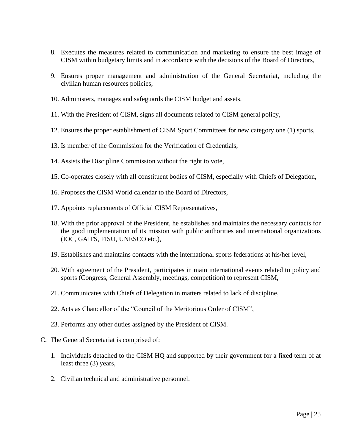- 8. Executes the measures related to communication and marketing to ensure the best image of CISM within budgetary limits and in accordance with the decisions of the Board of Directors,
- 9. Ensures proper management and administration of the General Secretariat, including the civilian human resources policies,
- 10. Administers, manages and safeguards the CISM budget and assets,
- 11. With the President of CISM, signs all documents related to CISM general policy,
- 12. Ensures the proper establishment of CISM Sport Committees for new category one (1) sports,
- 13. Is member of the Commission for the Verification of Credentials,
- 14. Assists the Discipline Commission without the right to vote,
- 15. Co-operates closely with all constituent bodies of CISM, especially with Chiefs of Delegation,
- 16. Proposes the CISM World calendar to the Board of Directors,
- 17. Appoints replacements of Official CISM Representatives,
- 18. With the prior approval of the President, he establishes and maintains the necessary contacts for the good implementation of its mission with public authorities and international organizations (IOC, GAIFS, FISU, UNESCO etc.),
- 19. Establishes and maintains contacts with the international sports federations at his/her level,
- 20. With agreement of the President, participates in main international events related to policy and sports (Congress, General Assembly, meetings, competition) to represent CISM,
- 21. Communicates with Chiefs of Delegation in matters related to lack of discipline,
- 22. Acts as Chancellor of the "Council of the Meritorious Order of CISM",
- 23. Performs any other duties assigned by the President of CISM.
- C. The General Secretariat is comprised of:
	- 1. Individuals detached to the CISM HQ and supported by their government for a fixed term of at least three (3) years,
	- 2. Civilian technical and administrative personnel.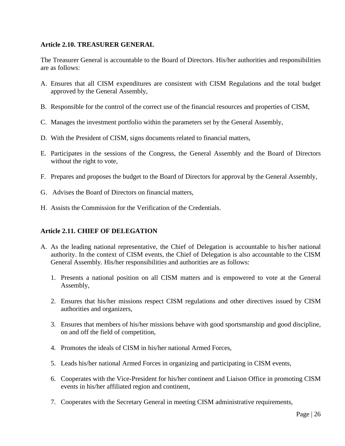#### **Article 2.10. TREASURER GENERAL**

The Treasurer General is accountable to the Board of Directors. His/her authorities and responsibilities are as follows:

- A. Ensures that all CISM expenditures are consistent with CISM Regulations and the total budget approved by the General Assembly,
- B. Responsible for the control of the correct use of the financial resources and properties of CISM,
- C. Manages the investment portfolio within the parameters set by the General Assembly,
- D. With the President of CISM, signs documents related to financial matters,
- E. Participates in the sessions of the Congress, the General Assembly and the Board of Directors without the right to vote,
- F. Prepares and proposes the budget to the Board of Directors for approval by the General Assembly,
- G. Advises the Board of Directors on financial matters,
- H. Assists the Commission for the Verification of the Credentials.

#### **Article 2.11. CHIEF OF DELEGATION**

- A. As the leading national representative, the Chief of Delegation is accountable to his/her national authority. In the context of CISM events, the Chief of Delegation is also accountable to the CISM General Assembly. His/her responsibilities and authorities are as follows:
	- 1. Presents a national position on all CISM matters and is empowered to vote at the General Assembly,
	- 2. Ensures that his/her missions respect CISM regulations and other directives issued by CISM authorities and organizers,
	- 3. Ensures that members of his/her missions behave with good sportsmanship and good discipline, on and off the field of competition,
	- 4. Promotes the ideals of CISM in his/her national Armed Forces,
	- 5. Leads his/her national Armed Forces in organizing and participating in CISM events,
	- 6. Cooperates with the Vice-President for his/her continent and Liaison Office in promoting CISM events in his/her affiliated region and continent,
	- 7. Cooperates with the Secretary General in meeting CISM administrative requirements,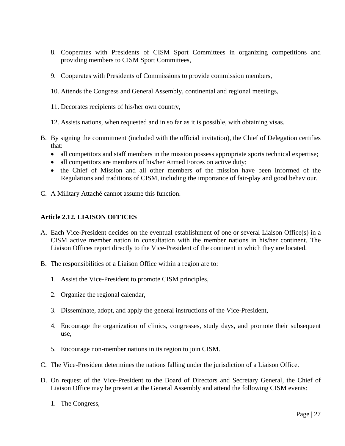- 8. Cooperates with Presidents of CISM Sport Committees in organizing competitions and providing members to CISM Sport Committees,
- 9. Cooperates with Presidents of Commissions to provide commission members,
- 10. Attends the Congress and General Assembly, continental and regional meetings,
- 11. Decorates recipients of his/her own country,
- 12. Assists nations, when requested and in so far as it is possible, with obtaining visas.
- B. By signing the commitment (included with the official invitation), the Chief of Delegation certifies that:
	- all competitors and staff members in the mission possess appropriate sports technical expertise;
	- all competitors are members of his/her Armed Forces on active duty;
	- the Chief of Mission and all other members of the mission have been informed of the Regulations and traditions of CISM, including the importance of fair-play and good behaviour.
- C. A Military Attaché cannot assume this function.

#### **Article 2.12. LIAISON OFFICES**

- A. Each Vice-President decides on the eventual establishment of one or several Liaison Office(s) in a CISM active member nation in consultation with the member nations in his/her continent. The Liaison Offices report directly to the Vice-President of the continent in which they are located.
- B. The responsibilities of a Liaison Office within a region are to:
	- 1. Assist the Vice-President to promote CISM principles,
	- 2. Organize the regional calendar,
	- 3. Disseminate, adopt, and apply the general instructions of the Vice-President,
	- 4. Encourage the organization of clinics, congresses, study days, and promote their subsequent use,
	- 5. Encourage non-member nations in its region to join CISM.
- C. The Vice-President determines the nations falling under the jurisdiction of a Liaison Office.
- D. On request of the Vice-President to the Board of Directors and Secretary General, the Chief of Liaison Office may be present at the General Assembly and attend the following CISM events:
	- 1. The Congress,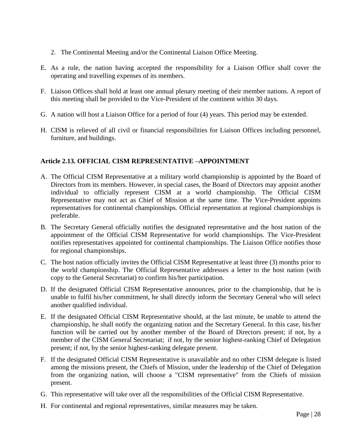- 2. The Continental Meeting and/or the Continental Liaison Office Meeting.
- E. As a rule, the nation having accepted the responsibility for a Liaison Office shall cover the operating and travelling expenses of its members.
- F. Liaison Offices shall hold at least one annual plenary meeting of their member nations. A report of this meeting shall be provided to the Vice-President of the continent within 30 days.
- G. A nation will host a Liaison Office for a period of four (4) years. This period may be extended.
- H. CISM is relieved of all civil or financial responsibilities for Liaison Offices including personnel, furniture, and buildings.

## **Article 2.13. OFFICIAL CISM REPRESENTATIVE –APPOINTMENT**

- A. The Official CISM Representative at a military world championship is appointed by the Board of Directors from its members. However, in special cases, the Board of Directors may appoint another individual to officially represent CISM at a world championship. The Official CISM Representative may not act as Chief of Mission at the same time. The Vice-President appoints representatives for continental championships. Official representation at regional championships is preferable.
- B. The Secretary General officially notifies the designated representative and the host nation of the appointment of the Official CISM Representative for world championships. The Vice-President notifies representatives appointed for continental championships. The Liaison Office notifies those for regional championships.
- C. The host nation officially invites the Official CISM Representative at least three (3) months prior to the world championship. The Official Representative addresses a letter to the host nation (with copy to the General Secretariat) to confirm his/her participation.
- D. If the designated Official CISM Representative announces, prior to the championship, that he is unable to fulfil his/her commitment, he shall directly inform the Secretary General who will select another qualified individual.
- E. If the designated Official CISM Representative should, at the last minute, be unable to attend the championship, he shall notify the organizing nation and the Secretary General. In this case, his/her function will be carried out by another member of the Board of Directors present; if not, by a member of the CISM General Secretariat; if not, by the senior highest-ranking Chief of Delegation present; if not, by the senior highest-ranking delegate present.
- F. If the designated Official CISM Representative is unavailable and no other CISM delegate is listed among the missions present, the Chiefs of Mission, under the leadership of the Chief of Delegation from the organizing nation, will choose a "CISM representative" from the Chiefs of mission present.
- G. This representative will take over all the responsibilities of the Official CISM Representative.
- H. For continental and regional representatives, similar measures may be taken.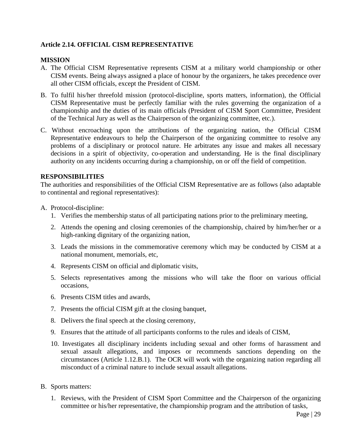#### **Article 2.14. OFFICIAL CISM REPRESENTATIVE**

#### **MISSION**

- A. The Official CISM Representative represents CISM at a military world championship or other CISM events. Being always assigned a place of honour by the organizers, he takes precedence over all other CISM officials, except the President of CISM.
- B. To fulfil his/her threefold mission (protocol-discipline, sports matters, information), the Official CISM Representative must be perfectly familiar with the rules governing the organization of a championship and the duties of its main officials (President of CISM Sport Committee, President of the Technical Jury as well as the Chairperson of the organizing committee, etc.).
- C. Without encroaching upon the attributions of the organizing nation, the Official CISM Representative endeavours to help the Chairperson of the organizing committee to resolve any problems of a disciplinary or protocol nature. He arbitrates any issue and makes all necessary decisions in a spirit of objectivity, co-operation and understanding. He is the final disciplinary authority on any incidents occurring during a championship, on or off the field of competition.

#### **RESPONSIBILITIES**

The authorities and responsibilities of the Official CISM Representative are as follows (also adaptable to continental and regional representatives):

- A. Protocol-discipline:
	- 1. Verifies the membership status of all participating nations prior to the preliminary meeting,
	- 2. Attends the opening and closing ceremonies of the championship, chaired by him/her/her or a high-ranking dignitary of the organizing nation,
	- 3. Leads the missions in the commemorative ceremony which may be conducted by CISM at a national monument, memorials, etc,
	- 4. Represents CISM on official and diplomatic visits,
	- 5. Selects representatives among the missions who will take the floor on various official occasions,
	- 6. Presents CISM titles and awards,
	- 7. Presents the official CISM gift at the closing banquet,
	- 8. Delivers the final speech at the closing ceremony,
	- 9. Ensures that the attitude of all participants conforms to the rules and ideals of CISM,
	- 10. Investigates all disciplinary incidents including sexual and other forms of harassment and sexual assault allegations, and imposes or recommends sanctions depending on the circumstances (Article 1.12.B.1). The OCR will work with the organizing nation regarding all misconduct of a criminal nature to include sexual assault allegations.
- B. Sports matters:
	- 1. Reviews, with the President of CISM Sport Committee and the Chairperson of the organizing committee or his/her representative, the championship program and the attribution of tasks,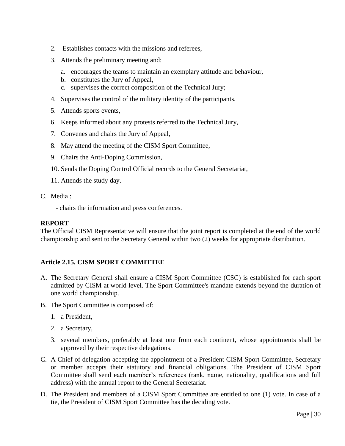- 2. Establishes contacts with the missions and referees,
- 3. Attends the preliminary meeting and:
	- a. encourages the teams to maintain an exemplary attitude and behaviour,
	- b. constitutes the Jury of Appeal,
	- c. supervises the correct composition of the Technical Jury;
- 4. Supervises the control of the military identity of the participants,
- 5. Attends sports events,
- 6. Keeps informed about any protests referred to the Technical Jury,
- 7. Convenes and chairs the Jury of Appeal,
- 8. May attend the meeting of the CISM Sport Committee,
- 9. Chairs the Anti-Doping Commission,
- 10. Sends the Doping Control Official records to the General Secretariat,
- 11. Attends the study day.
- C. Media :
	- chairs the information and press conferences.

#### **REPORT**

The Official CISM Representative will ensure that the joint report is completed at the end of the world championship and sent to the Secretary General within two (2) weeks for appropriate distribution.

#### **Article 2.15. CISM SPORT COMMITTEE**

- A. The Secretary General shall ensure a CISM Sport Committee (CSC) is established for each sport admitted by CISM at world level. The Sport Committee's mandate extends beyond the duration of one world championship.
- B. The Sport Committee is composed of:
	- 1. a President,
	- 2. a Secretary,
	- 3. several members, preferably at least one from each continent, whose appointments shall be approved by their respective delegations.
- C. A Chief of delegation accepting the appointment of a President CISM Sport Committee, Secretary or member accepts their statutory and financial obligations. The President of CISM Sport Committee shall send each member's references (rank, name, nationality, qualifications and full address) with the annual report to the General Secretariat.
- D. The President and members of a CISM Sport Committee are entitled to one (1) vote. In case of a tie, the President of CISM Sport Committee has the deciding vote.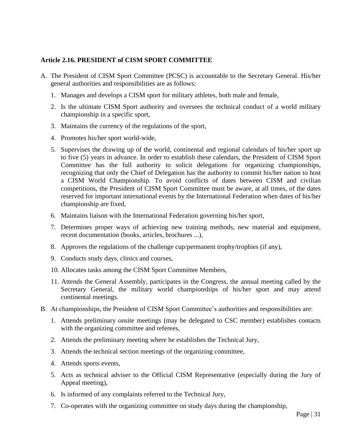#### **Article 2.16. PRESIDENT of CISM SPORT COMMITTEE**

- A. The President of CISM Sport Committee (PCSC) is accountable to the Secretary General. His/her general authorities and responsibilities are as follows:
	- 1. Manages and develops a CISM sport for military athletes, both male and female,
	- 2. Is the ultimate CISM Sport authority and oversees the technical conduct of a world military championship in a specific sport,
	- 3. Maintains the currency of the regulations of the sport,
	- 4. Promotes his/her sport world-wide,
	- 5. Supervises the drawing up of the world, continental and regional calendars of his/her sport up to five (5) years in advance. In order to establish these calendars, the President of CISM Sport Committee has the full authority to solicit delegations for organizing championships, recognizing that only the Chief of Delegation has the authority to commit his/her nation to host a CISM World Championship. To avoid conflicts of dates between CISM and civilian competitions, the President of CISM Sport Committee must be aware, at all times, of the dates reserved for important international events by the International Federation when dates of his/her championship are fixed,
	- 6. Maintains liaison with the International Federation governing his/her sport,
	- 7. Determines proper ways of achieving new training methods, new material and equipment, recent documentation (books, articles, brochures ...),
	- 8. Approves the regulations of the challenge cup/permanent trophy/trophies (if any),
	- 9. Conducts study days, clinics and courses,
	- 10. Allocates tasks among the CISM Sport Committee Members,
	- 11. Attends the General Assembly, participates in the Congress, the annual meeting called by the Secretary General, the military world championships of his/her sport and may attend continental meetings.
- B. At championships, the President of CISM Sport Committee's authorities and responsibilities are:
	- 1. Attends preliminary onsite meetings (may be delegated to CSC member) establishes contacts with the organizing committee and referees,
	- 2. Attends the preliminary meeting where he establishes the Technical Jury,
	- 3. Attends the technical section meetings of the organizing committee,
	- 4. Attends sports events,
	- 5. Acts as technical adviser to the Official CISM Representative (especially during the Jury of Appeal meeting),
	- 6. Is informed of any complaints referred to the Technical Jury,
	- 7. Co-operates with the organizing committee on study days during the championship,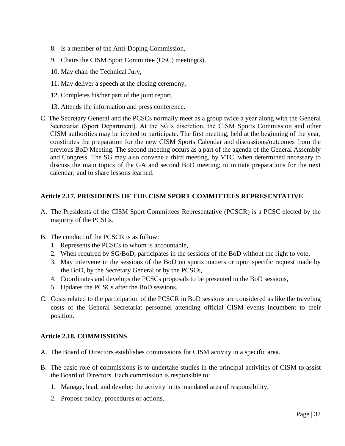- 8. Is a member of the Anti-Doping Commission,
- 9. Chairs the CISM Sport Committee (CSC) meeting(s),
- 10. May chair the Technical Jury,
- 11. May deliver a speech at the closing ceremony,
- 12. Completes his/her part of the joint report,
- 13. Attends the information and press conference.
- C. The Secretary General and the PCSCs normally meet as a group twice a year along with the General Secretariat (Sport Department). At the SG's discretion, the CISM Sports Commission and other CISM authorities may be invited to participate. The first meeting, held at the beginning of the year, constitutes the preparation for the new CISM Sports Calendar and discussions/outcomes from the previous BoD Meeting. The second meeting occurs as a part of the agenda of the General Assembly and Congress. The SG may also convene a third meeting, by VTC, when determined necessary to discuss the main topics of the GA and second BoD meeting; to initiate preparations for the next calendar; and to share lessons learned.

#### **Article 2.17. PRESIDENTS OF THE CISM SPORT COMMITTEES REPRESENTATIVE**

- A. The Presidents of the CISM Sport Committees Representative (PCSCR) is a PCSC elected by the majority of the PCSCs.
- B. The conduct of the PCSCR is as follow:
	- 1. Represents the PCSCs to whom is accountable,
	- 2. When required by SG/BoD, participates in the sessions of the BoD without the right to vote,
	- 3. May intervene in the sessions of the BoD on sports matters or upon specific request made by the BoD, by the Secretary General or by the PCSCs,
	- 4. Coordinates and develops the PCSCs proposals to be presented in the BoD sessions,
	- 5. Updates the PCSCs after the BoD sessions.
- C. Costs related to the participation of the PCSCR in BoD sessions are considered as like the traveling costs of the General Secretariat personnel attending official CISM events incumbent to their position.

#### **Article 2.18. COMMISSIONS**

- A. The Board of Directors establishes commissions for CISM activity in a specific area.
- B. The basic role of commissions is to undertake studies in the principal activities of CISM to assist the Board of Directors. Each commission is responsible to:
	- 1. Manage, lead, and develop the activity in its mandated area of responsibility,
	- 2. Propose policy, procedures or actions,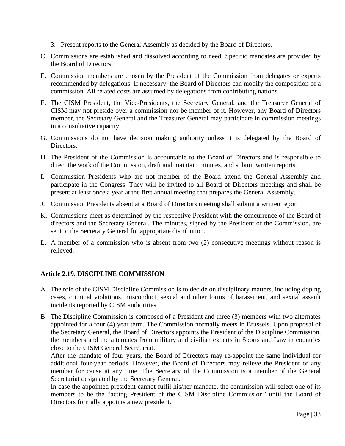- 3. Present reports to the General Assembly as decided by the Board of Directors.
- C. Commissions are established and dissolved according to need. Specific mandates are provided by the Board of Directors.
- E. Commission members are chosen by the President of the Commission from delegates or experts recommended by delegations. If necessary, the Board of Directors can modify the composition of a commission. All related costs are assumed by delegations from contributing nations.
- F. The CISM President, the Vice-Presidents, the Secretary General, and the Treasurer General of CISM may not preside over a commission nor be member of it. However, any Board of Directors member, the Secretary General and the Treasurer General may participate in commission meetings in a consultative capacity.
- G. Commissions do not have decision making authority unless it is delegated by the Board of Directors.
- H. The President of the Commission is accountable to the Board of Directors and is responsible to direct the work of the Commission, draft and maintain minutes, and submit written reports.
- I. Commission Presidents who are not member of the Board attend the General Assembly and participate in the Congress. They will be invited to all Board of Directors meetings and shall be present at least once a year at the first annual meeting that prepares the General Assembly.
- J. Commission Presidents absent at a Board of Directors meeting shall submit a written report.
- K. Commissions meet as determined by the respective President with the concurrence of the Board of directors and the Secretary General. The minutes, signed by the President of the Commission, are sent to the Secretary General for appropriate distribution.
- L. A member of a commission who is absent from two (2) consecutive meetings without reason is relieved.

#### **Article 2.19. DISCIPLINE COMMISSION**

- A. The role of the CISM Discipline Commission is to decide on disciplinary matters, including doping cases, criminal violations, misconduct, sexual and other forms of harassment, and sexual assault incidents reported by CISM authorities.
- B. The Discipline Commission is composed of a President and three (3) members with two alternates appointed for a four (4) year term. The Commission normally meets in Brussels. Upon proposal of the Secretary General, the Board of Directors appoints the President of the Discipline Commission, the members and the alternates from military and civilian experts in Sports and Law in countries close to the CISM General Secretariat.

After the mandate of four years, the Board of Directors may re-appoint the same individual for additional four-year periods. However, the Board of Directors may relieve the President or any member for cause at any time. The Secretary of the Commission is a member of the General Secretariat designated by the Secretary General.

In case the appointed president cannot fulfil his/her mandate, the commission will select one of its members to be the "acting President of the CISM Discipline Commission" until the Board of Directors formally appoints a new president.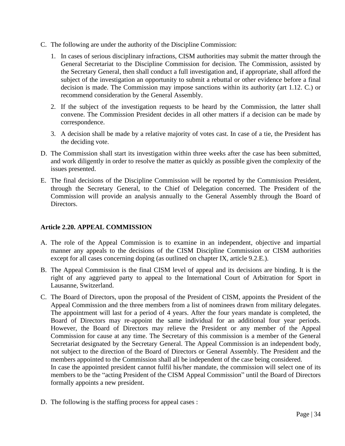- C. The following are under the authority of the Discipline Commission:
	- 1. In cases of serious disciplinary infractions, CISM authorities may submit the matter through the General Secretariat to the Discipline Commission for decision. The Commission, assisted by the Secretary General, then shall conduct a full investigation and, if appropriate, shall afford the subject of the investigation an opportunity to submit a rebuttal or other evidence before a final decision is made. The Commission may impose sanctions within its authority (art 1.12. C.) or recommend consideration by the General Assembly.
	- 2. If the subject of the investigation requests to be heard by the Commission, the latter shall convene. The Commission President decides in all other matters if a decision can be made by correspondence.
	- 3. A decision shall be made by a relative majority of votes cast. In case of a tie, the President has the deciding vote.
- D. The Commission shall start its investigation within three weeks after the case has been submitted, and work diligently in order to resolve the matter as quickly as possible given the complexity of the issues presented.
- E. The final decisions of the Discipline Commission will be reported by the Commission President, through the Secretary General, to the Chief of Delegation concerned. The President of the Commission will provide an analysis annually to the General Assembly through the Board of Directors.

#### **Article 2.20. APPEAL COMMISSION**

- A. The role of the Appeal Commission is to examine in an independent, objective and impartial manner any appeals to the decisions of the CISM Discipline Commission or CISM authorities except for all cases concerning doping (as outlined on chapter IX, article 9.2.E.).
- B. The Appeal Commission is the final CISM level of appeal and its decisions are binding. It is the right of any aggrieved party to appeal to the International Court of Arbitration for Sport in Lausanne, Switzerland.
- C. The Board of Directors, upon the proposal of the President of CISM, appoints the President of the Appeal Commission and the three members from a list of nominees drawn from military delegates. The appointment will last for a period of 4 years. After the four years mandate is completed, the Board of Directors may re-appoint the same individual for an additional four year periods. However, the Board of Directors may relieve the President or any member of the Appeal Commission for cause at any time. The Secretary of this commission is a member of the General Secretariat designated by the Secretary General. The Appeal Commission is an independent body, not subject to the direction of the Board of Directors or General Assembly. The President and the members appointed to the Commission shall all be independent of the case being considered.

In case the appointed president cannot fulfil his/her mandate, the commission will select one of its members to be the "acting President of the CISM Appeal Commission" until the Board of Directors formally appoints a new president.

D. The following is the staffing process for appeal cases :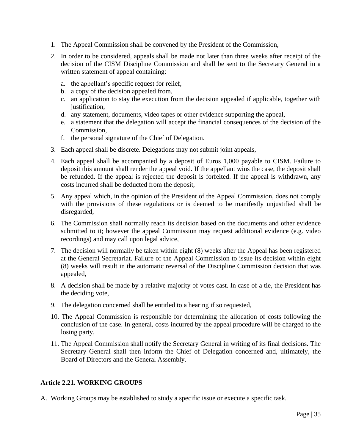- 1. The Appeal Commission shall be convened by the President of the Commission,
- 2. In order to be considered, appeals shall be made not later than three weeks after receipt of the decision of the CISM Discipline Commission and shall be sent to the Secretary General in a written statement of appeal containing:
	- a. the appellant's specific request for relief,
	- b. a copy of the decision appealed from,
	- c. an application to stay the execution from the decision appealed if applicable, together with justification,
	- d. any statement, documents, video tapes or other evidence supporting the appeal,
	- e. a statement that the delegation will accept the financial consequences of the decision of the Commission,
	- f. the personal signature of the Chief of Delegation.
- 3. Each appeal shall be discrete. Delegations may not submit joint appeals,
- 4. Each appeal shall be accompanied by a deposit of Euros 1,000 payable to CISM. Failure to deposit this amount shall render the appeal void. If the appellant wins the case, the deposit shall be refunded. If the appeal is rejected the deposit is forfeited. If the appeal is withdrawn, any costs incurred shall be deducted from the deposit,
- 5. Any appeal which, in the opinion of the President of the Appeal Commission, does not comply with the provisions of these regulations or is deemed to be manifestly unjustified shall be disregarded,
- 6. The Commission shall normally reach its decision based on the documents and other evidence submitted to it; however the appeal Commission may request additional evidence (e.g. video recordings) and may call upon legal advice,
- 7. The decision will normally be taken within eight (8) weeks after the Appeal has been registered at the General Secretariat. Failure of the Appeal Commission to issue its decision within eight (8) weeks will result in the automatic reversal of the Discipline Commission decision that was appealed,
- 8. A decision shall be made by a relative majority of votes cast. In case of a tie, the President has the deciding vote,
- 9. The delegation concerned shall be entitled to a hearing if so requested,
- 10. The Appeal Commission is responsible for determining the allocation of costs following the conclusion of the case. In general, costs incurred by the appeal procedure will be charged to the losing party,
- 11. The Appeal Commission shall notify the Secretary General in writing of its final decisions. The Secretary General shall then inform the Chief of Delegation concerned and, ultimately, the Board of Directors and the General Assembly.

#### **Article 2.21. WORKING GROUPS**

A. Working Groups may be established to study a specific issue or execute a specific task.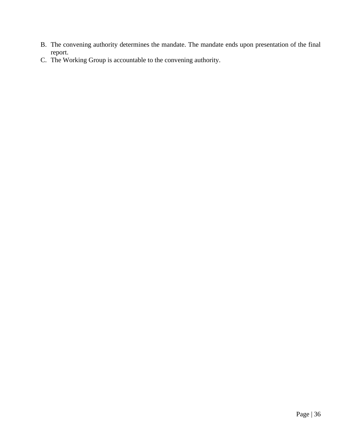- B. The convening authority determines the mandate. The mandate ends upon presentation of the final report.
- C. The Working Group is accountable to the convening authority.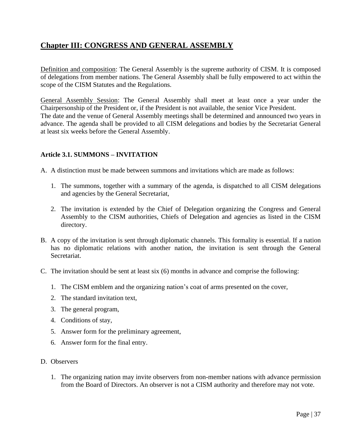# **Chapter III: CONGRESS AND GENERAL ASSEMBLY**

Definition and composition: The General Assembly is the supreme authority of CISM. It is composed of delegations from member nations. The General Assembly shall be fully empowered to act within the scope of the CISM Statutes and the Regulations.

General Assembly Session: The General Assembly shall meet at least once a year under the Chairpersonship of the President or, if the President is not available, the senior Vice President. The date and the venue of General Assembly meetings shall be determined and announced two years in advance. The agenda shall be provided to all CISM delegations and bodies by the Secretariat General at least six weeks before the General Assembly.

# **Article 3.1. SUMMONS – INVITATION**

A. A distinction must be made between summons and invitations which are made as follows:

- 1. The summons, together with a summary of the agenda, is dispatched to all CISM delegations and agencies by the General Secretariat,
- 2. The invitation is extended by the Chief of Delegation organizing the Congress and General Assembly to the CISM authorities, Chiefs of Delegation and agencies as listed in the CISM directory.
- B. A copy of the invitation is sent through diplomatic channels. This formality is essential. If a nation has no diplomatic relations with another nation, the invitation is sent through the General Secretariat.
- C. The invitation should be sent at least six (6) months in advance and comprise the following:
	- 1. The CISM emblem and the organizing nation's coat of arms presented on the cover,
	- 2. The standard invitation text,
	- 3. The general program,
	- 4. Conditions of stay,
	- 5. Answer form for the preliminary agreement,
	- 6. Answer form for the final entry.
- D. Observers
	- 1. The organizing nation may invite observers from non-member nations with advance permission from the Board of Directors. An observer is not a CISM authority and therefore may not vote.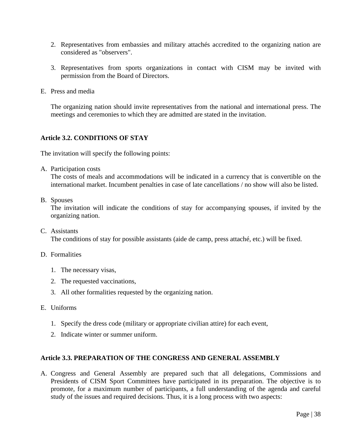- 2. Representatives from embassies and military attachés accredited to the organizing nation are considered as "observers".
- 3. Representatives from sports organizations in contact with CISM may be invited with permission from the Board of Directors.
- E. Press and media

The organizing nation should invite representatives from the national and international press. The meetings and ceremonies to which they are admitted are stated in the invitation.

# **Article 3.2. CONDITIONS OF STAY**

The invitation will specify the following points:

A. Participation costs

The costs of meals and accommodations will be indicated in a currency that is convertible on the international market. Incumbent penalties in case of late cancellations / no show will also be listed.

B. Spouses

The invitation will indicate the conditions of stay for accompanying spouses, if invited by the organizing nation.

C. Assistants The conditions of stay for possible assistants (aide de camp, press attaché, etc.) will be fixed.

#### D. Formalities

- 1. The necessary visas,
- 2. The requested vaccinations,
- 3. All other formalities requested by the organizing nation.
- E. Uniforms
	- 1. Specify the dress code (military or appropriate civilian attire) for each event,
	- 2. Indicate winter or summer uniform.

#### **Article 3.3. PREPARATION OF THE CONGRESS AND GENERAL ASSEMBLY**

A. Congress and General Assembly are prepared such that all delegations, Commissions and Presidents of CISM Sport Committees have participated in its preparation. The objective is to promote, for a maximum number of participants, a full understanding of the agenda and careful study of the issues and required decisions. Thus, it is a long process with two aspects: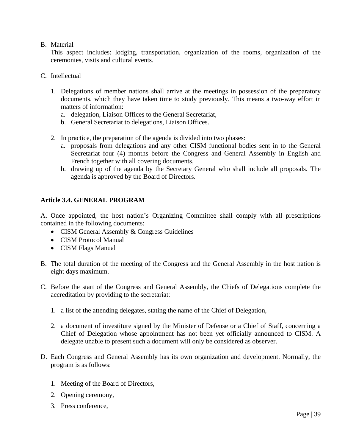## B. Material

This aspect includes: lodging, transportation, organization of the rooms, organization of the ceremonies, visits and cultural events.

- C. Intellectual
	- 1. Delegations of member nations shall arrive at the meetings in possession of the preparatory documents, which they have taken time to study previously. This means a two-way effort in matters of information:
		- a. delegation, Liaison Offices to the General Secretariat,
		- b. General Secretariat to delegations, Liaison Offices.
	- 2. In practice, the preparation of the agenda is divided into two phases:
		- a. proposals from delegations and any other CISM functional bodies sent in to the General Secretariat four (4) months before the Congress and General Assembly in English and French together with all covering documents,
		- b. drawing up of the agenda by the Secretary General who shall include all proposals. The agenda is approved by the Board of Directors.

## **Article 3.4. GENERAL PROGRAM**

A. Once appointed, the host nation's Organizing Committee shall comply with all prescriptions contained in the following documents:

- CISM General Assembly & Congress Guidelines
- CISM Protocol Manual
- CISM Flags Manual
- B. The total duration of the meeting of the Congress and the General Assembly in the host nation is eight days maximum.
- C. Before the start of the Congress and General Assembly, the Chiefs of Delegations complete the accreditation by providing to the secretariat:
	- 1. a list of the attending delegates, stating the name of the Chief of Delegation,
	- 2. a document of investiture signed by the Minister of Defense or a Chief of Staff, concerning a Chief of Delegation whose appointment has not been yet officially announced to CISM. A delegate unable to present such a document will only be considered as observer.
- D. Each Congress and General Assembly has its own organization and development. Normally, the program is as follows:
	- 1. Meeting of the Board of Directors,
	- 2. Opening ceremony,
	- 3. Press conference,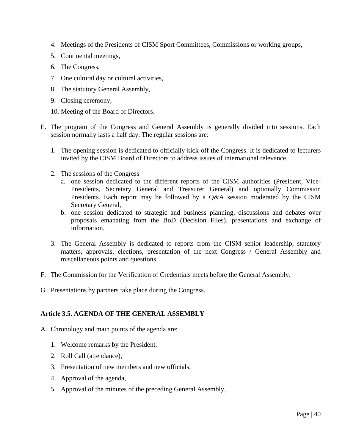- 4. Meetings of the Presidents of CISM Sport Committees, Commissions or working groups,
- 5. Continental meetings,
- 6. The Congress,
- 7. One cultural day or cultural activities,
- 8. The statutory General Assembly,
- 9. Closing ceremony,
- 10. Meeting of the Board of Directors.
- E. The program of the Congress and General Assembly is generally divided into sessions. Each session normally lasts a half day. The regular sessions are:
	- 1. The opening session is dedicated to officially kick-off the Congress. It is dedicated to lecturers invited by the CISM Board of Directors to address issues of international relevance.
	- 2. The sessions of the Congress
		- a. one session dedicated to the different reports of the CISM authorities (President, Vice-Presidents, Secretary General and Treasurer General) and optionally Commission Presidents. Each report may be followed by a Q&A session moderated by the CISM Secretary General,
		- b. one session dedicated to strategic and business planning, discussions and debates over proposals emanating from the BoD (Decision Files), presentations and exchange of information.
	- 3. The General Assembly is dedicated to reports from the CISM senior leadership, statutory matters, approvals, elections, presentation of the next Congress / General Assembly and miscellaneous points and questions.
- F. The Commission for the Verification of Credentials meets before the General Assembly.
- G. Presentations by partners take place during the Congress.

#### **Article 3.5. AGENDA OF THE GENERAL ASSEMBLY**

- A. Chronology and main points of the agenda are:
	- 1. Welcome remarks by the President,
	- 2. Roll Call (attendance),
	- 3. Presentation of new members and new officials,
	- 4. Approval of the agenda,
	- 5. Approval of the minutes of the preceding General Assembly,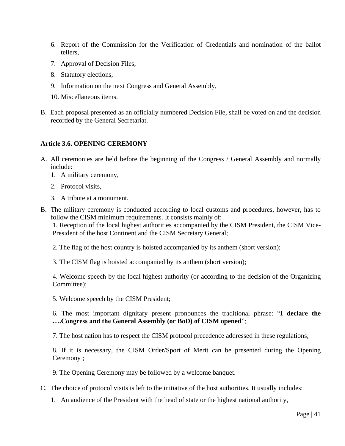- 6. Report of the Commission for the Verification of Credentials and nomination of the ballot tellers,
- 7. Approval of Decision Files,
- 8. Statutory elections,
- 9. Information on the next Congress and General Assembly,
- 10. Miscellaneous items.
- B. Each proposal presented as an officially numbered Decision File, shall be voted on and the decision recorded by the General Secretariat.

#### **Article 3.6. OPENING CEREMONY**

- A. All ceremonies are held before the beginning of the Congress / General Assembly and normally include:
	- 1. A military ceremony,
	- 2. Protocol visits,
	- 3. A tribute at a monument.
- B. The military ceremony is conducted according to local customs and procedures, however, has to follow the CISM minimum requirements. It consists mainly of:

1. Reception of the local highest authorities accompanied by the CISM President, the CISM Vice-President of the host Continent and the CISM Secretary General;

- 2. The flag of the host country is hoisted accompanied by its anthem (short version);
- 3. The CISM flag is hoisted accompanied by its anthem (short version);

4. Welcome speech by the local highest authority (or according to the decision of the Organizing Committee);

5. Welcome speech by the CISM President;

6. The most important dignitary present pronounces the traditional phrase: "**I declare the ….Congress and the General Assembly (or BoD) of CISM opened**";

7. The host nation has to respect the CISM protocol precedence addressed in these regulations;

8. If it is necessary, the CISM Order/Sport of Merit can be presented during the Opening Ceremony ;

9. The Opening Ceremony may be followed by a welcome banquet.

- C. The choice of protocol visits is left to the initiative of the host authorities. It usually includes:
	- 1. An audience of the President with the head of state or the highest national authority,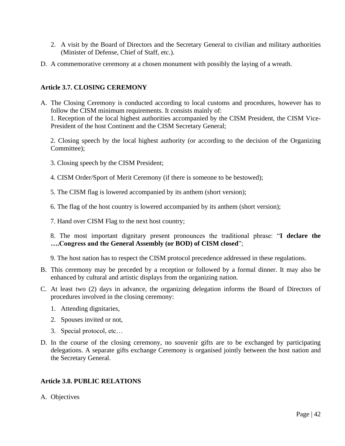- 2. A visit by the Board of Directors and the Secretary General to civilian and military authorities (Minister of Defense, Chief of Staff, etc.).
- D. A commemorative ceremony at a chosen monument with possibly the laying of a wreath.

# **Article 3.7. CLOSING CEREMONY**

A. The Closing Ceremony is conducted according to local customs and procedures, however has to follow the CISM minimum requirements. It consists mainly of: 1. Reception of the local highest authorities accompanied by the CISM President, the CISM Vice-President of the host Continent and the CISM Secretary General;

2. Closing speech by the local highest authority (or according to the decision of the Organizing Committee);

- 3. Closing speech by the CISM President;
- 4. CISM Order/Sport of Merit Ceremony (if there is someone to be bestowed);
- 5. The CISM flag is lowered accompanied by its anthem (short version);
- 6. The flag of the host country is lowered accompanied by its anthem (short version);
- 7. Hand over CISM Flag to the next host country;

8. The most important dignitary present pronounces the traditional phrase: "**I declare the ….Congress and the General Assembly (or BOD) of CISM closed**";

9. The host nation has to respect the CISM protocol precedence addressed in these regulations.

- B. This ceremony may be preceded by a reception or followed by a formal dinner. It may also be enhanced by cultural and artistic displays from the organizing nation.
- C. At least two (2) days in advance, the organizing delegation informs the Board of Directors of procedures involved in the closing ceremony:
	- 1. Attending dignitaries,
	- 2. Spouses invited or not,
	- 3. Special protocol, etc…
- D. In the course of the closing ceremony, no souvenir gifts are to be exchanged by participating delegations. A separate gifts exchange Ceremony is organised jointly between the host nation and the Secretary General.

# **Article 3.8. PUBLIC RELATIONS**

A. Objectives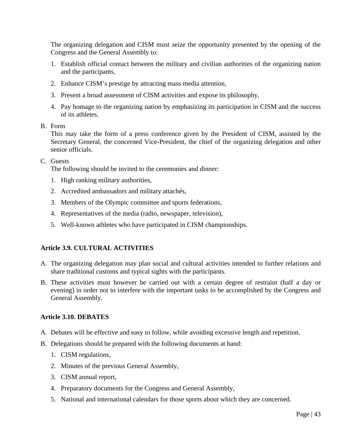The organizing delegation and CISM must seize the opportunity presented by the opening of the Congress and the General Assembly to:

- 1. Establish official contact between the military and civilian authorities of the organizing nation and the participants,
- 2. Enhance CISM's prestige by attracting mass media attention,
- 3. Present a broad assessment of CISM activities and expose its philosophy,
- 4. Pay homage to the organizing nation by emphasizing its participation in CISM and the success of its athletes.

#### B. Form

This may take the form of a press conference given by the President of CISM, assisted by the Secretary General, the concerned Vice-President, the chief of the organizing delegation and other senior officials.

#### C. Guests

The following should be invited to the ceremonies and dinner:

- 1. High ranking military authorities,
- 2. Accredited ambassadors and military attachés,
- 3. Members of the Olympic committee and sports federations,
- 4. Representatives of the media (radio, newspaper, television),
- 5. Well-known athletes who have participated in CISM championships.

# **Article 3.9. CULTURAL ACTIVITIES**

- A. The organizing delegation may plan social and cultural activities intended to further relations and share traditional customs and typical sights with the participants.
- B. These activities must however be carried out with a certain degree of restraint (half a day or evening) in order not to interfere with the important tasks to be accomplished by the Congress and General Assembly.

#### **Article 3.10. DEBATES**

- A. Debates will be effective and easy to follow, while avoiding excessive length and repetition.
- B. Delegations should be prepared with the following documents at hand:
	- 1. CISM regulations,
	- 2. Minutes of the previous General Assembly,
	- 3. CISM annual report,
	- 4. Preparatory documents for the Congress and General Assembly,
	- 5. National and international calendars for those sports about which they are concerned.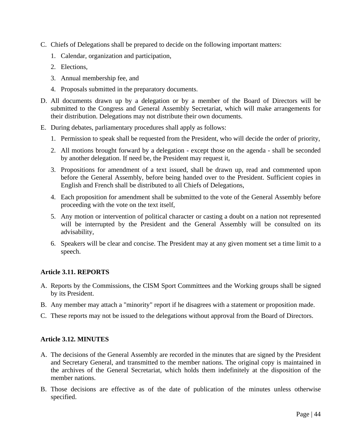- C. Chiefs of Delegations shall be prepared to decide on the following important matters:
	- 1. Calendar, organization and participation,
	- 2. Elections,
	- 3. Annual membership fee, and
	- 4. Proposals submitted in the preparatory documents.
- D. All documents drawn up by a delegation or by a member of the Board of Directors will be submitted to the Congress and General Assembly Secretariat, which will make arrangements for their distribution. Delegations may not distribute their own documents.
- E. During debates, parliamentary procedures shall apply as follows:
	- 1. Permission to speak shall be requested from the President, who will decide the order of priority,
	- 2. All motions brought forward by a delegation except those on the agenda shall be seconded by another delegation. If need be, the President may request it,
	- 3. Propositions for amendment of a text issued, shall be drawn up, read and commented upon before the General Assembly, before being handed over to the President. Sufficient copies in English and French shall be distributed to all Chiefs of Delegations,
	- 4. Each proposition for amendment shall be submitted to the vote of the General Assembly before proceeding with the vote on the text itself,
	- 5. Any motion or intervention of political character or casting a doubt on a nation not represented will be interrupted by the President and the General Assembly will be consulted on its advisability,
	- 6. Speakers will be clear and concise. The President may at any given moment set a time limit to a speech.

# **Article 3.11. REPORTS**

- A. Reports by the Commissions, the CISM Sport Committees and the Working groups shall be signed by its President.
- B. Any member may attach a "minority" report if he disagrees with a statement or proposition made.
- C. These reports may not be issued to the delegations without approval from the Board of Directors.

#### **Article 3.12. MINUTES**

- A. The decisions of the General Assembly are recorded in the minutes that are signed by the President and Secretary General, and transmitted to the member nations. The original copy is maintained in the archives of the General Secretariat, which holds them indefinitely at the disposition of the member nations.
- B. Those decisions are effective as of the date of publication of the minutes unless otherwise specified.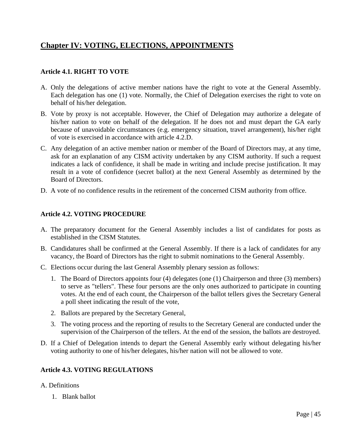# **Chapter IV: VOTING, ELECTIONS, APPOINTMENTS**

# **Article 4.1. RIGHT TO VOTE**

- A. Only the delegations of active member nations have the right to vote at the General Assembly. Each delegation has one (1) vote. Normally, the Chief of Delegation exercises the right to vote on behalf of his/her delegation.
- B. Vote by proxy is not acceptable. However, the Chief of Delegation may authorize a delegate of his/her nation to vote on behalf of the delegation. If he does not and must depart the GA early because of unavoidable circumstances (e.g. emergency situation, travel arrangement), his/her right of vote is exercised in accordance with article 4.2.D.
- C. Any delegation of an active member nation or member of the Board of Directors may, at any time, ask for an explanation of any CISM activity undertaken by any CISM authority. If such a request indicates a lack of confidence, it shall be made in writing and include precise justification. It may result in a vote of confidence (secret ballot) at the next General Assembly as determined by the Board of Directors.
- D. A vote of no confidence results in the retirement of the concerned CISM authority from office.

# **Article 4.2. VOTING PROCEDURE**

- A. The preparatory document for the General Assembly includes a list of candidates for posts as established in the CISM Statutes.
- B. Candidatures shall be confirmed at the General Assembly. If there is a lack of candidates for any vacancy, the Board of Directors has the right to submit nominations to the General Assembly.
- C. Elections occur during the last General Assembly plenary session as follows:
	- 1. The Board of Directors appoints four (4) delegates (one (1) Chairperson and three (3) members) to serve as "tellers". These four persons are the only ones authorized to participate in counting votes. At the end of each count, the Chairperson of the ballot tellers gives the Secretary General a poll sheet indicating the result of the vote,
	- 2. Ballots are prepared by the Secretary General,
	- 3. The voting process and the reporting of results to the Secretary General are conducted under the supervision of the Chairperson of the tellers. At the end of the session, the ballots are destroyed.
- D. If a Chief of Delegation intends to depart the General Assembly early without delegating his/her voting authority to one of his/her delegates, his/her nation will not be allowed to vote.

# **Article 4.3. VOTING REGULATIONS**

- A. Definitions
	- 1. Blank ballot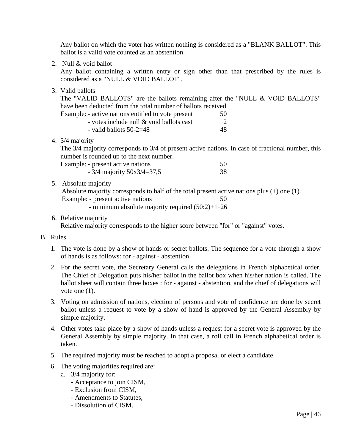Any ballot on which the voter has written nothing is considered as a "BLANK BALLOT". This ballot is a valid vote counted as an abstention.

2. Null & void ballot

Any ballot containing a written entry or sign other than that prescribed by the rules is considered as a "NULL & VOID BALLOT".

3. Valid ballots

The "VALID BALLOTS" are the ballots remaining after the "NULL & VOID BALLOTS" have been deducted from the total number of ballots received.

| Example: - active nations entitled to vote present | 50 |
|----------------------------------------------------|----|
| - votes include null & void ballots cast           |    |

| - valid ballots $50-2=48$ |  |
|---------------------------|--|
|                           |  |

4. 3/4 majority

The 3/4 majority corresponds to 3/4 of present active nations. In case of fractional number, this number is rounded up to the next number.

Example: - present active nations 50

| $-3/4$ majority $50x3/4=37,5$ | 38 |
|-------------------------------|----|
|-------------------------------|----|

5. Absolute majority

Absolute majority corresponds to half of the total present active nations plus (+) one (1). Example: - present active nations 50 - minimum absolute majority required (50:2)+1=26

6. Relative majority

Relative majority corresponds to the higher score between "for" or "against" votes.

#### B. Rules

- 1. The vote is done by a show of hands or secret ballots. The sequence for a vote through a show of hands is as follows: for - against - abstention.
- 2. For the secret vote, the Secretary General calls the delegations in French alphabetical order. The Chief of Delegation puts his/her ballot in the ballot box when his/her nation is called. The ballot sheet will contain three boxes : for - against - abstention, and the chief of delegations will vote one  $(1)$ .
- 3. Voting on admission of nations, election of persons and vote of confidence are done by secret ballot unless a request to vote by a show of hand is approved by the General Assembly by simple majority.
- 4. Other votes take place by a show of hands unless a request for a secret vote is approved by the General Assembly by simple majority. In that case, a roll call in French alphabetical order is taken.
- 5. The required majority must be reached to adopt a proposal or elect a candidate.
- 6. The voting majorities required are:
	- a. 3/4 majority for:
		- Acceptance to join CISM,
		- Exclusion from CISM,
		- Amendments to Statutes,
		- Dissolution of CISM.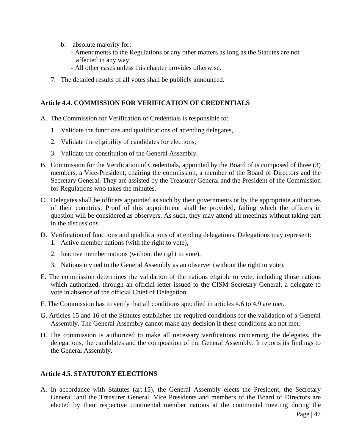- b. absolute majority for:
	- Amendments to the Regulations or any other matters as long as the Statutes are not affected in any way,
	- All other cases unless this chapter provides otherwise.
- 7. The detailed results of all votes shall be publicly announced.

# **Article 4.4. COMMISSION FOR VERIFICATION OF CREDENTIALS**

- A. The Commission for Verification of Credentials is responsible to:
	- 1. Validate the functions and qualifications of attending delegates,
	- 2. Validate the eligibility of candidates for elections,
	- 3. Validate the constitution of the General Assembly.
- B. Commission for the Verification of Credentials, appointed by the Board of is composed of three (3) members, a Vice-President, chairing the commission, a member of the Board of Directors and the Secretary General. They are assisted by the Treasurer General and the President of the Commission for Regulations who takes the minutes.
- C. Delegates shall be officers appointed as such by their governments or by the appropriate authorities of their countries. Proof of this appointment shall be provided, failing which the officers in question will be considered as observers. As such, they may attend all meetings without taking part in the discussions.
- D. Verification of functions and qualifications of attending delegations. Delegations may represent: 1. Active member nations (with the right to vote),
	- 2. Inactive member nations (without the right to vote),
	- 3. Nations invited to the General Assembly as an observer (without the right to vote).
- E. The commission determines the validation of the nations eligible to vote, including those nations which authorized, through an official letter issued to the CISM Secretary General, a delegate to vote in absence of the official Chief of Delegation.
- F. The Commission has to verify that all conditions specified in articles 4.6 to 4.9 are met.
- G. Articles 15 and 16 of the Statutes establishes the required conditions for the validation of a General Assembly. The General Assembly cannot make any decision if these conditions are not met.
- H. The commission is authorized to make all necessary verifications concerning the delegates, the delegations, the candidates and the composition of the General Assembly. It reports its findings to the General Assembly.

# **Article 4.5. STATUTORY ELECTIONS**

A. In accordance with Statutes (art.15), the General Assembly elects the President, the Secretary General, and the Treasurer General. Vice Presidents and members of the Board of Directors are elected by their respective continental member nations at the continental meeting during the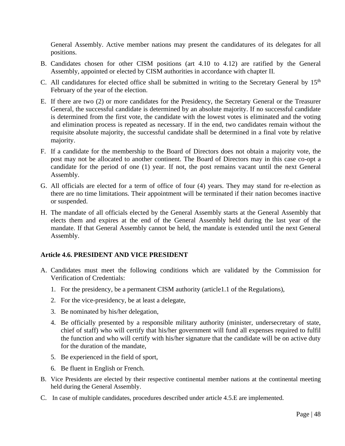General Assembly. Active member nations may present the candidatures of its delegates for all positions.

- B. Candidates chosen for other CISM positions (art 4.10 to 4.12) are ratified by the General Assembly, appointed or elected by CISM authorities in accordance with chapter II.
- C. All candidatures for elected office shall be submitted in writing to the Secretary General by  $15<sup>th</sup>$ February of the year of the election.
- E. If there are two (2) or more candidates for the Presidency, the Secretary General or the Treasurer General, the successful candidate is determined by an absolute majority. If no successful candidate is determined from the first vote, the candidate with the lowest votes is eliminated and the voting and elimination process is repeated as necessary. If in the end, two candidates remain without the requisite absolute majority, the successful candidate shall be determined in a final vote by relative majority.
- F. If a candidate for the membership to the Board of Directors does not obtain a majority vote, the post may not be allocated to another continent. The Board of Directors may in this case co-opt a candidate for the period of one (1) year. If not, the post remains vacant until the next General Assembly.
- G. All officials are elected for a term of office of four (4) years. They may stand for re-election as there are no time limitations. Their appointment will be terminated if their nation becomes inactive or suspended.
- H. The mandate of all officials elected by the General Assembly starts at the General Assembly that elects them and expires at the end of the General Assembly held during the last year of the mandate. If that General Assembly cannot be held, the mandate is extended until the next General Assembly.

#### **Article 4.6. PRESIDENT AND VICE PRESIDENT**

- A. Candidates must meet the following conditions which are validated by the Commission for Verification of Credentials:
	- 1. For the presidency, be a permanent CISM authority (article1.1 of the Regulations),
	- 2. For the vice-presidency, be at least a delegate,
	- 3. Be nominated by his/her delegation,
	- 4. Be officially presented by a responsible military authority (minister, undersecretary of state, chief of staff) who will certify that his/her government will fund all expenses required to fulfil the function and who will certify with his/her signature that the candidate will be on active duty for the duration of the mandate,
	- 5. Be experienced in the field of sport,
	- 6. Be fluent in English or French.
- B. Vice Presidents are elected by their respective continental member nations at the continental meeting held during the General Assembly.
- C. In case of multiple candidates, procedures described under article 4.5.E are implemented.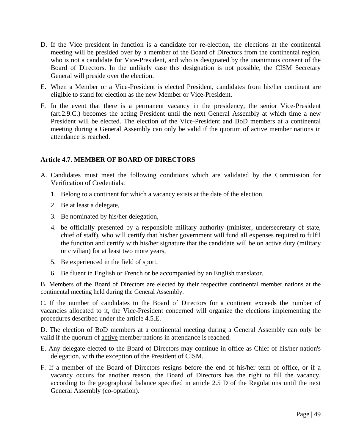- D. If the Vice president in function is a candidate for re-election, the elections at the continental meeting will be presided over by a member of the Board of Directors from the continental region, who is not a candidate for Vice-President, and who is designated by the unanimous consent of the Board of Directors. In the unlikely case this designation is not possible, the CISM Secretary General will preside over the election.
- E. When a Member or a Vice-President is elected President, candidates from his/her continent are eligible to stand for election as the new Member or Vice-President.
- F. In the event that there is a permanent vacancy in the presidency, the senior Vice-President (art.2.9.C.) becomes the acting President until the next General Assembly at which time a new President will be elected. The election of the Vice-President and BoD members at a continental meeting during a General Assembly can only be valid if the quorum of active member nations in attendance is reached.

## **Article 4.7. MEMBER OF BOARD OF DIRECTORS**

- A. Candidates must meet the following conditions which are validated by the Commission for Verification of Credentials:
	- 1. Belong to a continent for which a vacancy exists at the date of the election,
	- 2. Be at least a delegate,
	- 3. Be nominated by his/her delegation,
	- 4. be officially presented by a responsible military authority (minister, undersecretary of state, chief of staff), who will certify that his/her government will fund all expenses required to fulfil the function and certify with his/her signature that the candidate will be on active duty (military or civilian) for at least two more years,
	- 5. Be experienced in the field of sport,
	- 6. Be fluent in English or French or be accompanied by an English translator.

B. Members of the Board of Directors are elected by their respective continental member nations at the continental meeting held during the General Assembly.

C. If the number of candidates to the Board of Directors for a continent exceeds the number of vacancies allocated to it, the Vice-President concerned will organize the elections implementing the procedures described under the article 4.5.E.

D. The election of BoD members at a continental meeting during a General Assembly can only be valid if the quorum of active member nations in attendance is reached.

- E. Any delegate elected to the Board of Directors may continue in office as Chief of his/her nation's delegation, with the exception of the President of CISM.
- F. If a member of the Board of Directors resigns before the end of his/her term of office, or if a vacancy occurs for another reason, the Board of Directors has the right to fill the vacancy, according to the geographical balance specified in article 2.5 D of the Regulations until the next General Assembly (co-optation).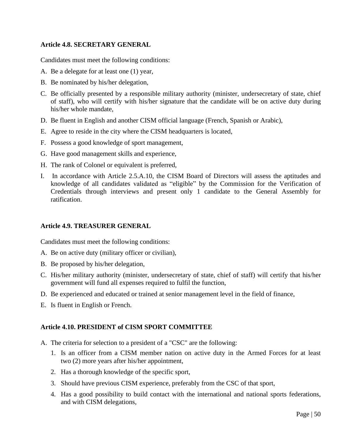## **Article 4.8. SECRETARY GENERAL**

Candidates must meet the following conditions:

- A. Be a delegate for at least one (1) year,
- B. Be nominated by his/her delegation,
- C. Be officially presented by a responsible military authority (minister, undersecretary of state, chief of staff), who will certify with his/her signature that the candidate will be on active duty during his/her whole mandate,
- D. Be fluent in English and another CISM official language (French, Spanish or Arabic),
- E. Agree to reside in the city where the CISM headquarters is located,
- F. Possess a good knowledge of sport management,
- G. Have good management skills and experience,
- H. The rank of Colonel or equivalent is preferred,
- I. In accordance with Article 2.5.A.10, the CISM Board of Directors will assess the aptitudes and knowledge of all candidates validated as "eligible" by the Commission for the Verification of Credentials through interviews and present only 1 candidate to the General Assembly for ratification.

#### **Article 4.9. TREASURER GENERAL**

Candidates must meet the following conditions:

- A. Be on active duty (military officer or civilian),
- B. Be proposed by his/her delegation,
- C. His/her military authority (minister, undersecretary of state, chief of staff) will certify that his/her government will fund all expenses required to fulfil the function,
- D. Be experienced and educated or trained at senior management level in the field of finance,
- E. Is fluent in English or French.

#### **Article 4.10. PRESIDENT of CISM SPORT COMMITTEE**

- A. The criteria for selection to a president of a "CSC" are the following:
	- 1. Is an officer from a CISM member nation on active duty in the Armed Forces for at least two (2) more years after his/her appointment,
	- 2. Has a thorough knowledge of the specific sport,
	- 3. Should have previous CISM experience, preferably from the CSC of that sport,
	- 4. Has a good possibility to build contact with the international and national sports federations, and with CISM delegations,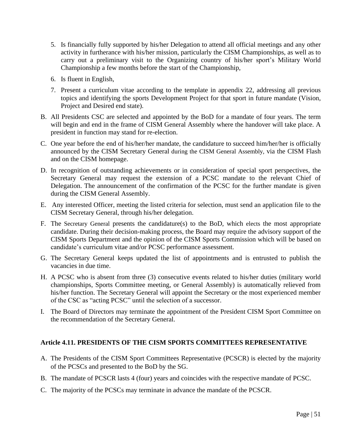- 5. Is financially fully supported by his/her Delegation to attend all official meetings and any other activity in furtherance with his/her mission, particularly the CISM Championships, as well as to carry out a preliminary visit to the Organizing country of his/her sport's Military World Championship a few months before the start of the Championship,
- 6. Is fluent in English,
- 7. Present a curriculum vitae according to the template in appendix 22, addressing all previous topics and identifying the sports Development Project for that sport in future mandate (Vision, Project and Desired end state).
- B. All Presidents CSC are selected and appointed by the BoD for a mandate of four years. The term will begin and end in the frame of CISM General Assembly where the handover will take place. A president in function may stand for re-election.
- C. One year before the end of his/her/her mandate, the candidature to succeed him/her/her is officially announced by the CISM Secretary General during the CISM General Assembly, via the CISM Flash and on the CISM homepage.
- D. In recognition of outstanding achievements or in consideration of special sport perspectives, the Secretary General may request the extension of a PCSC mandate to the relevant Chief of Delegation. The announcement of the confirmation of the PCSC for the further mandate is given during the CISM General Assembly.
- E. Any interested Officer, meeting the listed criteria for selection, must send an application file to the CISM Secretary General, through his/her delegation.
- F. The Secretary General presents the candidature(s) to the BoD, which elects the most appropriate candidate. During their decision-making process, the Board may require the advisory support of the CISM Sports Department and the opinion of the CISM Sports Commission which will be based on candidate's curriculum vitae and/or PCSC performance assessment.
- G. The Secretary General keeps updated the list of appointments and is entrusted to publish the vacancies in due time.
- H. A PCSC who is absent from three (3) consecutive events related to his/her duties (military world championships, Sports Committee meeting, or General Assembly) is automatically relieved from his/her function. The Secretary General will appoint the Secretary or the most experienced member of the CSC as "acting PCSC" until the selection of a successor.
- I. The Board of Directors may terminate the appointment of the President CISM Sport Committee on the recommendation of the Secretary General.

# **Article 4.11. PRESIDENTS OF THE CISM SPORTS COMMITTEES REPRESENTATIVE**

- A. The Presidents of the CISM Sport Committees Representative (PCSCR) is elected by the majority of the PCSCs and presented to the BoD by the SG.
- B. The mandate of PCSCR lasts 4 (four) years and coincides with the respective mandate of PCSC.
- C. The majority of the PCSCs may terminate in advance the mandate of the PCSCR.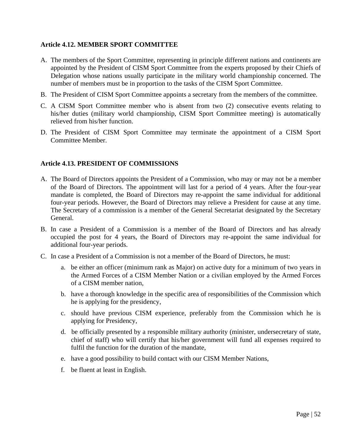# **Article 4.12. MEMBER SPORT COMMITTEE**

- A. The members of the Sport Committee, representing in principle different nations and continents are appointed by the President of CISM Sport Committee from the experts proposed by their Chiefs of Delegation whose nations usually participate in the military world championship concerned. The number of members must be in proportion to the tasks of the CISM Sport Committee.
- B. The President of CISM Sport Committee appoints a secretary from the members of the committee.
- C. A CISM Sport Committee member who is absent from two (2) consecutive events relating to his/her duties (military world championship, CISM Sport Committee meeting) is automatically relieved from his/her function.
- D. The President of CISM Sport Committee may terminate the appointment of a CISM Sport Committee Member.

# **Article 4.13. PRESIDENT OF COMMISSIONS**

- A. The Board of Directors appoints the President of a Commission, who may or may not be a member of the Board of Directors. The appointment will last for a period of 4 years. After the four-year mandate is completed, the Board of Directors may re-appoint the same individual for additional four-year periods. However, the Board of Directors may relieve a President for cause at any time. The Secretary of a commission is a member of the General Secretariat designated by the Secretary General.
- B. In case a President of a Commission is a member of the Board of Directors and has already occupied the post for 4 years, the Board of Directors may re-appoint the same individual for additional four-year periods.
- C. In case a President of a Commission is not a member of the Board of Directors, he must:
	- a. be either an officer (minimum rank as Major) on active duty for a minimum of two years in the Armed Forces of a CISM Member Nation or a civilian employed by the Armed Forces of a CISM member nation,
	- b. have a thorough knowledge in the specific area of responsibilities of the Commission which he is applying for the presidency,
	- c. should have previous CISM experience, preferably from the Commission which he is applying for Presidency,
	- d. be officially presented by a responsible military authority (minister, undersecretary of state, chief of staff) who will certify that his/her government will fund all expenses required to fulfil the function for the duration of the mandate,
	- e. have a good possibility to build contact with our CISM Member Nations,
	- f. be fluent at least in English.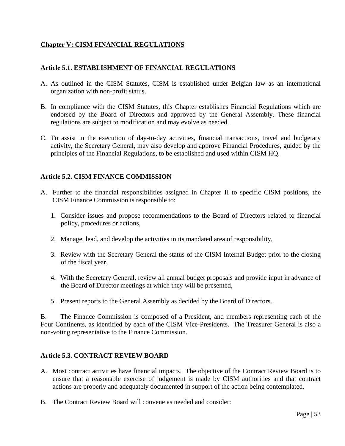# **Chapter V: CISM FINANCIAL REGULATIONS**

## **Article 5.1. ESTABLISHMENT OF FINANCIAL REGULATIONS**

- A. As outlined in the CISM Statutes, CISM is established under Belgian law as an international organization with non-profit status.
- B. In compliance with the CISM Statutes, this Chapter establishes Financial Regulations which are endorsed by the Board of Directors and approved by the General Assembly. These financial regulations are subject to modification and may evolve as needed.
- C. To assist in the execution of day-to-day activities, financial transactions, travel and budgetary activity, the Secretary General, may also develop and approve Financial Procedures, guided by the principles of the Financial Regulations, to be established and used within CISM HQ.

# **Article 5.2. CISM FINANCE COMMISSION**

- A. Further to the financial responsibilities assigned in Chapter II to specific CISM positions, the CISM Finance Commission is responsible to:
	- 1. Consider issues and propose recommendations to the Board of Directors related to financial policy, procedures or actions,
	- 2. Manage, lead, and develop the activities in its mandated area of responsibility,
	- 3. Review with the Secretary General the status of the CISM Internal Budget prior to the closing of the fiscal year,
	- 4. With the Secretary General, review all annual budget proposals and provide input in advance of the Board of Director meetings at which they will be presented,
	- 5. Present reports to the General Assembly as decided by the Board of Directors.

B. The Finance Commission is composed of a President, and members representing each of the Four Continents, as identified by each of the CISM Vice-Presidents. The Treasurer General is also a non-voting representative to the Finance Commission.

#### **Article 5.3. CONTRACT REVIEW BOARD**

- A. Most contract activities have financial impacts. The objective of the Contract Review Board is to ensure that a reasonable exercise of judgement is made by CISM authorities and that contract actions are properly and adequately documented in support of the action being contemplated.
- B. The Contract Review Board will convene as needed and consider: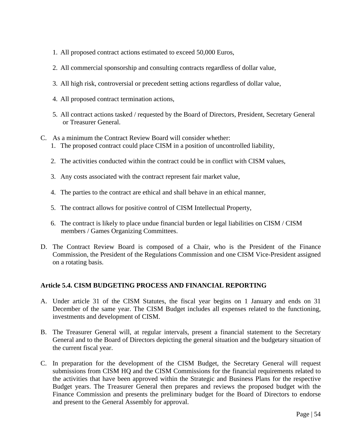- 1. All proposed contract actions estimated to exceed 50,000 Euros,
- 2. All commercial sponsorship and consulting contracts regardless of dollar value,
- 3. All high risk, controversial or precedent setting actions regardless of dollar value,
- 4. All proposed contract termination actions,
- 5. All contract actions tasked / requested by the Board of Directors, President, Secretary General or Treasurer General.
- C. As a minimum the Contract Review Board will consider whether:
	- 1. The proposed contract could place CISM in a position of uncontrolled liability,
	- 2. The activities conducted within the contract could be in conflict with CISM values,
	- 3. Any costs associated with the contract represent fair market value,
	- 4. The parties to the contract are ethical and shall behave in an ethical manner,
	- 5. The contract allows for positive control of CISM Intellectual Property,
	- 6. The contract is likely to place undue financial burden or legal liabilities on CISM / CISM members / Games Organizing Committees.
- D. The Contract Review Board is composed of a Chair, who is the President of the Finance Commission, the President of the Regulations Commission and one CISM Vice-President assigned on a rotating basis.

# **Article 5.4. CISM BUDGETING PROCESS AND FINANCIAL REPORTING**

- A. Under article 31 of the CISM Statutes, the fiscal year begins on 1 January and ends on 31 December of the same year. The CISM Budget includes all expenses related to the functioning, investments and development of CISM.
- B. The Treasurer General will, at regular intervals, present a financial statement to the Secretary General and to the Board of Directors depicting the general situation and the budgetary situation of the current fiscal year.
- C. In preparation for the development of the CISM Budget, the Secretary General will request submissions from CISM HQ and the CISM Commissions for the financial requirements related to the activities that have been approved within the Strategic and Business Plans for the respective Budget years. The Treasurer General then prepares and reviews the proposed budget with the Finance Commission and presents the preliminary budget for the Board of Directors to endorse and present to the General Assembly for approval.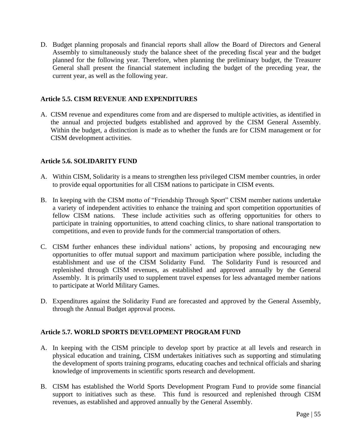D. Budget planning proposals and financial reports shall allow the Board of Directors and General Assembly to simultaneously study the balance sheet of the preceding fiscal year and the budget planned for the following year. Therefore, when planning the preliminary budget, the Treasurer General shall present the financial statement including the budget of the preceding year, the current year, as well as the following year.

## **Article 5.5. CISM REVENUE AND EXPENDITURES**

A. CISM revenue and expenditures come from and are dispersed to multiple activities, as identified in the annual and projected budgets established and approved by the CISM General Assembly. Within the budget, a distinction is made as to whether the funds are for CISM management or for CISM development activities.

## **Article 5.6. SOLIDARITY FUND**

- A. Within CISM, Solidarity is a means to strengthen less privileged CISM member countries, in order to provide equal opportunities for all CISM nations to participate in CISM events.
- B. In keeping with the CISM motto of "Friendship Through Sport" CISM member nations undertake a variety of independent activities to enhance the training and sport competition opportunities of fellow CISM nations. These include activities such as offering opportunities for others to participate in training opportunities, to attend coaching clinics, to share national transportation to competitions, and even to provide funds for the commercial transportation of others.
- C. CISM further enhances these individual nations' actions, by proposing and encouraging new opportunities to offer mutual support and maximum participation where possible, including the establishment and use of the CISM Solidarity Fund. The Solidarity Fund is resourced and replenished through CISM revenues, as established and approved annually by the General Assembly. It is primarily used to supplement travel expenses for less advantaged member nations to participate at World Military Games.
- D. Expenditures against the Solidarity Fund are forecasted and approved by the General Assembly, through the Annual Budget approval process.

#### **Article 5.7. WORLD SPORTS DEVELOPMENT PROGRAM FUND**

- A. In keeping with the CISM principle to develop sport by practice at all levels and research in physical education and training, CISM undertakes initiatives such as supporting and stimulating the development of sports training programs, educating coaches and technical officials and sharing knowledge of improvements in scientific sports research and development.
- B. CISM has established the World Sports Development Program Fund to provide some financial support to initiatives such as these. This fund is resourced and replenished through CISM revenues, as established and approved annually by the General Assembly.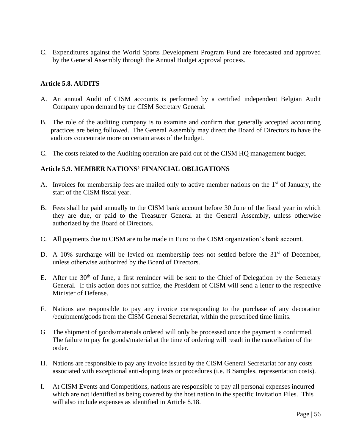C. Expenditures against the World Sports Development Program Fund are forecasted and approved by the General Assembly through the Annual Budget approval process.

## **Article 5.8. AUDITS**

- A. An annual Audit of CISM accounts is performed by a certified independent Belgian Audit Company upon demand by the CISM Secretary General.
- B. The role of the auditing company is to examine and confirm that generally accepted accounting practices are being followed. The General Assembly may direct the Board of Directors to have the auditors concentrate more on certain areas of the budget.
- C. The costs related to the Auditing operation are paid out of the CISM HQ management budget.

#### **Article 5.9. MEMBER NATIONS' FINANCIAL OBLIGATIONS**

- A. Invoices for membership fees are mailed only to active member nations on the 1<sup>st</sup> of January, the start of the CISM fiscal year.
- B. Fees shall be paid annually to the CISM bank account before 30 June of the fiscal year in which they are due, or paid to the Treasurer General at the General Assembly, unless otherwise authorized by the Board of Directors.
- C. All payments due to CISM are to be made in Euro to the CISM organization's bank account.
- D. A 10% surcharge will be levied on membership fees not settled before the  $31<sup>st</sup>$  of December, unless otherwise authorized by the Board of Directors.
- E. After the 30<sup>th</sup> of June, a first reminder will be sent to the Chief of Delegation by the Secretary General. If this action does not suffice, the President of CISM will send a letter to the respective Minister of Defense.
- F. Nations are responsible to pay any invoice corresponding to the purchase of any decoration /equipment/goods from the CISM General Secretariat, within the prescribed time limits.
- G The shipment of goods/materials ordered will only be processed once the payment is confirmed. The failure to pay for goods/material at the time of ordering will result in the cancellation of the order.
- H. Nations are responsible to pay any invoice issued by the CISM General Secretariat for any costs associated with exceptional anti-doping tests or procedures (i.e. B Samples, representation costs).
- I. At CISM Events and Competitions, nations are responsible to pay all personal expenses incurred which are not identified as being covered by the host nation in the specific Invitation Files. This will also include expenses as identified in Article 8.18.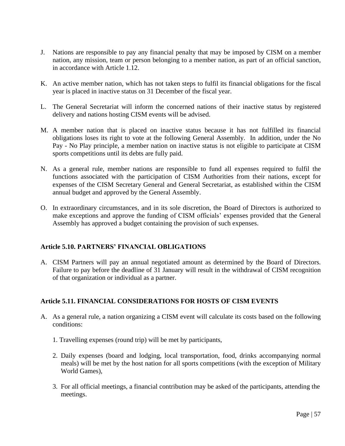- J. Nations are responsible to pay any financial penalty that may be imposed by CISM on a member nation, any mission, team or person belonging to a member nation, as part of an official sanction, in accordance with Article 1.12.
- K. An active member nation, which has not taken steps to fulfil its financial obligations for the fiscal year is placed in inactive status on 31 December of the fiscal year.
- L. The General Secretariat will inform the concerned nations of their inactive status by registered delivery and nations hosting CISM events will be advised.
- M. A member nation that is placed on inactive status because it has not fulfilled its financial obligations loses its right to vote at the following General Assembly. In addition, under the No Pay - No Play principle, a member nation on inactive status is not eligible to participate at CISM sports competitions until its debts are fully paid.
- N. As a general rule, member nations are responsible to fund all expenses required to fulfil the functions associated with the participation of CISM Authorities from their nations, except for expenses of the CISM Secretary General and General Secretariat, as established within the CISM annual budget and approved by the General Assembly.
- O. In extraordinary circumstances, and in its sole discretion, the Board of Directors is authorized to make exceptions and approve the funding of CISM officials' expenses provided that the General Assembly has approved a budget containing the provision of such expenses.

# **Article 5.10. PARTNERS' FINANCIAL OBLIGATIONS**

A. CISM Partners will pay an annual negotiated amount as determined by the Board of Directors. Failure to pay before the deadline of 31 January will result in the withdrawal of CISM recognition of that organization or individual as a partner.

# **Article 5.11. FINANCIAL CONSIDERATIONS FOR HOSTS OF CISM EVENTS**

- A. As a general rule, a nation organizing a CISM event will calculate its costs based on the following conditions:
	- 1. Travelling expenses (round trip) will be met by participants,
	- 2. Daily expenses (board and lodging, local transportation, food, drinks accompanying normal meals) will be met by the host nation for all sports competitions (with the exception of Military World Games),
	- 3. For all official meetings, a financial contribution may be asked of the participants, attending the meetings.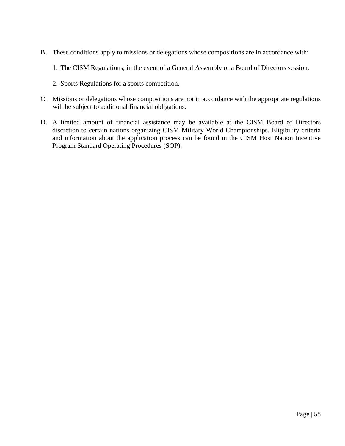- B. These conditions apply to missions or delegations whose compositions are in accordance with:
	- 1. The CISM Regulations, in the event of a General Assembly or a Board of Directors session,
	- 2. Sports Regulations for a sports competition.
- C. Missions or delegations whose compositions are not in accordance with the appropriate regulations will be subject to additional financial obligations.
- D. A limited amount of financial assistance may be available at the CISM Board of Directors discretion to certain nations organizing CISM Military World Championships. Eligibility criteria and information about the application process can be found in the CISM Host Nation Incentive Program Standard Operating Procedures (SOP).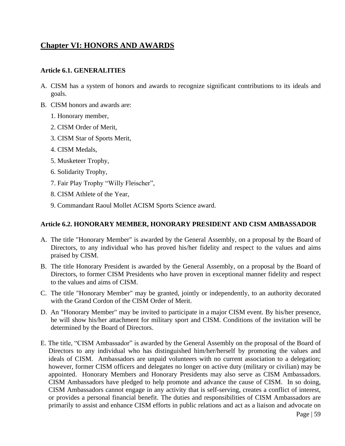# **Chapter VI: HONORS AND AWARDS**

#### **Article 6.1. GENERALITIES**

- A. CISM has a system of honors and awards to recognize significant contributions to its ideals and goals.
- B. CISM honors and awards are:
	- 1. Honorary member,
	- 2. CISM Order of Merit,
	- 3. CISM Star of Sports Merit,
	- 4. CISM Medals,
	- 5. Musketeer Trophy,
	- 6. Solidarity Trophy,
	- 7. Fair Play Trophy "Willy Fleischer",
	- 8. CISM Athlete of the Year,
	- 9. Commandant Raoul Mollet ACISM Sports Science award.

#### **Article 6.2. HONORARY MEMBER, HONORARY PRESIDENT AND CISM AMBASSADOR**

- A. The title "Honorary Member" is awarded by the General Assembly, on a proposal by the Board of Directors, to any individual who has proved his/her fidelity and respect to the values and aims praised by CISM.
- B. The title Honorary President is awarded by the General Assembly, on a proposal by the Board of Directors, to former CISM Presidents who have proven in exceptional manner fidelity and respect to the values and aims of CISM.
- C. The title "Honorary Member" may be granted, jointly or independently, to an authority decorated with the Grand Cordon of the CISM Order of Merit.
- D. An "Honorary Member" may be invited to participate in a major CISM event. By his/her presence, he will show his/her attachment for military sport and CISM. Conditions of the invitation will be determined by the Board of Directors.
- E. The title, "CISM Ambassador" is awarded by the General Assembly on the proposal of the Board of Directors to any individual who has distinguished him/her/herself by promoting the values and ideals of CISM. Ambassadors are unpaid volunteers with no current association to a delegation; however, former CISM officers and delegates no longer on active duty (military or civilian) may be appointed. Honorary Members and Honorary Presidents may also serve as CISM Ambassadors. CISM Ambassadors have pledged to help promote and advance the cause of CISM. In so doing, CISM Ambassadors cannot engage in any activity that is self-serving, creates a conflict of interest, or provides a personal financial benefit. The duties and responsibilities of CISM Ambassadors are primarily to assist and enhance CISM efforts in public relations and act as a liaison and advocate on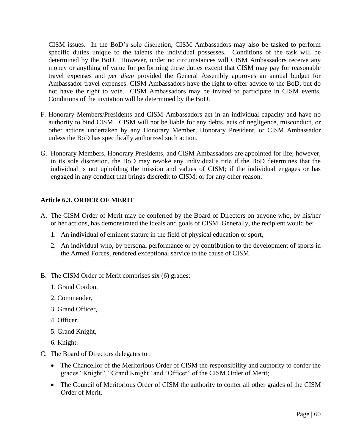CISM issues. In the BoD's sole discretion, CISM Ambassadors may also be tasked to perform specific duties unique to the talents the individual possesses. Conditions of the task will be determined by the BoD. However, under no circumstances will CISM Ambassadors receive any money or anything of value for performing these duties except that CISM may pay for reasonable travel expenses and *per diem* provided the General Assembly approves an annual budget for Ambassador travel expenses. CISM Ambassadors have the right to offer advice to the BoD, but do not have the right to vote. CISM Ambassadors may be invited to participate in CISM events. Conditions of the invitation will be determined by the BoD.

- F. Honorary Members/Presidents and CISM Ambassadors act in an individual capacity and have no authority to bind CISM. CISM will not be liable for any debts, acts of negligence, misconduct, or other actions undertaken by any Honorary Member, Honorary President, or CISM Ambassador unless the BoD has specifically authorized such action.
- G. Honorary Members, Honorary Presidents, and CISM Ambassadors are appointed for life; however, in its sole discretion, the BoD may revoke any individual's title if the BoD determines that the individual is not upholding the mission and values of CISM; if the individual engages or has engaged in any conduct that brings discredit to CISM; or for any other reason.

# **Article 6.3. ORDER OF MERIT**

- A. The CISM Order of Merit may be conferred by the Board of Directors on anyone who, by his/her or her actions, has demonstrated the ideals and goals of CISM. Generally, the recipient would be:
	- 1. An individual of eminent stature in the field of physical education or sport,
	- 2. An individual who, by personal performance or by contribution to the development of sports in the Armed Forces, rendered exceptional service to the cause of CISM.
- B. The CISM Order of Merit comprises six (6) grades:
	- 1. Grand Cordon,
	- 2. Commander,
	- 3. Grand Officer,
	- 4. Officer,
	- 5. Grand Knight,
	- 6. Knight.
- C. The Board of Directors delegates to :
	- The Chancellor of the Meritorious Order of CISM the responsibility and authority to confer the grades "Knight", "Grand Knight" and "Officer" of the CISM Order of Merit;
	- The Council of Meritorious Order of CISM the authority to confer all other grades of the CISM Order of Merit.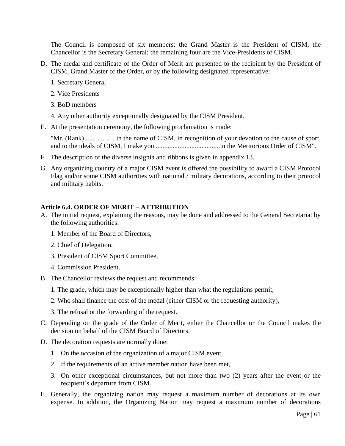The Council is composed of six members: the Grand Master is the President of CISM, the Chancellor is the Secretary General; the remaining four are the Vice-Presidents of CISM.

- D. The medal and certificate of the Order of Merit are presented to the recipient by the President of CISM, Grand Master of the Order, or by the following designated representative:
	- 1. Secretary General
	- 2. Vice Presidents
	- 3. BoD members
	- 4. Any other authority exceptionally designated by the CISM President.
- E. At the presentation ceremony, the following proclamation is made:

"Mr. (Rank) ................. in the name of CISM, in recognition of your devotion to the cause of sport, and to the ideals of CISM, I make you ......................................in the Meritorious Order of CISM".

- F. The description of the diverse insignia and ribbons is given in appendix 13.
- G. Any organizing country of a major CISM event is offered the possibility to award a CISM Protocol Flag and/or some CISM authorities with national / military decorations, according to their protocol and military habits.

#### **Article 6.4. ORDER OF MERIT – ATTRIBUTION**

- A. The initial request, explaining the reasons, may be done and addressed to the General Secretariat by the following authorities:
	- 1. Member of the Board of Directors,
	- 2. Chief of Delegation,
	- 3. President of CISM Sport Committee,
	- 4. Commission President.
- B. The Chancellor reviews the request and recommends:
	- 1. The grade, which may be exceptionally higher than what the regulations permit,
	- 2. Who shall finance the cost of the medal (either CISM or the requesting authority),
	- 3. The refusal or the forwarding of the request.
- C. Depending on the grade of the Order of Merit, either the Chancellor or the Council makes the decision on behalf of the CISM Board of Directors.
- D. The decoration requests are normally done:
	- 1. On the occasion of the organization of a major CISM event,
	- 2. If the requirements of an active member nation have been met,
	- 3. On other exceptional circumstances, but not more than two (2) years after the event or the recipient's departure from CISM.
- E. Generally, the organizing nation may request a maximum number of decorations at its own expense. In addition, the Organizing Nation may request a maximum number of decorations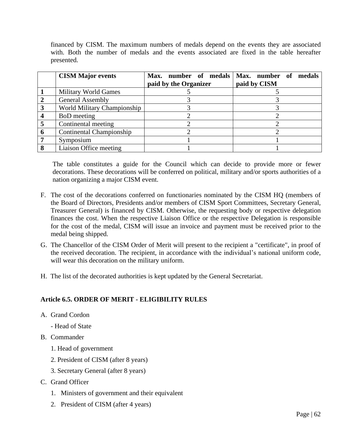financed by CISM. The maximum numbers of medals depend on the events they are associated with. Both the number of medals and the events associated are fixed in the table hereafter presented.

| <b>CISM Major events</b>    |                       | Max. number of medals   Max. number of medals |
|-----------------------------|-----------------------|-----------------------------------------------|
|                             | paid by the Organizer | paid by CISM                                  |
| <b>Military World Games</b> |                       |                                               |
| <b>General Assembly</b>     |                       |                                               |
| World Military Championship |                       |                                               |
| <b>BoD</b> meeting          |                       |                                               |
| Continental meeting         |                       |                                               |
| Continental Championship    |                       |                                               |
| Symposium                   |                       |                                               |
| Liaison Office meeting      |                       |                                               |

The table constitutes a guide for the Council which can decide to provide more or fewer decorations. These decorations will be conferred on political, military and/or sports authorities of a nation organizing a major CISM event.

- F. The cost of the decorations conferred on functionaries nominated by the CISM HQ (members of the Board of Directors, Presidents and/or members of CISM Sport Committees, Secretary General, Treasurer General) is financed by CISM. Otherwise, the requesting body or respective delegation finances the cost. When the respective Liaison Office or the respective Delegation is responsible for the cost of the medal, CISM will issue an invoice and payment must be received prior to the medal being shipped.
- G. The Chancellor of the CISM Order of Merit will present to the recipient a "certificate", in proof of the received decoration. The recipient, in accordance with the individual's national uniform code, will wear this decoration on the military uniform.
- H. The list of the decorated authorities is kept updated by the General Secretariat.

# **Article 6.5. ORDER OF MERIT - ELIGIBILITY RULES**

- A. Grand Cordon
	- Head of State
- B. Commander
	- 1. Head of government
	- 2. President of CISM (after 8 years)
	- 3. Secretary General (after 8 years)
- C. Grand Officer
	- 1. Ministers of government and their equivalent
	- 2. President of CISM (after 4 years)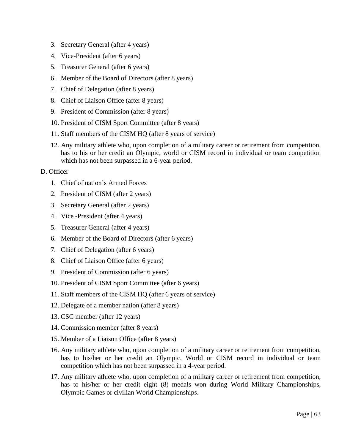- 3. Secretary General (after 4 years)
- 4. Vice-President (after 6 years)
- 5. Treasurer General (after 6 years)
- 6. Member of the Board of Directors (after 8 years)
- 7. Chief of Delegation (after 8 years)
- 8. Chief of Liaison Office (after 8 years)
- 9. President of Commission (after 8 years)
- 10. President of CISM Sport Committee (after 8 years)
- 11. Staff members of the CISM HQ (after 8 years of service)
- 12. Any military athlete who, upon completion of a military career or retirement from competition, has to his or her credit an Olympic, world or CISM record in individual or team competition which has not been surpassed in a 6-year period.

#### D. Officer

- 1. Chief of nation's Armed Forces
- 2. President of CISM (after 2 years)
- 3. Secretary General (after 2 years)
- 4. Vice -President (after 4 years)
- 5. Treasurer General (after 4 years)
- 6. Member of the Board of Directors (after 6 years)
- 7. Chief of Delegation (after 6 years)
- 8. Chief of Liaison Office (after 6 years)
- 9. President of Commission (after 6 years)
- 10. President of CISM Sport Committee (after 6 years)
- 11. Staff members of the CISM HQ (after 6 years of service)
- 12. Delegate of a member nation (after 8 years)
- 13. CSC member (after 12 years)
- 14. Commission member (after 8 years)
- 15. Member of a Liaison Office (after 8 years)
- 16. Any military athlete who, upon completion of a military career or retirement from competition, has to his/her or her credit an Olympic, World or CISM record in individual or team competition which has not been surpassed in a 4-year period.
- 17. Any military athlete who, upon completion of a military career or retirement from competition, has to his/her or her credit eight (8) medals won during World Military Championships, Olympic Games or civilian World Championships.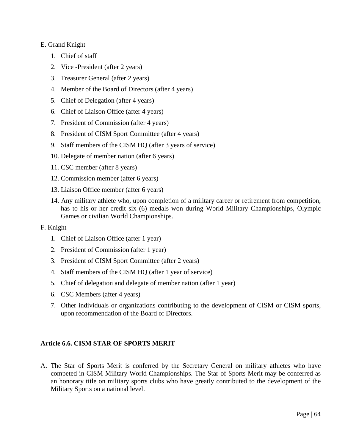## E. Grand Knight

- 1. Chief of staff
- 2. Vice -President (after 2 years)
- 3. Treasurer General (after 2 years)
- 4. Member of the Board of Directors (after 4 years)
- 5. Chief of Delegation (after 4 years)
- 6. Chief of Liaison Office (after 4 years)
- 7. President of Commission (after 4 years)
- 8. President of CISM Sport Committee (after 4 years)
- 9. Staff members of the CISM HQ (after 3 years of service)
- 10. Delegate of member nation (after 6 years)
- 11. CSC member (after 8 years)
- 12. Commission member (after 6 years)
- 13. Liaison Office member (after 6 years)
- 14. Any military athlete who, upon completion of a military career or retirement from competition, has to his or her credit six (6) medals won during World Military Championships, Olympic Games or civilian World Championships.

#### F. Knight

- 1. Chief of Liaison Office (after 1 year)
- 2. President of Commission (after 1 year)
- 3. President of CISM Sport Committee (after 2 years)
- 4. Staff members of the CISM HQ (after 1 year of service)
- 5. Chief of delegation and delegate of member nation (after 1 year)
- 6. CSC Members (after 4 years)
- 7. Other individuals or organizations contributing to the development of CISM or CISM sports, upon recommendation of the Board of Directors.

# **Article 6.6. CISM STAR OF SPORTS MERIT**

A. The Star of Sports Merit is conferred by the Secretary General on military athletes who have competed in CISM Military World Championships. The Star of Sports Merit may be conferred as an honorary title on military sports clubs who have greatly contributed to the development of the Military Sports on a national level.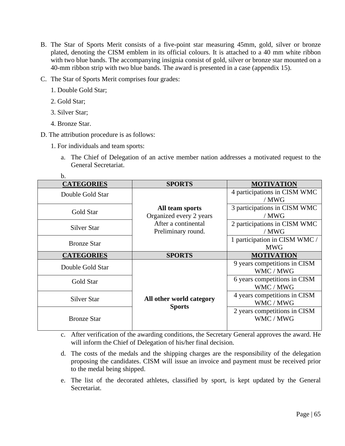- B. The Star of Sports Merit consists of a five-point star measuring 45mm, gold, silver or bronze plated, denoting the CISM emblem in its official colours. It is attached to a 40 mm white ribbon with two blue bands. The accompanying insignia consist of gold, silver or bronze star mounted on a 40-mm ribbon strip with two blue bands. The award is presented in a case (appendix 15).
- C. The Star of Sports Merit comprises four grades:
	- 1. Double Gold Star;
	- 2. Gold Star;
	- 3. Silver Star;
	- 4. Bronze Star.

b.

- D. The attribution procedure is as follows:
	- 1. For individuals and team sports:
		- a. The Chief of Delegation of an active member nation addresses a motivated request to the General Secretariat.

| D.                 |                          |                               |
|--------------------|--------------------------|-------------------------------|
| <b>CATEGORIES</b>  | <b>SPORTS</b>            | <b>MOTIVATION</b>             |
| Double Gold Star   |                          | 4 participations in CISM WMC  |
|                    |                          | / MWG                         |
|                    | All team sports          | 3 participations in CISM WMC  |
| Gold Star          | Organized every 2 years  | / MWG                         |
|                    | After a continental      | 2 participations in CISM WMC  |
| <b>Silver Star</b> | Preliminary round.       | / MWG                         |
|                    |                          | 1 participation in CISM WMC / |
| <b>Bronze Star</b> |                          | <b>MWG</b>                    |
|                    |                          |                               |
| <b>CATEGORIES</b>  | <b>SPORTS</b>            | <b>MOTIVATION</b>             |
|                    |                          | 9 years competitions in CISM  |
| Double Gold Star   |                          | WMC / MWG                     |
|                    |                          | 6 years competitions in CISM  |
| Gold Star          |                          | WMC / MWG                     |
|                    |                          | 4 years competitions in CISM  |
| Silver Star        | All other world category | WMC / MWG                     |
|                    | <b>Sports</b>            | 2 years competitions in CISM  |
| <b>Bronze Star</b> |                          | WMC / MWG                     |

c. After verification of the awarding conditions, the Secretary General approves the award. He will inform the Chief of Delegation of his/her final decision.

- d. The costs of the medals and the shipping charges are the responsibility of the delegation proposing the candidates. CISM will issue an invoice and payment must be received prior to the medal being shipped.
- e. The list of the decorated athletes, classified by sport, is kept updated by the General Secretariat.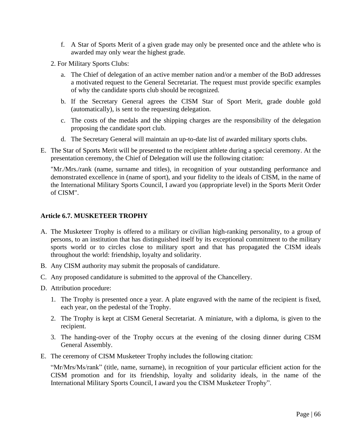- f. A Star of Sports Merit of a given grade may only be presented once and the athlete who is awarded may only wear the highest grade.
- 2. For Military Sports Clubs:
	- a. The Chief of delegation of an active member nation and/or a member of the BoD addresses a motivated request to the General Secretariat. The request must provide specific examples of why the candidate sports club should be recognized.
	- b. If the Secretary General agrees the CISM Star of Sport Merit, grade double gold (automatically), is sent to the requesting delegation.
	- c. The costs of the medals and the shipping charges are the responsibility of the delegation proposing the candidate sport club.
	- d. The Secretary General will maintain an up-to-date list of awarded military sports clubs.
- E. The Star of Sports Merit will be presented to the recipient athlete during a special ceremony. At the presentation ceremony, the Chief of Delegation will use the following citation:

"Mr./Mrs./rank (name, surname and titles), in recognition of your outstanding performance and demonstrated excellence in (name of sport), and your fidelity to the ideals of CISM, in the name of the International Military Sports Council, I award you (appropriate level) in the Sports Merit Order of CISM".

## **Article 6.7. MUSKETEER TROPHY**

- A. The Musketeer Trophy is offered to a military or civilian high-ranking personality, to a group of persons, to an institution that has distinguished itself by its exceptional commitment to the military sports world or to circles close to military sport and that has propagated the CISM ideals throughout the world: friendship, loyalty and solidarity.
- B. Any CISM authority may submit the proposals of candidature.
- C. Any proposed candidature is submitted to the approval of the Chancellery.
- D. Attribution procedure:
	- 1. The Trophy is presented once a year. A plate engraved with the name of the recipient is fixed, each year, on the pedestal of the Trophy.
	- 2. The Trophy is kept at CISM General Secretariat. A miniature, with a diploma, is given to the recipient.
	- 3. The handing-over of the Trophy occurs at the evening of the closing dinner during CISM General Assembly.
- E. The ceremony of CISM Musketeer Trophy includes the following citation:

"Mr/Mrs/Ms/rank" (title, name, surname), in recognition of your particular efficient action for the CISM promotion and for its friendship, loyalty and solidarity ideals, in the name of the International Military Sports Council, I award you the CISM Musketeer Trophy".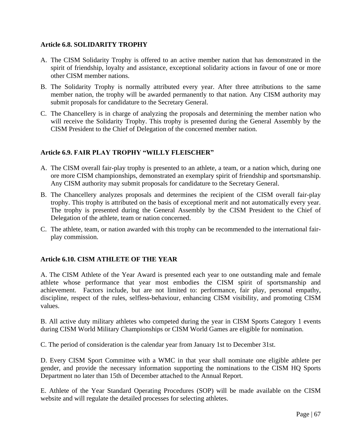## **Article 6.8. SOLIDARITY TROPHY**

- A. The CISM Solidarity Trophy is offered to an active member nation that has demonstrated in the spirit of friendship, loyalty and assistance, exceptional solidarity actions in favour of one or more other CISM member nations.
- B. The Solidarity Trophy is normally attributed every year. After three attributions to the same member nation, the trophy will be awarded permanently to that nation. Any CISM authority may submit proposals for candidature to the Secretary General.
- C. The Chancellery is in charge of analyzing the proposals and determining the member nation who will receive the Solidarity Trophy. This trophy is presented during the General Assembly by the CISM President to the Chief of Delegation of the concerned member nation.

## **Article 6.9. FAIR PLAY TROPHY "WILLY FLEISCHER"**

- A. The CISM overall fair-play trophy is presented to an athlete, a team, or a nation which, during one ore more CISM championships, demonstrated an exemplary spirit of friendship and sportsmanship. Any CISM authority may submit proposals for candidature to the Secretary General.
- B. The Chancellery analyzes proposals and determines the recipient of the CISM overall fair-play trophy. This trophy is attributed on the basis of exceptional merit and not automatically every year. The trophy is presented during the General Assembly by the CISM President to the Chief of Delegation of the athlete, team or nation concerned.
- C. The athlete, team, or nation awarded with this trophy can be recommended to the international fairplay commission.

# **Article 6.10. CISM ATHLETE OF THE YEAR**

A. The CISM Athlete of the Year Award is presented each year to one outstanding male and female athlete whose performance that year most embodies the CISM spirit of sportsmanship and achievement. Factors include, but are not limited to: performance, fair play, personal empathy, discipline, respect of the rules, selfless-behaviour, enhancing CISM visibility, and promoting CISM values.

B. All active duty military athletes who competed during the year in CISM Sports Category 1 events during CISM World Military Championships or CISM World Games are eligible for nomination.

C. The period of consideration is the calendar year from January 1st to December 31st.

D. Every CISM Sport Committee with a WMC in that year shall nominate one eligible athlete per gender, and provide the necessary information supporting the nominations to the CISM HQ Sports Department no later than 15th of December attached to the Annual Report.

E. Athlete of the Year Standard Operating Procedures (SOP) will be made available on the CISM website and will regulate the detailed processes for selecting athletes.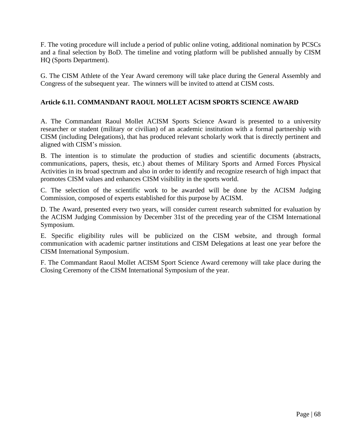F. The voting procedure will include a period of public online voting, additional nomination by PCSCs and a final selection by BoD. The timeline and voting platform will be published annually by CISM HQ (Sports Department).

G. The CISM Athlete of the Year Award ceremony will take place during the General Assembly and Congress of the subsequent year. The winners will be invited to attend at CISM costs.

# **Article 6.11. COMMANDANT RAOUL MOLLET ACISM SPORTS SCIENCE AWARD**

A. The Commandant Raoul Mollet ACISM Sports Science Award is presented to a university researcher or student (military or civilian) of an academic institution with a formal partnership with CISM (including Delegations), that has produced relevant scholarly work that is directly pertinent and aligned with CISM's mission.

B. The intention is to stimulate the production of studies and scientific documents (abstracts, communications, papers, thesis, etc.) about themes of Military Sports and Armed Forces Physical Activities in its broad spectrum and also in order to identify and recognize research of high impact that promotes CISM values and enhances CISM visibility in the sports world.

C. The selection of the scientific work to be awarded will be done by the ACISM Judging Commission, composed of experts established for this purpose by ACISM.

D. The Award, presented every two years, will consider current research submitted for evaluation by the ACISM Judging Commission by December 31st of the preceding year of the CISM International Symposium.

E. Specific eligibility rules will be publicized on the CISM website, and through formal communication with academic partner institutions and CISM Delegations at least one year before the CISM International Symposium.

F. The Commandant Raoul Mollet ACISM Sport Science Award ceremony will take place during the Closing Ceremony of the CISM International Symposium of the year.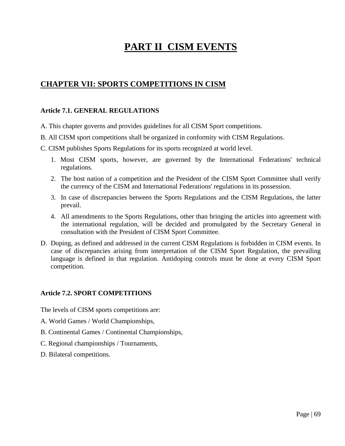# **PART II CISM EVENTS**

# **CHAPTER VII: SPORTS COMPETITIONS IN CISM**

## **Article 7.1. GENERAL REGULATIONS**

- A. This chapter governs and provides guidelines for all CISM Sport competitions.
- B. All CISM sport competitions shall be organized in conformity with CISM Regulations.
- C. CISM publishes Sports Regulations for its sports recognized at world level.
	- 1. Most CISM sports, however, are governed by the International Federations' technical regulations.
	- 2. The host nation of a competition and the President of the CISM Sport Committee shall verify the currency of the CISM and International Federations' regulations in its possession.
	- 3. In case of discrepancies between the Sports Regulations and the CISM Regulations, the latter prevail.
	- 4. All amendments to the Sports Regulations, other than bringing the articles into agreement with the international regulation, will be decided and promulgated by the Secretary General in consultation with the President of CISM Sport Committee.
- D. Doping, as defined and addressed in the current CISM Regulations is forbidden in CISM events. In case of discrepancies arising from interpretation of the CISM Sport Regulation, the prevailing language is defined in that regulation. Antidoping controls must be done at every CISM Sport competition.

# **Article 7.2. SPORT COMPETITIONS**

The levels of CISM sports competitions are:

- A. World Games / World Championships,
- B. Continental Games / Continental Championships,
- C. Regional championships / Tournaments,
- D. Bilateral competitions.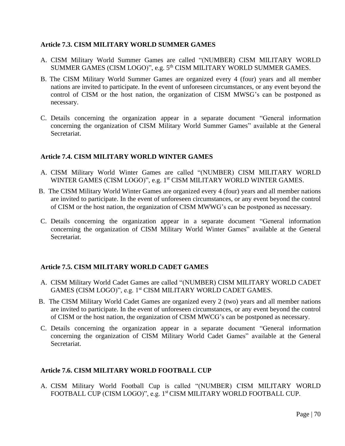## **Article 7.3. CISM MILITARY WORLD SUMMER GAMES**

- A. CISM Military World Summer Games are called "(NUMBER) CISM MILITARY WORLD SUMMER GAMES (CISM LOGO)", e.g. 5<sup>th</sup> CISM MILITARY WORLD SUMMER GAMES.
- B. The CISM Military World Summer Games are organized every 4 (four) years and all member nations are invited to participate. In the event of unforeseen circumstances, or any event beyond the control of CISM or the host nation, the organization of CISM MWSG's can be postponed as necessary.
- C. Details concerning the organization appear in a separate document "General information concerning the organization of CISM Military World Summer Games" available at the General Secretariat.

## **Article 7.4. CISM MILITARY WORLD WINTER GAMES**

- A. CISM Military World Winter Games are called "(NUMBER) CISM MILITARY WORLD WINTER GAMES (CISM LOGO)", e.g. 1<sup>st</sup> CISM MILITARY WORLD WINTER GAMES.
- B. The CISM Military World Winter Games are organized every 4 (four) years and all member nations are invited to participate. In the event of unforeseen circumstances, or any event beyond the control of CISM or the host nation, the organization of CISM MWWG's can be postponed as necessary.
- C. Details concerning the organization appear in a separate document "General information concerning the organization of CISM Military World Winter Games" available at the General **Secretariat**

# **Article 7.5. CISM MILITARY WORLD CADET GAMES**

- A. CISM Military World Cadet Games are called "(NUMBER) CISM MILITARY WORLD CADET GAMES (CISM LOGO)", e.g. 1<sup>st</sup> CISM MILITARY WORLD CADET GAMES.
- B. The CISM Military World Cadet Games are organized every 2 (two) years and all member nations are invited to participate. In the event of unforeseen circumstances, or any event beyond the control of CISM or the host nation, the organization of CISM MWCG's can be postponed as necessary.
- C. Details concerning the organization appear in a separate document "General information concerning the organization of CISM Military World Cadet Games" available at the General Secretariat.

# **Article 7.6. CISM MILITARY WORLD FOOTBALL CUP**

A. CISM Military World Football Cup is called "(NUMBER) CISM MILITARY WORLD FOOTBALL CUP (CISM LOGO)", e.g. 1<sup>st</sup> CISM MILITARY WORLD FOOTBALL CUP.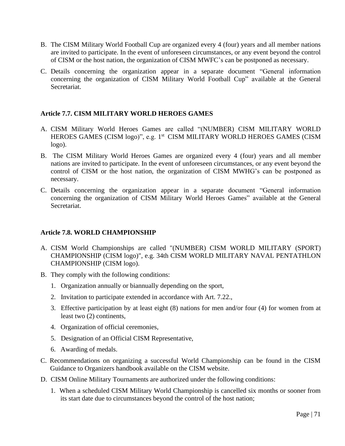- B. The CISM Military World Football Cup are organized every 4 (four) years and all member nations are invited to participate. In the event of unforeseen circumstances, or any event beyond the control of CISM or the host nation, the organization of CISM MWFC's can be postponed as necessary.
- C. Details concerning the organization appear in a separate document "General information concerning the organization of CISM Military World Football Cup" available at the General Secretariat.

## **Article 7.7. CISM MILITARY WORLD HEROES GAMES**

- A. CISM Military World Heroes Games are called "(NUMBER) CISM MILITARY WORLD HEROES GAMES (CISM logo)", e.g. 1<sup>st</sup> CISM MILITARY WORLD HEROES GAMES (CISM logo).
- B. The CISM Military World Heroes Games are organized every 4 (four) years and all member nations are invited to participate. In the event of unforeseen circumstances, or any event beyond the control of CISM or the host nation, the organization of CISM MWHG's can be postponed as necessary.
- C. Details concerning the organization appear in a separate document "General information concerning the organization of CISM Military World Heroes Games" available at the General Secretariat.

#### **Article 7.8. WORLD CHAMPIONSHIP**

- A. CISM World Championships are called "(NUMBER) CISM WORLD MILITARY (SPORT) CHAMPIONSHIP (CISM logo)", e.g. 34th CISM WORLD MILITARY NAVAL PENTATHLON CHAMPIONSHIP (CISM logo).
- B. They comply with the following conditions:
	- 1. Organization annually or biannually depending on the sport,
	- 2. Invitation to participate extended in accordance with Art. 7.22.,
	- 3. Effective participation by at least eight (8) nations for men and/or four (4) for women from at least two (2) continents,
	- 4. Organization of official ceremonies,
	- 5. Designation of an Official CISM Representative,
	- 6. Awarding of medals.
- C. Recommendations on organizing a successful World Championship can be found in the CISM Guidance to Organizers handbook available on the CISM website.
- D. CISM Online Military Tournaments are authorized under the following conditions:
	- 1. When a scheduled CISM Military World Championship is cancelled six months or sooner from its start date due to circumstances beyond the control of the host nation;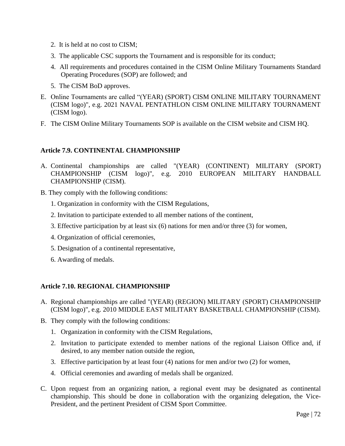- 2. It is held at no cost to CISM;
- 3. The applicable CSC supports the Tournament and is responsible for its conduct;
- 4. All requirements and procedures contained in the CISM Online Military Tournaments Standard Operating Procedures (SOP) are followed; and
- 5. The CISM BoD approves.
- E. Online Tournaments are called "(YEAR) (SPORT) CISM ONLINE MILITARY TOURNAMENT (CISM logo)", e.g. 2021 NAVAL PENTATHLON CISM ONLINE MILITARY TOURNAMENT (CISM logo).
- F. The CISM Online Military Tournaments SOP is available on the CISM website and CISM HQ.

# **Article 7.9. CONTINENTAL CHAMPIONSHIP**

- A. Continental championships are called "(YEAR) (CONTINENT) MILITARY (SPORT) CHAMPIONSHIP (CISM logo)", e.g. 2010 EUROPEAN MILITARY HANDBALL CHAMPIONSHIP (CISM).
- B. They comply with the following conditions:
	- 1. Organization in conformity with the CISM Regulations,
	- 2. Invitation to participate extended to all member nations of the continent,
	- 3. Effective participation by at least six (6) nations for men and/or three (3) for women,
	- 4. Organization of official ceremonies,
	- 5. Designation of a continental representative,
	- 6. Awarding of medals.

# **Article 7.10. REGIONAL CHAMPIONSHIP**

- A. Regional championships are called "(YEAR) (REGION) MILITARY (SPORT) CHAMPIONSHIP (CISM logo)", e.g. 2010 MIDDLE EAST MILITARY BASKETBALL CHAMPIONSHIP (CISM).
- B. They comply with the following conditions:
	- 1. Organization in conformity with the CISM Regulations,
	- 2. Invitation to participate extended to member nations of the regional Liaison Office and, if desired, to any member nation outside the region,
	- 3. Effective participation by at least four (4) nations for men and/or two (2) for women,
	- 4. Official ceremonies and awarding of medals shall be organized.
- C. Upon request from an organizing nation, a regional event may be designated as continental championship. This should be done in collaboration with the organizing delegation, the Vice-President, and the pertinent President of CISM Sport Committee.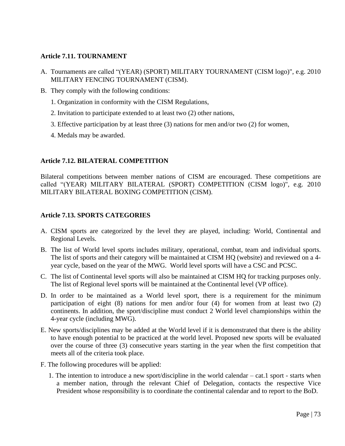### **Article 7.11. TOURNAMENT**

- A. Tournaments are called "(YEAR) (SPORT) MILITARY TOURNAMENT (CISM logo)", e.g. 2010 MILITARY FENCING TOURNAMENT (CISM).
- B. They comply with the following conditions:
	- 1. Organization in conformity with the CISM Regulations,
	- 2. Invitation to participate extended to at least two (2) other nations,
	- 3. Effective participation by at least three (3) nations for men and/or two (2) for women,
	- 4. Medals may be awarded.

### **Article 7.12. BILATERAL COMPETITION**

Bilateral competitions between member nations of CISM are encouraged. These competitions are called "(YEAR) MILITARY BILATERAL (SPORT) COMPETITION (CISM logo)", e.g. 2010 MILITARY BILATERAL BOXING COMPETITION (CISM).

### **Article 7.13. SPORTS CATEGORIES**

- A. CISM sports are categorized by the level they are played, including: World, Continental and Regional Levels.
- B. The list of World level sports includes military, operational, combat, team and individual sports. The list of sports and their category will be maintained at CISM HQ (website) and reviewed on a 4year cycle, based on the year of the MWG. World level sports will have a CSC and PCSC.
- C. The list of Continental level sports will also be maintained at CISM HQ for tracking purposes only. The list of Regional level sports will be maintained at the Continental level (VP office).
- D. In order to be maintained as a World level sport, there is a requirement for the minimum participation of eight (8) nations for men and/or four (4) for women from at least two (2) continents. In addition, the sport/discipline must conduct 2 World level championships within the 4-year cycle (including MWG).
- E. New sports/disciplines may be added at the World level if it is demonstrated that there is the ability to have enough potential to be practiced at the world level. Proposed new sports will be evaluated over the course of three (3) consecutive years starting in the year when the first competition that meets all of the criteria took place.
- F. The following procedures will be applied:
	- 1. The intention to introduce a new sport/discipline in the world calendar cat.1 sport starts when a member nation, through the relevant Chief of Delegation, contacts the respective Vice President whose responsibility is to coordinate the continental calendar and to report to the BoD.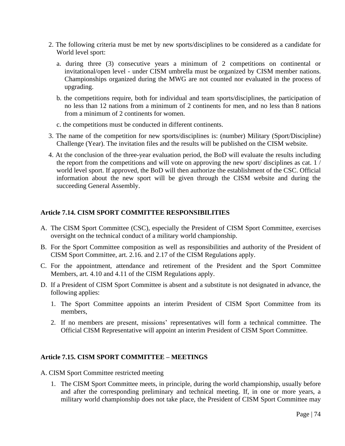- 2. The following criteria must be met by new sports/disciplines to be considered as a candidate for World level sport:
	- a. during three (3) consecutive years a minimum of 2 competitions on continental or invitational/open level - under CISM umbrella must be organized by CISM member nations. Championships organized during the MWG are not counted nor evaluated in the process of upgrading.
	- b. the competitions require, both for individual and team sports/disciplines, the participation of no less than 12 nations from a minimum of 2 continents for men, and no less than 8 nations from a minimum of 2 continents for women.
	- c. the competitions must be conducted in different continents.
- 3. The name of the competition for new sports/disciplines is: (number) Military (Sport/Discipline) Challenge (Year). The invitation files and the results will be published on the CISM website.
- 4. At the conclusion of the three-year evaluation period, the BoD will evaluate the results including the report from the competitions and will vote on approving the new sport/ disciplines as cat. 1 / world level sport. If approved, the BoD will then authorize the establishment of the CSC. Official information about the new sport will be given through the CISM website and during the succeeding General Assembly.

#### **Article 7.14. CISM SPORT COMMITTEE RESPONSIBILITIES**

- A. The CISM Sport Committee (CSC), especially the President of CISM Sport Committee, exercises oversight on the technical conduct of a military world championship.
- B. For the Sport Committee composition as well as responsibilities and authority of the President of CISM Sport Committee, art. 2.16. and 2.17 of the CISM Regulations apply.
- C. For the appointment, attendance and retirement of the President and the Sport Committee Members, art. 4.10 and 4.11 of the CISM Regulations apply.
- D. If a President of CISM Sport Committee is absent and a substitute is not designated in advance, the following applies:
	- 1. The Sport Committee appoints an interim President of CISM Sport Committee from its members,
	- 2. If no members are present, missions' representatives will form a technical committee. The Official CISM Representative will appoint an interim President of CISM Sport Committee.

#### **Article 7.15. CISM SPORT COMMITTEE – MEETINGS**

A. CISM Sport Committee restricted meeting

1. The CISM Sport Committee meets, in principle, during the world championship, usually before and after the corresponding preliminary and technical meeting. If, in one or more years, a military world championship does not take place, the President of CISM Sport Committee may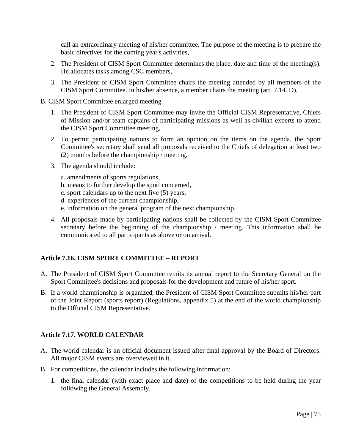call an extraordinary meeting of his/her committee. The purpose of the meeting is to prepare the basic directives for the coming year's activities,

- 2. The President of CISM Sport Committee determines the place, date and time of the meeting(s). He allocates tasks among CSC members,
- 3. The President of CISM Sport Committee chairs the meeting attended by all members of the CISM Sport Committee. In his/her absence, a member chairs the meeting (art. 7.14. D).
- B. CISM Sport Committee enlarged meeting
	- 1. The President of CISM Sport Committee may invite the Official CISM Representative, Chiefs of Mission and/or team captains of participating missions as well as civilian experts to attend the CISM Sport Committee meeting,
	- 2. To permit participating nations to form an opinion on the items on the agenda, the Sport Committee's secretary shall send all proposals received to the Chiefs of delegation at least two (2) months before the championship / meeting,
	- 3. The agenda should include:
		- a. amendments of sports regulations,
		- b. means to further develop the sport concerned,
		- c. sport calendars up to the next five (5) years,
		- d. experiences of the current championship,
		- e. information on the general program of the next championship.
	- 4. All proposals made by participating nations shall be collected by the CISM Sport Committee secretary before the beginning of the championship / meeting. This information shall be communicated to all participants as above or on arrival.

### **Article 7.16. CISM SPORT COMMITTEE – REPORT**

- A. The President of CISM Sport Committee remits its annual report to the Secretary General on the Sport Committee's decisions and proposals for the development and future of his/her sport.
- B. If a world championship is organized, the President of CISM Sport Committee submits his/her part of the Joint Report (sports report) (Regulations, appendix 5) at the end of the world championship to the Official CISM Representative.

#### **Article 7.17. WORLD CALENDAR**

- A. The world calendar is an official document issued after final approval by the Board of Directors. All major CISM events are overviewed in it.
- B. For competitions, the calendar includes the following information:
	- 1. the final calendar (with exact place and date) of the competitions to be held during the year following the General Assembly,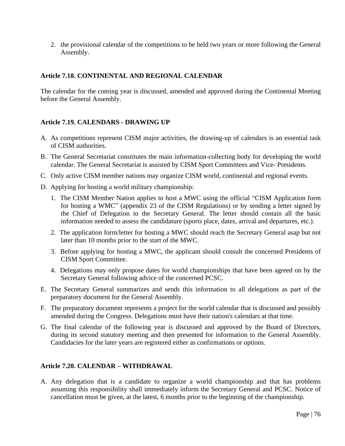2. the provisional calendar of the competitions to be held two years or more following the General Assembly.

### **Article 7.18. CONTINENTAL AND REGIONAL CALENDAR**

The calendar for the coming year is discussed, amended and approved during the Continental Meeting before the General Assembly.

### **Article 7.19. CALENDARS - DRAWING UP**

- A. As competitions represent CISM major activities, the drawing-up of calendars is an essential task of CISM authorities.
- B. The General Secretariat constitutes the main information-collecting body for developing the world calendar. The General Secretariat is assisted by CISM Sport Committees and Vice- Presidents.
- C. Only active CISM member nations may organize CISM world, continental and regional events.
- D. Applying for hosting a world military championship:
	- 1. The CISM Member Nation applies to host a MWC using the official "CISM Application form for hosting a WMC" (appendix 23 of the CISM Regulations) or by sending a letter signed by the Chief of Delegation to the Secretary General. The letter should contain all the basic information needed to assess the candidature (sports place, dates, arrival and departures, etc.).
	- 2. The application form/letter for hosting a MWC should reach the Secretary General asap but not later than 10 months prior to the start of the MWC.
	- 3. Before applying for hosting a MWC, the applicant should consult the concerned Presidents of CISM Sport Committee.
	- 4. Delegations may only propose dates for world championships that have been agreed on by the Secretary General following advice of the concerned PCSC.
- E. The Secretary General summarizes and sends this information to all delegations as part of the preparatory document for the General Assembly.
- F. The preparatory document represents a project for the world calendar that is discussed and possibly amended during the Congress. Delegations must have their nation's calendars at that time.
- G. The final calendar of the following year is discussed and approved by the Board of Directors, during its second statutory meeting and then presented for information to the General Assembly. Candidacies for the later years are registered either as confirmations or options.

### **Article 7.20. CALENDAR – WITHDRAWAL**

A. Any delegation that is a candidate to organize a world championship and that has problems assuming this responsibility shall immediately inform the Secretary General and PCSC. Notice of cancellation must be given, at the latest, 6 months prior to the beginning of the championship.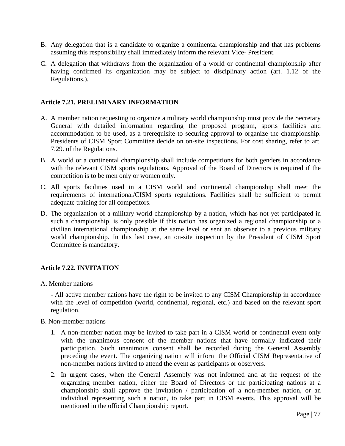- B. Any delegation that is a candidate to organize a continental championship and that has problems assuming this responsibility shall immediately inform the relevant Vice- President.
- C. A delegation that withdraws from the organization of a world or continental championship after having confirmed its organization may be subject to disciplinary action (art. 1.12 of the Regulations.).

### **Article 7.21. PRELIMINARY INFORMATION**

- A. A member nation requesting to organize a military world championship must provide the Secretary General with detailed information regarding the proposed program, sports facilities and accommodation to be used, as a prerequisite to securing approval to organize the championship. Presidents of CISM Sport Committee decide on on-site inspections. For cost sharing, refer to art. 7.29. of the Regulations.
- B. A world or a continental championship shall include competitions for both genders in accordance with the relevant CISM sports regulations. Approval of the Board of Directors is required if the competition is to be men only or women only.
- C. All sports facilities used in a CISM world and continental championship shall meet the requirements of international/CISM sports regulations. Facilities shall be sufficient to permit adequate training for all competitors.
- D. The organization of a military world championship by a nation, which has not yet participated in such a championship, is only possible if this nation has organized a regional championship or a civilian international championship at the same level or sent an observer to a previous military world championship. In this last case, an on-site inspection by the President of CISM Sport Committee is mandatory.

### **Article 7.22. INVITATION**

A. Member nations

- All active member nations have the right to be invited to any CISM Championship in accordance with the level of competition (world, continental, regional, etc.) and based on the relevant sport regulation.

- B. Non-member nations
	- 1. A non-member nation may be invited to take part in a CISM world or continental event only with the unanimous consent of the member nations that have formally indicated their participation. Such unanimous consent shall be recorded during the General Assembly preceding the event. The organizing nation will inform the Official CISM Representative of non-member nations invited to attend the event as participants or observers.
	- 2. In urgent cases, when the General Assembly was not informed and at the request of the organizing member nation, either the Board of Directors or the participating nations at a championship shall approve the invitation / participation of a non-member nation, or an individual representing such a nation, to take part in CISM events. This approval will be mentioned in the official Championship report.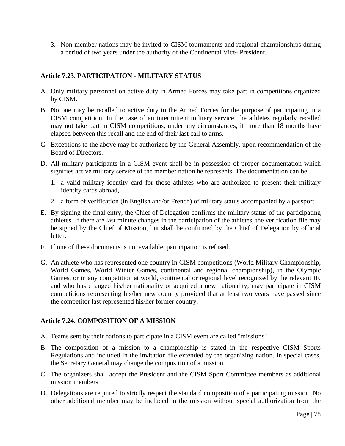3. Non-member nations may be invited to CISM tournaments and regional championships during a period of two years under the authority of the Continental Vice- President.

## **Article 7.23. PARTICIPATION - MILITARY STATUS**

- A. Only military personnel on active duty in Armed Forces may take part in competitions organized by CISM.
- B. No one may be recalled to active duty in the Armed Forces for the purpose of participating in a CISM competition. In the case of an intermittent military service, the athletes regularly recalled may not take part in CISM competitions, under any circumstances, if more than 18 months have elapsed between this recall and the end of their last call to arms.
- C. Exceptions to the above may be authorized by the General Assembly, upon recommendation of the Board of Directors.
- D. All military participants in a CISM event shall be in possession of proper documentation which signifies active military service of the member nation he represents. The documentation can be:
	- 1. a valid military identity card for those athletes who are authorized to present their military identity cards abroad,
	- 2. a form of verification (in English and/or French) of military status accompanied by a passport.
- E. By signing the final entry, the Chief of Delegation confirms the military status of the participating athletes. If there are last minute changes in the participation of the athletes, the verification file may be signed by the Chief of Mission, but shall be confirmed by the Chief of Delegation by official letter.
- F. If one of these documents is not available, participation is refused.
- G. An athlete who has represented one country in CISM competitions (World Military Championship, World Games, World Winter Games, continental and regional championship), in the Olympic Games, or in any competition at world, continental or regional level recognized by the relevant IF, and who has changed his/her nationality or acquired a new nationality, may participate in CISM competitions representing his/her new country provided that at least two years have passed since the competitor last represented his/her former country.

### **Article 7.24. COMPOSITION OF A MISSION**

- A. Teams sent by their nations to participate in a CISM event are called "missions".
- B. The composition of a mission to a championship is stated in the respective CISM Sports Regulations and included in the invitation file extended by the organizing nation. In special cases, the Secretary General may change the composition of a mission.
- C. The organizers shall accept the President and the CISM Sport Committee members as additional mission members.
- D. Delegations are required to strictly respect the standard composition of a participating mission. No other additional member may be included in the mission without special authorization from the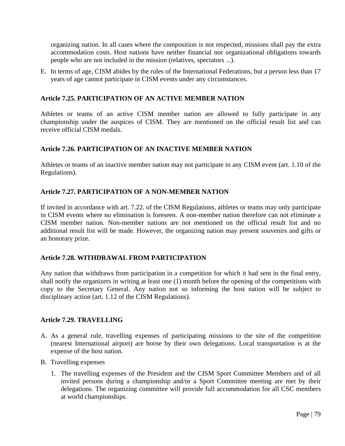organizing nation. In all cases where the composition is not respected, missions shall pay the extra accommodation costs. Host nations have neither financial nor organizational obligations towards people who are not included in the mission (relatives, spectators ...).

E. In terms of age, CISM abides by the rules of the International Federations, but a person less than 17 years of age cannot participate in CISM events under any circumstances.

### **Article 7.25. PARTICIPATION OF AN ACTIVE MEMBER NATION**

Athletes or teams of an active CISM member nation are allowed to fully participate in any championship under the auspices of CISM. They are mentioned on the official result list and can receive official CISM medals.

### **Article 7.26. PARTICIPATION OF AN INACTIVE MEMBER NATION**

Athletes or teams of an inactive member nation may not participate in any CISM event (art. 1.10 of the Regulations).

### **Article 7.27. PARTICIPATION OF A NON-MEMBER NATION**

If invited in accordance with art. 7.22. of the CISM Regulations, athletes or teams may only participate in CISM events where no elimination is foreseen. A non-member nation therefore can not eliminate a CISM member nation. Non-member nations are not mentioned on the official result list and no additional result list will be made. However, the organizing nation may present souvenirs and gifts or an honorary prize.

#### **Article 7.28. WITHDRAWAL FROM PARTICIPATION**

Any nation that withdraws from participation in a competition for which it had sent in the final entry, shall notify the organizers in writing at least one (1) month before the opening of the competitions with copy to the Secretary General. Any nation not so informing the host nation will be subject to disciplinary action (art. 1.12 of the CISM Regulations).

#### **Article 7.29. TRAVELLING**

- A. As a general rule, travelling expenses of participating missions to the site of the competition (nearest International airport) are borne by their own delegations. Local transportation is at the expense of the host nation.
- B. Travelling expenses
	- 1. The travelling expenses of the President and the CISM Sport Committee Members and of all invited persons during a championship and/or a Sport Committee meeting are met by their delegations. The organizing committee will provide full accommodation for all CSC members at world championships.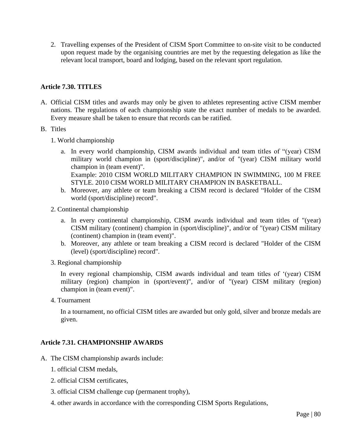2. Travelling expenses of the President of CISM Sport Committee to on-site visit to be conducted upon request made by the organising countries are met by the requesting delegation as like the relevant local transport, board and lodging, based on the relevant sport regulation.

### **Article 7.30. TITLES**

- A. Official CISM titles and awards may only be given to athletes representing active CISM member nations. The regulations of each championship state the exact number of medals to be awarded. Every measure shall be taken to ensure that records can be ratified.
- B. Titles
	- 1. World championship
		- a. In every world championship, CISM awards individual and team titles of "(year) CISM military world champion in (sport/discipline)", and/or of "(year) CISM military world champion in (team event)". Example: 2010 CISM WORLD MILITARY CHAMPION IN SWIMMING, 100 M FREE STYLE. 2010 CISM WORLD MILITARY CHAMPION IN BASKETBALL.
		- b. Moreover, any athlete or team breaking a CISM record is declared "Holder of the CISM world (sport/discipline) record".
	- 2. Continental championship
		- a. In every continental championship, CISM awards individual and team titles of "(year) CISM military (continent) champion in (sport/discipline)", and/or of "(year) CISM military (continent) champion in (team event)".
		- b. Moreover, any athlete or team breaking a CISM record is declared "Holder of the CISM (level) (sport/discipline) record".
	- 3. Regional championship

In every regional championship, CISM awards individual and team titles of '(year) CISM military (region) champion in (sport/event)", and/or of "(year) CISM military (region) champion in (team event)".

4. Tournament

In a tournament, no official CISM titles are awarded but only gold, silver and bronze medals are given.

#### **Article 7.31. CHAMPIONSHIP AWARDS**

- A. The CISM championship awards include:
	- 1. official CISM medals,
	- 2. official CISM certificates,
	- 3. official CISM challenge cup (permanent trophy),
	- 4. other awards in accordance with the corresponding CISM Sports Regulations,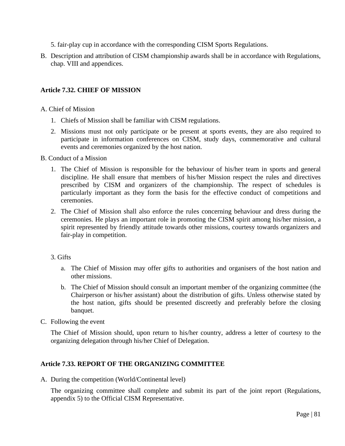- 5. fair-play cup in accordance with the corresponding CISM Sports Regulations.
- B. Description and attribution of CISM championship awards shall be in accordance with Regulations, chap. VIII and appendices.

## **Article 7.32. CHIEF OF MISSION**

### A. Chief of Mission

- 1. Chiefs of Mission shall be familiar with CISM regulations.
- 2. Missions must not only participate or be present at sports events, they are also required to participate in information conferences on CISM, study days, commemorative and cultural events and ceremonies organized by the host nation.
- B. Conduct of a Mission
	- 1. The Chief of Mission is responsible for the behaviour of his/her team in sports and general discipline. He shall ensure that members of his/her Mission respect the rules and directives prescribed by CISM and organizers of the championship. The respect of schedules is particularly important as they form the basis for the effective conduct of competitions and ceremonies.
	- 2. The Chief of Mission shall also enforce the rules concerning behaviour and dress during the ceremonies. He plays an important role in promoting the CISM spirit among his/her mission, a spirit represented by friendly attitude towards other missions, courtesy towards organizers and fair-play in competition.

#### 3. Gifts

- a. The Chief of Mission may offer gifts to authorities and organisers of the host nation and other missions.
- b. The Chief of Mission should consult an important member of the organizing committee (the Chairperson or his/her assistant) about the distribution of gifts. Unless otherwise stated by the host nation, gifts should be presented discreetly and preferably before the closing banquet.
- C. Following the event

The Chief of Mission should, upon return to his/her country, address a letter of courtesy to the organizing delegation through his/her Chief of Delegation.

### **Article 7.33. REPORT OF THE ORGANIZING COMMITTEE**

A. During the competition (World/Continental level)

The organizing committee shall complete and submit its part of the joint report (Regulations, appendix 5) to the Official CISM Representative.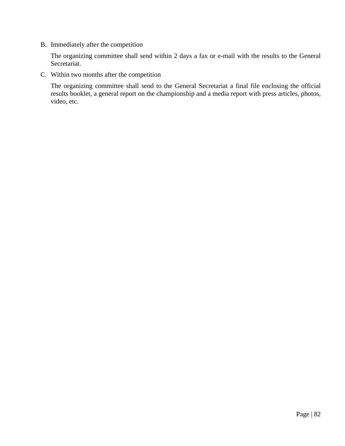B. Immediately after the competition

The organizing committee shall send within 2 days a fax or e-mail with the results to the General Secretariat.

C. Within two months after the competition

The organizing committee shall send to the General Secretariat a final file enclosing the official results booklet, a general report on the championship and a media report with press articles, photos, video, etc.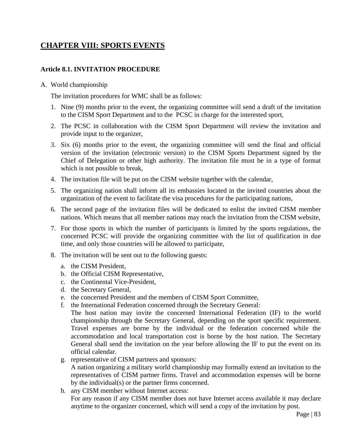# **CHAPTER VIII: SPORTS EVENTS**

### **Article 8.1. INVITATION PROCEDURE**

A. World championship

The invitation procedures for WMC shall be as follows:

- 1. Nine (9) months prior to the event, the organizing committee will send a draft of the invitation to the CISM Sport Department and to the PCSC in charge for the interested sport,
- 2. The PCSC in collaboration with the CISM Sport Department will review the invitation and provide input to the organizer,
- 3. Six (6) months prior to the event, the organizing committee will send the final and official version of the invitation (electronic version) to the CISM Sports Department signed by the Chief of Delegation or other high authority. The invitation file must be in a type of format which is not possible to break,
- 4. The invitation file will be put on the CISM website together with the calendar,
- 5. The organizing nation shall inform all its embassies located in the invited countries about the organization of the event to facilitate the visa procedures for the participating nations,
- 6. The second page of the invitation files will be dedicated to enlist the invited CISM member nations. Which means that all member nations may reach the invitation from the CISM website,
- 7. For those sports in which the number of participants is limited by the sports regulations, the concerned PCSC will provide the organizing committee with the list of qualification in due time, and only those countries will be allowed to participate,
- 8. The invitation will be sent out to the following guests:
	- a. the CISM President,
	- b. the Official CISM Representative,
	- c. the Continental Vice-President,
	- d. the Secretary General,
	- e. the concerned President and the members of CISM Sport Committee,
	- f. the International Federation concerned through the Secretary General:
	- The host nation may invite the concerned International Federation (IF) to the world championship through the Secretary General, depending on the sport specific requirement. Travel expenses are borne by the individual or the federation concerned while the accommodation and local transportation cost is borne by the host nation. The Secretary General shall send the invitation on the year before allowing the IF to put the event on its official calendar.
	- g. representative of CISM partners and sponsors:
		- A nation organizing a military world championship may formally extend an invitation to the representatives of CISM partner firms. Travel and accommodation expenses will be borne by the individual(s) or the partner firms concerned.
	- h. any CISM member without Internet access:

For any reason if any CISM member does not have Internet access available it may declare anytime to the organizer concerned, which will send a copy of the invitation by post.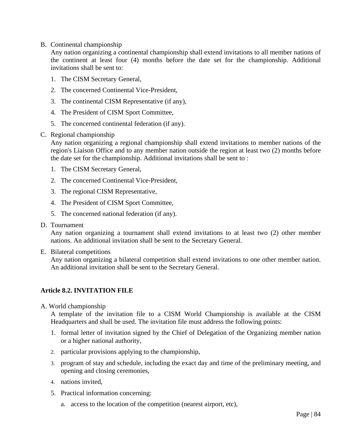B. Continental championship

Any nation organizing a continental championship shall extend invitations to all member nations of the continent at least four (4) months before the date set for the championship. Additional invitations shall be sent to:

- 1. The CISM Secretary General,
- 2. The concerned Continental Vice-President,
- 3. The continental CISM Representative (if any),
- 4. The President of CISM Sport Committee,
- 5. The concerned continental federation (if any).
- C. Regional championship

Any nation organizing a regional championship shall extend invitations to member nations of the region's Liaison Office and to any member nation outside the region at least two (2) months before the date set for the championship. Additional invitations shall be sent to :

- 1. The CISM Secretary General,
- 2. The concerned Continental Vice-President,
- 3. The regional CISM Representative,
- 4. The President of CISM Sport Committee,
- 5. The concerned national federation (if any).
- D. Tournament

Any nation organizing a tournament shall extend invitations to at least two (2) other member nations. An additional invitation shall be sent to the Secretary General.

E. Bilateral competitions

Any nation organizing a bilateral competition shall extend invitations to one other member nation. An additional invitation shall be sent to the Secretary General.

### **Article 8.2. INVITATION FILE**

A. World championship

A template of the invitation file to a CISM World Championship is available at the CISM Headquarters and shall be used. The invitation file must address the following points:

- 1. formal letter of invitation signed by the Chief of Delegation of the Organizing member nation or a higher national authority,
- 2. particular provisions applying to the championship,
- 3. program of stay and schedule, including the exact day and time of the preliminary meeting, and opening and closing ceremonies,
- 4. nations invited,
- 5. Practical information concerning:
	- a. access to the location of the competition (nearest airport, etc),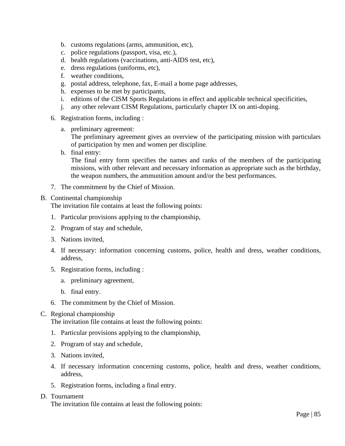- b. customs regulations (arms, ammunition, etc),
- c. police regulations (passport, visa, etc.),
- d. health regulations (vaccinations, anti-AIDS test, etc),
- e. dress regulations (uniforms, etc),
- f. weather conditions,
- g. postal address, telephone, fax, E-mail a home page addresses,
- h. expenses to be met by participants,
- i. editions of the CISM Sports Regulations in effect and applicable technical specificities,
- j. any other relevant CISM Regulations, particularly chapter IX on anti-doping.
- 6. Registration forms, including :
	- a. preliminary agreement:

The preliminary agreement gives an overview of the participating mission with particulars of participation by men and women per discipline.

b. final entry:

The final entry form specifies the names and ranks of the members of the participating missions, with other relevant and necessary information as appropriate such as the birthday, the weapon numbers, the ammunition amount and/or the best performances.

7. The commitment by the Chief of Mission.

#### B. Continental championship

The invitation file contains at least the following points:

- 1. Particular provisions applying to the championship,
- 2. Program of stay and schedule,
- 3. Nations invited,
- 4. If necessary: information concerning customs, police, health and dress, weather conditions, address,
- 5. Registration forms, including :
	- a. preliminary agreement,
	- b. final entry.
- 6. The commitment by the Chief of Mission.

#### C. Regional championship

The invitation file contains at least the following points:

- 1. Particular provisions applying to the championship,
- 2. Program of stay and schedule,
- 3. Nations invited,
- 4. If necessary information concerning customs, police, health and dress, weather conditions, address,
- 5. Registration forms, including a final entry.

#### D. Tournament

The invitation file contains at least the following points: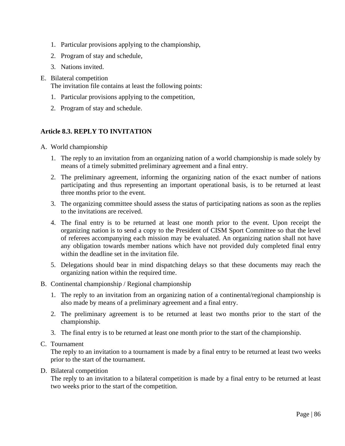- 1. Particular provisions applying to the championship,
- 2. Program of stay and schedule,
- 3. Nations invited.
- E. Bilateral competition

The invitation file contains at least the following points:

- 1. Particular provisions applying to the competition,
- 2. Program of stay and schedule.

# **Article 8.3. REPLY TO INVITATION**

- A. World championship
	- 1. The reply to an invitation from an organizing nation of a world championship is made solely by means of a timely submitted preliminary agreement and a final entry.
	- 2. The preliminary agreement, informing the organizing nation of the exact number of nations participating and thus representing an important operational basis, is to be returned at least three months prior to the event.
	- 3. The organizing committee should assess the status of participating nations as soon as the replies to the invitations are received.
	- 4. The final entry is to be returned at least one month prior to the event. Upon receipt the organizing nation is to send a copy to the President of CISM Sport Committee so that the level of referees accompanying each mission may be evaluated. An organizing nation shall not have any obligation towards member nations which have not provided duly completed final entry within the deadline set in the invitation file.
	- 5. Delegations should bear in mind dispatching delays so that these documents may reach the organizing nation within the required time.
- B. Continental championship / Regional championship
	- 1. The reply to an invitation from an organizing nation of a continental/regional championship is also made by means of a preliminary agreement and a final entry.
	- 2. The preliminary agreement is to be returned at least two months prior to the start of the championship.
	- 3. The final entry is to be returned at least one month prior to the start of the championship.
- C. Tournament

The reply to an invitation to a tournament is made by a final entry to be returned at least two weeks prior to the start of the tournament.

D. Bilateral competition

The reply to an invitation to a bilateral competition is made by a final entry to be returned at least two weeks prior to the start of the competition.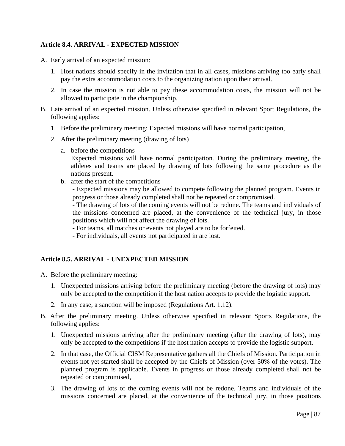### **Article 8.4. ARRIVAL - EXPECTED MISSION**

- A. Early arrival of an expected mission:
	- 1. Host nations should specify in the invitation that in all cases, missions arriving too early shall pay the extra accommodation costs to the organizing nation upon their arrival.
	- 2. In case the mission is not able to pay these accommodation costs, the mission will not be allowed to participate in the championship.
- B. Late arrival of an expected mission. Unless otherwise specified in relevant Sport Regulations, the following applies:
	- 1. Before the preliminary meeting: Expected missions will have normal participation,
	- 2. After the preliminary meeting (drawing of lots)
		- a. before the competitions

Expected missions will have normal participation. During the preliminary meeting, the athletes and teams are placed by drawing of lots following the same procedure as the nations present.

b. after the start of the competitions

- Expected missions may be allowed to compete following the planned program. Events in progress or those already completed shall not be repeated or compromised.

- The drawing of lots of the coming events will not be redone. The teams and individuals of the missions concerned are placed, at the convenience of the technical jury, in those positions which will not affect the drawing of lots.

- For teams, all matches or events not played are to be forfeited.
- For individuals, all events not participated in are lost.

#### **Article 8.5. ARRIVAL - UNEXPECTED MISSION**

- A. Before the preliminary meeting:
	- 1. Unexpected missions arriving before the preliminary meeting (before the drawing of lots) may only be accepted to the competition if the host nation accepts to provide the logistic support.
	- 2. In any case, a sanction will be imposed (Regulations Art. 1.12).
- B. After the preliminary meeting. Unless otherwise specified in relevant Sports Regulations, the following applies:
	- 1. Unexpected missions arriving after the preliminary meeting (after the drawing of lots), may only be accepted to the competitions if the host nation accepts to provide the logistic support,
	- 2. In that case, the Official CISM Representative gathers all the Chiefs of Mission. Participation in events not yet started shall be accepted by the Chiefs of Mission (over 50% of the votes). The planned program is applicable. Events in progress or those already completed shall not be repeated or compromised,
	- 3. The drawing of lots of the coming events will not be redone. Teams and individuals of the missions concerned are placed, at the convenience of the technical jury, in those positions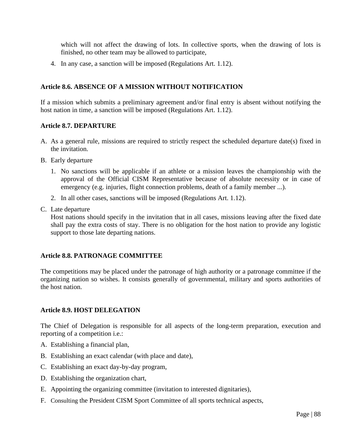which will not affect the drawing of lots. In collective sports, when the drawing of lots is finished, no other team may be allowed to participate,

4. In any case, a sanction will be imposed (Regulations Art. 1.12).

### **Article 8.6. ABSENCE OF A MISSION WITHOUT NOTIFICATION**

If a mission which submits a preliminary agreement and/or final entry is absent without notifying the host nation in time, a sanction will be imposed (Regulations Art. 1.12).

#### **Article 8.7. DEPARTURE**

- A. As a general rule, missions are required to strictly respect the scheduled departure date(s) fixed in the invitation.
- B. Early departure
	- 1. No sanctions will be applicable if an athlete or a mission leaves the championship with the approval of the Official CISM Representative because of absolute necessity or in case of emergency (e.g. injuries, flight connection problems, death of a family member ...).
	- 2. In all other cases, sanctions will be imposed (Regulations Art. 1.12).
- C. Late departure

Host nations should specify in the invitation that in all cases, missions leaving after the fixed date shall pay the extra costs of stay. There is no obligation for the host nation to provide any logistic support to those late departing nations.

#### **Article 8.8. PATRONAGE COMMITTEE**

The competitions may be placed under the patronage of high authority or a patronage committee if the organizing nation so wishes. It consists generally of governmental, military and sports authorities of the host nation.

#### **Article 8.9. HOST DELEGATION**

The Chief of Delegation is responsible for all aspects of the long-term preparation, execution and reporting of a competition i.e.:

- A. Establishing a financial plan,
- B. Establishing an exact calendar (with place and date),
- C. Establishing an exact day-by-day program,
- D. Establishing the organization chart,
- E. Appointing the organizing committee (invitation to interested dignitaries),
- F. Consulting the President CISM Sport Committee of all sports technical aspects,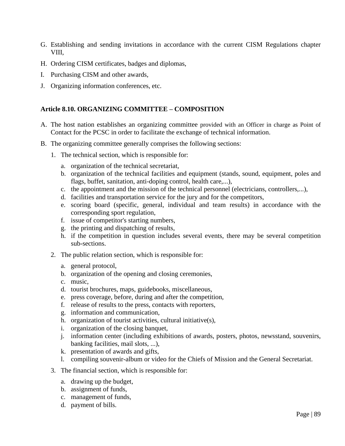- G. Establishing and sending invitations in accordance with the current CISM Regulations chapter VIII,
- H. Ordering CISM certificates, badges and diplomas,
- I. Purchasing CISM and other awards,
- J. Organizing information conferences, etc.

### **Article 8.10. ORGANIZING COMMITTEE – COMPOSITION**

- A. The host nation establishes an organizing committee provided with an Officer in charge as Point of Contact for the PCSC in order to facilitate the exchange of technical information.
- B. The organizing committee generally comprises the following sections:
	- 1. The technical section, which is responsible for:
		- a. organization of the technical secretariat,
		- b. organization of the technical facilities and equipment (stands, sound, equipment, poles and flags, buffet, sanitation, anti-doping control, health care,...),
		- c. the appointment and the mission of the technical personnel (electricians, controllers,...),
		- d. facilities and transportation service for the jury and for the competitors,
		- e. scoring board (specific, general, individual and team results) in accordance with the corresponding sport regulation,
		- f. issue of competitor's starting numbers,
		- g. the printing and dispatching of results,
		- h. if the competition in question includes several events, there may be several competition sub-sections.
	- 2. The public relation section, which is responsible for:
		- a. general protocol,
		- b. organization of the opening and closing ceremonies,
		- c. music,
		- d. tourist brochures, maps, guidebooks, miscellaneous,
		- e. press coverage, before, during and after the competition,
		- f. release of results to the press, contacts with reporters,
		- g. information and communication,
		- h. organization of tourist activities, cultural initiative(s),
		- i. organization of the closing banquet,
		- j. information center (including exhibitions of awards, posters, photos, newsstand, souvenirs, banking facilities, mail slots, ...),
		- k. presentation of awards and gifts,
		- l. compiling souvenir-album or video for the Chiefs of Mission and the General Secretariat.
	- 3. The financial section, which is responsible for:
		- a. drawing up the budget,
		- b. assignment of funds,
		- c. management of funds,
		- d. payment of bills.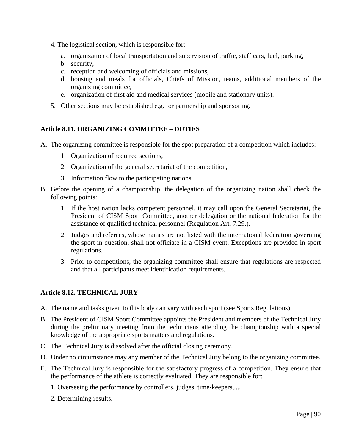- 4. The logistical section, which is responsible for:
	- a. organization of local transportation and supervision of traffic, staff cars, fuel, parking,
	- b. security,
	- c. reception and welcoming of officials and missions,
	- d. housing and meals for officials, Chiefs of Mission, teams, additional members of the organizing committee,
	- e. organization of first aid and medical services (mobile and stationary units).
- 5. Other sections may be established e.g. for partnership and sponsoring.

## **Article 8.11. ORGANIZING COMMITTEE – DUTIES**

- A. The organizing committee is responsible for the spot preparation of a competition which includes:
	- 1. Organization of required sections,
	- 2. Organization of the general secretariat of the competition,
	- 3. Information flow to the participating nations.
- B. Before the opening of a championship, the delegation of the organizing nation shall check the following points:
	- 1. If the host nation lacks competent personnel, it may call upon the General Secretariat, the President of CISM Sport Committee, another delegation or the national federation for the assistance of qualified technical personnel (Regulation Art. 7.29.).
	- 2. Judges and referees, whose names are not listed with the international federation governing the sport in question, shall not officiate in a CISM event. Exceptions are provided in sport regulations.
	- 3. Prior to competitions, the organizing committee shall ensure that regulations are respected and that all participants meet identification requirements.

# **Article 8.12. TECHNICAL JURY**

- A. The name and tasks given to this body can vary with each sport (see Sports Regulations).
- B. The President of CISM Sport Committee appoints the President and members of the Technical Jury during the preliminary meeting from the technicians attending the championship with a special knowledge of the appropriate sports matters and regulations.
- C. The Technical Jury is dissolved after the official closing ceremony.
- D. Under no circumstance may any member of the Technical Jury belong to the organizing committee.
- E. The Technical Jury is responsible for the satisfactory progress of a competition. They ensure that the performance of the athlete is correctly evaluated. They are responsible for:
	- 1. Overseeing the performance by controllers, judges, time-keepers,...,
	- 2. Determining results.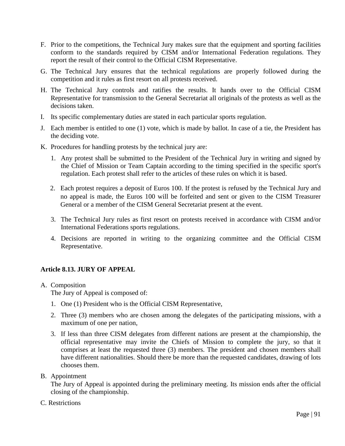- F. Prior to the competitions, the Technical Jury makes sure that the equipment and sporting facilities conform to the standards required by CISM and/or International Federation regulations. They report the result of their control to the Official CISM Representative.
- G. The Technical Jury ensures that the technical regulations are properly followed during the competition and it rules as first resort on all protests received.
- H. The Technical Jury controls and ratifies the results. It hands over to the Official CISM Representative for transmission to the General Secretariat all originals of the protests as well as the decisions taken.
- I. Its specific complementary duties are stated in each particular sports regulation.
- J. Each member is entitled to one (1) vote, which is made by ballot. In case of a tie, the President has the deciding vote.
- K. Procedures for handling protests by the technical jury are:
	- 1. Any protest shall be submitted to the President of the Technical Jury in writing and signed by the Chief of Mission or Team Captain according to the timing specified in the specific sport's regulation. Each protest shall refer to the articles of these rules on which it is based.
	- 2. Each protest requires a deposit of Euros 100. If the protest is refused by the Technical Jury and no appeal is made, the Euros 100 will be forfeited and sent or given to the CISM Treasurer General or a member of the CISM General Secretariat present at the event.
	- 3. The Technical Jury rules as first resort on protests received in accordance with CISM and/or International Federations sports regulations.
	- 4. Decisions are reported in writing to the organizing committee and the Official CISM Representative.

# **Article 8.13. JURY OF APPEAL**

A. Composition

The Jury of Appeal is composed of:

- 1. One (1) President who is the Official CISM Representative,
- 2. Three (3) members who are chosen among the delegates of the participating missions, with a maximum of one per nation,
- 3. If less than three CISM delegates from different nations are present at the championship, the official representative may invite the Chiefs of Mission to complete the jury, so that it comprises at least the requested three (3) members. The president and chosen members shall have different nationalities. Should there be more than the requested candidates, drawing of lots chooses them.
- B. Appointment

The Jury of Appeal is appointed during the preliminary meeting. Its mission ends after the official closing of the championship.

C. Restrictions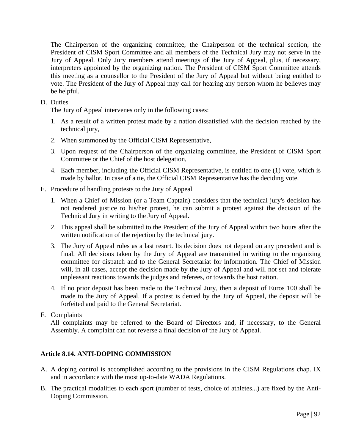The Chairperson of the organizing committee, the Chairperson of the technical section, the President of CISM Sport Committee and all members of the Technical Jury may not serve in the Jury of Appeal. Only Jury members attend meetings of the Jury of Appeal, plus, if necessary, interpreters appointed by the organizing nation. The President of CISM Sport Committee attends this meeting as a counsellor to the President of the Jury of Appeal but without being entitled to vote. The President of the Jury of Appeal may call for hearing any person whom he believes may be helpful.

### D. Duties

The Jury of Appeal intervenes only in the following cases:

- 1. As a result of a written protest made by a nation dissatisfied with the decision reached by the technical jury,
- 2. When summoned by the Official CISM Representative,
- 3. Upon request of the Chairperson of the organizing committee, the President of CISM Sport Committee or the Chief of the host delegation,
- 4. Each member, including the Official CISM Representative, is entitled to one (1) vote, which is made by ballot. In case of a tie, the Official CISM Representative has the deciding vote.
- E. Procedure of handling protests to the Jury of Appeal
	- 1. When a Chief of Mission (or a Team Captain) considers that the technical jury's decision has not rendered justice to his/her protest, he can submit a protest against the decision of the Technical Jury in writing to the Jury of Appeal.
	- 2. This appeal shall be submitted to the President of the Jury of Appeal within two hours after the written notification of the rejection by the technical jury.
	- 3. The Jury of Appeal rules as a last resort. Its decision does not depend on any precedent and is final. All decisions taken by the Jury of Appeal are transmitted in writing to the organizing committee for dispatch and to the General Secretariat for information. The Chief of Mission will, in all cases, accept the decision made by the Jury of Appeal and will not set and tolerate unpleasant reactions towards the judges and referees, or towards the host nation.
	- 4. If no prior deposit has been made to the Technical Jury, then a deposit of Euros 100 shall be made to the Jury of Appeal. If a protest is denied by the Jury of Appeal, the deposit will be forfeited and paid to the General Secretariat.
- F. Complaints

All complaints may be referred to the Board of Directors and, if necessary, to the General Assembly. A complaint can not reverse a final decision of the Jury of Appeal.

### **Article 8.14. ANTI-DOPING COMMISSION**

- A. A doping control is accomplished according to the provisions in the CISM Regulations chap. IX and in accordance with the most up-to-date WADA Regulations.
- B. The practical modalities to each sport (number of tests, choice of athletes...) are fixed by the Anti-Doping Commission.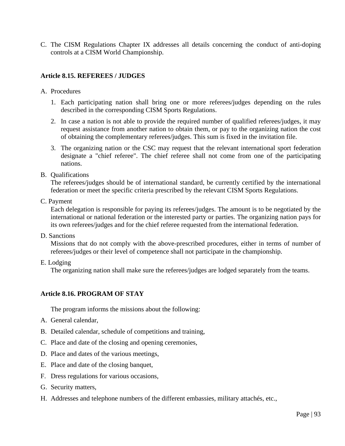C. The CISM Regulations Chapter IX addresses all details concerning the conduct of anti-doping controls at a CISM World Championship.

### **Article 8.15. REFEREES / JUDGES**

- A. Procedures
	- 1. Each participating nation shall bring one or more referees/judges depending on the rules described in the corresponding CISM Sports Regulations.
	- 2. In case a nation is not able to provide the required number of qualified referees/judges, it may request assistance from another nation to obtain them, or pay to the organizing nation the cost of obtaining the complementary referees/judges. This sum is fixed in the invitation file.
	- 3. The organizing nation or the CSC may request that the relevant international sport federation designate a "chief referee". The chief referee shall not come from one of the participating nations.
- B. Qualifications

The referees/judges should be of international standard, be currently certified by the international federation or meet the specific criteria prescribed by the relevant CISM Sports Regulations.

C. Payment

Each delegation is responsible for paying its referees/judges. The amount is to be negotiated by the international or national federation or the interested party or parties. The organizing nation pays for its own referees/judges and for the chief referee requested from the international federation.

D. Sanctions

Missions that do not comply with the above-prescribed procedures, either in terms of number of referees/judges or their level of competence shall not participate in the championship.

E. Lodging

The organizing nation shall make sure the referees/judges are lodged separately from the teams.

#### **Article 8.16. PROGRAM OF STAY**

The program informs the missions about the following:

- A. General calendar,
- B. Detailed calendar, schedule of competitions and training,
- C. Place and date of the closing and opening ceremonies,
- D. Place and dates of the various meetings,
- E. Place and date of the closing banquet,
- F. Dress regulations for various occasions,
- G. Security matters,
- H. Addresses and telephone numbers of the different embassies, military attachés, etc.,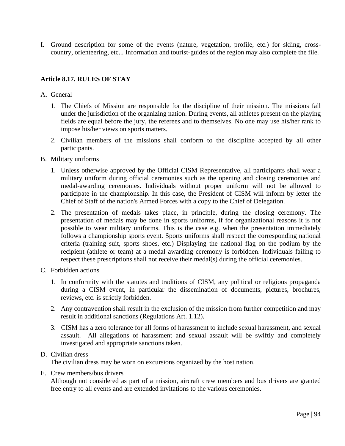I. Ground description for some of the events (nature, vegetation, profile, etc.) for skiing, crosscountry, orienteering, etc... Information and tourist-guides of the region may also complete the file.

### **Article 8.17. RULES OF STAY**

- A. General
	- 1. The Chiefs of Mission are responsible for the discipline of their mission. The missions fall under the jurisdiction of the organizing nation. During events, all athletes present on the playing fields are equal before the jury, the referees and to themselves. No one may use his/her rank to impose his/her views on sports matters.
	- 2. Civilian members of the missions shall conform to the discipline accepted by all other participants.
- B. Military uniforms
	- 1. Unless otherwise approved by the Official CISM Representative, all participants shall wear a military uniform during official ceremonies such as the opening and closing ceremonies and medal-awarding ceremonies. Individuals without proper uniform will not be allowed to participate in the championship. In this case, the President of CISM will inform by letter the Chief of Staff of the nation's Armed Forces with a copy to the Chief of Delegation.
	- 2. The presentation of medals takes place, in principle, during the closing ceremony. The presentation of medals may be done in sports uniforms, if for organizational reasons it is not possible to wear military uniforms. This is the case e.g. when the presentation immediately follows a championship sports event. Sports uniforms shall respect the corresponding national criteria (training suit, sports shoes, etc.) Displaying the national flag on the podium by the recipient (athlete or team) at a medal awarding ceremony is forbidden. Individuals failing to respect these prescriptions shall not receive their medal(s) during the official ceremonies.
- C. Forbidden actions
	- 1. In conformity with the statutes and traditions of CISM, any political or religious propaganda during a CISM event, in particular the dissemination of documents, pictures, brochures, reviews, etc. is strictly forbidden.
	- 2. Any contravention shall result in the exclusion of the mission from further competition and may result in additional sanctions (Regulations Art. 1.12).
	- 3. CISM has a zero tolerance for all forms of harassment to include sexual harassment, and sexual assault. All allegations of harassment and sexual assault will be swiftly and completely investigated and appropriate sanctions taken.

#### D. Civilian dress

The civilian dress may be worn on excursions organized by the host nation.

E. Crew members/bus drivers

Although not considered as part of a mission, aircraft crew members and bus drivers are granted free entry to all events and are extended invitations to the various ceremonies.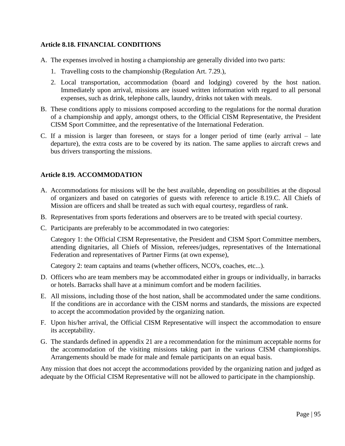## **Article 8.18. FINANCIAL CONDITIONS**

- A. The expenses involved in hosting a championship are generally divided into two parts:
	- 1. Travelling costs to the championship (Regulation Art. 7.29.),
	- 2. Local transportation, accommodation (board and lodging) covered by the host nation. Immediately upon arrival, missions are issued written information with regard to all personal expenses, such as drink, telephone calls, laundry, drinks not taken with meals.
- B. These conditions apply to missions composed according to the regulations for the normal duration of a championship and apply, amongst others, to the Official CISM Representative, the President CISM Sport Committee, and the representative of the International Federation.
- C. If a mission is larger than foreseen, or stays for a longer period of time (early arrival late departure), the extra costs are to be covered by its nation. The same applies to aircraft crews and bus drivers transporting the missions.

## **Article 8.19. ACCOMMODATION**

- A. Accommodations for missions will be the best available, depending on possibilities at the disposal of organizers and based on categories of guests with reference to article 8.19.C. All Chiefs of Mission are officers and shall be treated as such with equal courtesy, regardless of rank.
- B. Representatives from sports federations and observers are to be treated with special courtesy.
- C. Participants are preferably to be accommodated in two categories:

Category 1: the Official CISM Representative, the President and CISM Sport Committee members, attending dignitaries, all Chiefs of Mission, referees/judges, representatives of the International Federation and representatives of Partner Firms (at own expense),

Category 2: team captains and teams (whether officers, NCO's, coaches, etc...).

- D. Officers who are team members may be accommodated either in groups or individually, in barracks or hotels. Barracks shall have at a minimum comfort and be modern facilities.
- E. All missions, including those of the host nation, shall be accommodated under the same conditions. If the conditions are in accordance with the CISM norms and standards, the missions are expected to accept the accommodation provided by the organizing nation.
- F. Upon his/her arrival, the Official CISM Representative will inspect the accommodation to ensure its acceptability.
- G. The standards defined in appendix 21 are a recommendation for the minimum acceptable norms for the accommodation of the visiting missions taking part in the various CISM championships. Arrangements should be made for male and female participants on an equal basis.

Any mission that does not accept the accommodations provided by the organizing nation and judged as adequate by the Official CISM Representative will not be allowed to participate in the championship.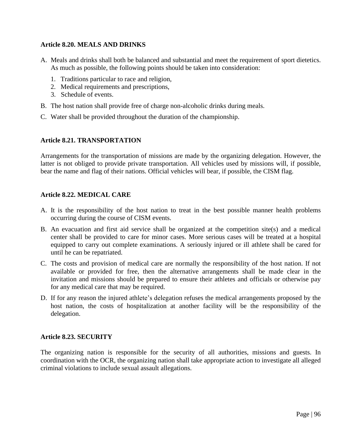### **Article 8.20. MEALS AND DRINKS**

- A. Meals and drinks shall both be balanced and substantial and meet the requirement of sport dietetics. As much as possible, the following points should be taken into consideration:
	- 1. Traditions particular to race and religion,
	- 2. Medical requirements and prescriptions,
	- 3. Schedule of events.
- B. The host nation shall provide free of charge non-alcoholic drinks during meals.
- C. Water shall be provided throughout the duration of the championship.

#### **Article 8.21. TRANSPORTATION**

Arrangements for the transportation of missions are made by the organizing delegation. However, the latter is not obliged to provide private transportation. All vehicles used by missions will, if possible, bear the name and flag of their nations. Official vehicles will bear, if possible, the CISM flag.

#### **Article 8.22. MEDICAL CARE**

- A. It is the responsibility of the host nation to treat in the best possible manner health problems occurring during the course of CISM events.
- B. An evacuation and first aid service shall be organized at the competition site(s) and a medical center shall be provided to care for minor cases. More serious cases will be treated at a hospital equipped to carry out complete examinations. A seriously injured or ill athlete shall be cared for until he can be repatriated.
- C. The costs and provision of medical care are normally the responsibility of the host nation. If not available or provided for free, then the alternative arrangements shall be made clear in the invitation and missions should be prepared to ensure their athletes and officials or otherwise pay for any medical care that may be required.
- D. If for any reason the injured athlete's delegation refuses the medical arrangements proposed by the host nation, the costs of hospitalization at another facility will be the responsibility of the delegation.

#### **Article 8.23. SECURITY**

The organizing nation is responsible for the security of all authorities, missions and guests. In coordination with the OCR, the organizing nation shall take appropriate action to investigate all alleged criminal violations to include sexual assault allegations.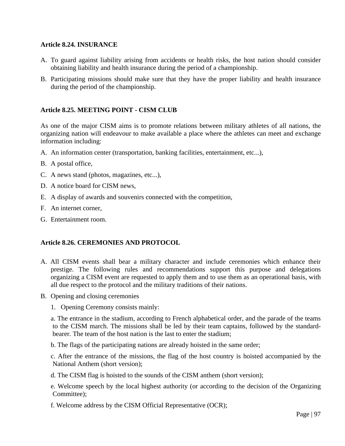### **Article 8.24. INSURANCE**

- A. To guard against liability arising from accidents or health risks, the host nation should consider obtaining liability and health insurance during the period of a championship.
- B. Participating missions should make sure that they have the proper liability and health insurance during the period of the championship.

### **Article 8.25. MEETING POINT - CISM CLUB**

As one of the major CISM aims is to promote relations between military athletes of all nations, the organizing nation will endeavour to make available a place where the athletes can meet and exchange information including:

- A. An information center (transportation, banking facilities, entertainment, etc...),
- B. A postal office,
- C. A news stand (photos, magazines, etc...),
- D. A notice board for CISM news,
- E. A display of awards and souvenirs connected with the competition,
- F. An internet corner,
- G. Entertainment room.

#### **Article 8.26. CEREMONIES AND PROTOCOL**

- A. All CISM events shall bear a military character and include ceremonies which enhance their prestige. The following rules and recommendations support this purpose and delegations organizing a CISM event are requested to apply them and to use them as an operational basis, with all due respect to the protocol and the military traditions of their nations.
- B. Opening and closing ceremonies
	- 1. Opening Ceremony consists mainly:

a. The entrance in the stadium, according to French alphabetical order, and the parade of the teams to the CISM march. The missions shall be led by their team captains, followed by the standardbearer. The team of the host nation is the last to enter the stadium;

b. The flags of the participating nations are already hoisted in the same order;

c. After the entrance of the missions, the flag of the host country is hoisted accompanied by the National Anthem (short version);

d. The CISM flag is hoisted to the sounds of the CISM anthem (short version);

e. Welcome speech by the local highest authority (or according to the decision of the Organizing Committee);

f. Welcome address by the CISM Official Representative (OCR);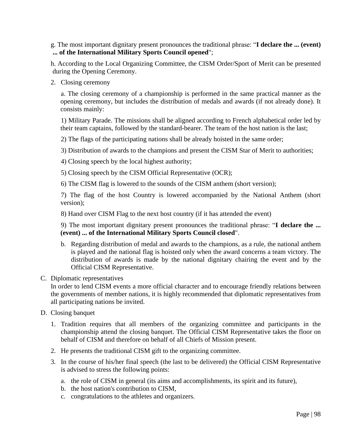g. The most important dignitary present pronounces the traditional phrase: "**I declare the ... (event) ... of the International Military Sports Council opened**";

h. According to the Local Organizing Committee, the CISM Order/Sport of Merit can be presented during the Opening Ceremony.

2. Closing ceremony

a. The closing ceremony of a championship is performed in the same practical manner as the opening ceremony, but includes the distribution of medals and awards (if not already done). It consists mainly:

1) Military Parade. The missions shall be aligned according to French alphabetical order led by their team captains, followed by the standard-bearer. The team of the host nation is the last;

2) The flags of the participating nations shall be already hoisted in the same order;

3) Distribution of awards to the champions and present the CISM Star of Merit to authorities;

4) Closing speech by the local highest authority;

5) Closing speech by the CISM Official Representative (OCR);

6) The CISM flag is lowered to the sounds of the CISM anthem (short version);

7) The flag of the host Country is lowered accompanied by the National Anthem (short version);

8) Hand over CISM Flag to the next host country (if it has attended the event)

9) The most important dignitary present pronounces the traditional phrase: "**I declare the ... (event) ... of the International Military Sports Council closed**".

- b. Regarding distribution of medal and awards to the champions, as a rule, the national anthem is played and the national flag is hoisted only when the award concerns a team victory. The distribution of awards is made by the national dignitary chairing the event and by the Official CISM Representative.
- C. Diplomatic representatives

In order to lend CISM events a more official character and to encourage friendly relations between the governments of member nations, it is highly recommended that diplomatic representatives from all participating nations be invited.

- D. Closing banquet
	- 1. Tradition requires that all members of the organizing committee and participants in the championship attend the closing banquet. The Official CISM Representative takes the floor on behalf of CISM and therefore on behalf of all Chiefs of Mission present.
	- 2. He presents the traditional CISM gift to the organizing committee.
	- 3. In the course of his/her final speech (the last to be delivered) the Official CISM Representative is advised to stress the following points:
		- a. the role of CISM in general (its aims and accomplishments, its spirit and its future),
		- b. the host nation's contribution to CISM,
		- c. congratulations to the athletes and organizers.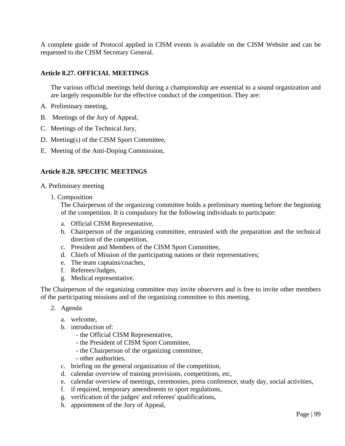A complete guide of Protocol applied in CISM events is available on the CISM Website and can be requested to the CISM Secretary General.

### **Article 8.27. OFFICIAL MEETINGS**

The various official meetings held during a championship are essential to a sound organization and are largely responsible for the effective conduct of the competition. They are:

- A. Preliminary meeting,
- B. Meetings of the Jury of Appeal,
- C. Meetings of the Technical Jury,
- D. Meeting(s) of the CISM Sport Committee,
- E. Meeting of the Anti-Doping Commission,

#### **Article 8.28. SPECIFIC MEETINGS**

- A. Preliminary meeting
	- 1. Composition

The Chairperson of the organizing committee holds a preliminary meeting before the beginning of the competition. It is compulsory for the following individuals to participate:

- a. Official CISM Representative,
- b. Chairperson of the organizing committee, entrusted with the preparation and the technical direction of the competition,
- c. President and Members of the CISM Sport Committee,
- d. Chiefs of Mission of the participating nations or their representatives;
- e. The team captains/coaches,
- f. Referees/Judges,
- g. Medical representative.

The Chairperson of the organizing committee may invite observers and is free to invite other members of the participating missions and of the organizing committee to this meeting.

- 2. Agenda
	- a. welcome,
	- b. introduction of:
		- the Official CISM Representative,
		- the President of CISM Sport Committee,
		- the Chairperson of the organizing committee,
		- other authorities.
	- c. briefing on the general organization of the competition,
	- d. calendar overview of training provisions, competitions, etc,
	- e. calendar overview of meetings, ceremonies, press conference, study day, social activities,
	- f. if required, temporary amendments to sport regulations,
	- g. verification of the judges' and referees' qualifications,
	- h. appointment of the Jury of Appeal,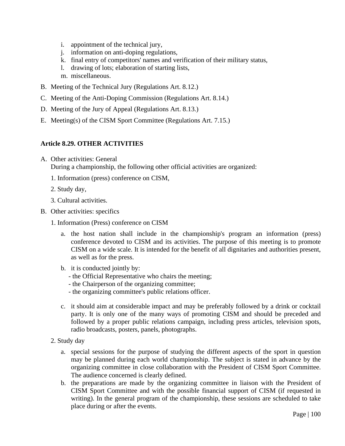- i. appointment of the technical jury,
- j. information on anti-doping regulations,
- k. final entry of competitors' names and verification of their military status,
- l. drawing of lots; elaboration of starting lists,
- m. miscellaneous.
- B. Meeting of the Technical Jury (Regulations Art. 8.12.)
- C. Meeting of the Anti-Doping Commission (Regulations Art. 8.14.)
- D. Meeting of the Jury of Appeal (Regulations Art. 8.13.)
- E. Meeting(s) of the CISM Sport Committee (Regulations Art. 7.15.)

### **Article 8.29. OTHER ACTIVITIES**

- A. Other activities: General During a championship, the following other official activities are organized:
	- 1. Information (press) conference on CISM,
	- 2. Study day,
	- 3. Cultural activities.
- B. Other activities: specifics
	- 1. Information (Press) conference on CISM
		- a. the host nation shall include in the championship's program an information (press) conference devoted to CISM and its activities. The purpose of this meeting is to promote CISM on a wide scale. It is intended for the benefit of all dignitaries and authorities present, as well as for the press.
		- b. it is conducted jointly by:
			- the Official Representative who chairs the meeting;
			- the Chairperson of the organizing committee;
			- the organizing committee's public relations officer.
		- c. it should aim at considerable impact and may be preferably followed by a drink or cocktail party. It is only one of the many ways of promoting CISM and should be preceded and followed by a proper public relations campaign, including press articles, television spots, radio broadcasts, posters, panels, photographs.
	- 2. Study day
		- a. special sessions for the purpose of studying the different aspects of the sport in question may be planned during each world championship. The subject is stated in advance by the organizing committee in close collaboration with the President of CISM Sport Committee. The audience concerned is clearly defined.
		- b. the preparations are made by the organizing committee in liaison with the President of CISM Sport Committee and with the possible financial support of CISM (if requested in writing). In the general program of the championship, these sessions are scheduled to take place during or after the events.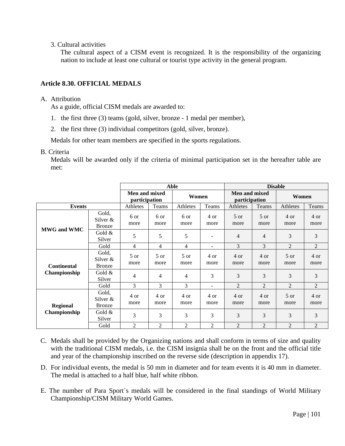3. Cultural activities

The cultural aspect of a CISM event is recognized. It is the responsibility of the organizing nation to include at least one cultural or tourist type activity in the general program.

### **Article 8.30. OFFICIAL MEDALS**

### A. Attribution

As a guide, official CISM medals are awarded to:

- 1. the first three (3) teams (gold, silver, bronze 1 medal per member),
- 2. the first three (3) individual competitors (gold, silver, bronze).

Medals for other team members are specified in the sports regulations.

#### B. Criteria

Medals will be awarded only if the criteria of minimal participation set in the hereafter table are met:

|                                    |                                       | Able                           |                |                |                | <b>Disable</b>                 |                         |                         |                |
|------------------------------------|---------------------------------------|--------------------------------|----------------|----------------|----------------|--------------------------------|-------------------------|-------------------------|----------------|
|                                    |                                       | Men and mixed<br>participation |                | Women          |                | Men and mixed<br>participation |                         | Women                   |                |
| <b>Events</b>                      |                                       | Athletes                       | Teams          | Athletes       | Teams          | Athletes                       | Teams                   | Athletes                | Teams          |
| <b>MWG and WMC</b>                 | Gold,<br>Silver $\&$<br><b>Bronze</b> | 6 or<br>more                   | 6 or<br>more   | 6 or<br>more   | 4 or<br>more   | $5$ or<br>more                 | $5 \text{ or }$<br>more | 4 or<br>more            | 4 or<br>more   |
|                                    | Gold &<br>Silver                      | 5                              | 5              | 5              |                | 4                              | 4                       | 3                       | 3              |
|                                    | Gold                                  | 4                              | 4              | $\overline{4}$ | ٠              | 3                              | 3                       | $\overline{c}$          | 2              |
| <b>Continental</b><br>Championship | Gold,<br>Silver $\&$<br><b>Bronze</b> | 5 or<br>more                   | 5 or<br>more   | 5 or<br>more   | 4 or<br>more   | 4 or<br>more                   | 4 or<br>more            | $5 \text{ or }$<br>more | 4 or<br>more   |
|                                    | Gold $\&$<br>Silver                   | 4                              | 4              | $\overline{4}$ | 3              | 3                              | 3                       | 3                       | 3              |
|                                    | Gold                                  | 3                              | 3              | 3              | -              | $\overline{2}$                 | $\overline{2}$          | $\overline{2}$          | $\overline{2}$ |
| <b>Regional</b><br>Championship    | Gold,<br>Silver $\&$<br><b>Bronze</b> | 4 or<br>more                   | 4 or<br>more   | 4 or<br>more   | 4 or<br>more   | 4 or<br>more                   | 4 or<br>more            | $5$ or<br>more          | 4 or<br>more   |
|                                    | Gold $\&$<br>Silver                   | 3                              | 3              | 3              | 3              | 3                              | 3                       | 3                       | 3              |
|                                    | Gold                                  | $\overline{2}$                 | $\overline{2}$ | $\overline{2}$ | $\overline{2}$ | $\overline{2}$                 | $\overline{2}$          | $\overline{2}$          | $\overline{2}$ |

- C. Medals shall be provided by the Organizing nations and shall conform in terms of size and quality with the traditional CISM medals, i.e. the CISM insignia shall be on the front and the official title and year of the championship inscribed on the reverse side (description in appendix 17).
- D. For individual events, the medal is 50 mm in diameter and for team events it is 40 mm in diameter. The medal is attached to a half blue, half white ribbon.
- E. The number of Para Sport´s medals will be considered in the final standings of World Military Championship/CISM Military World Games.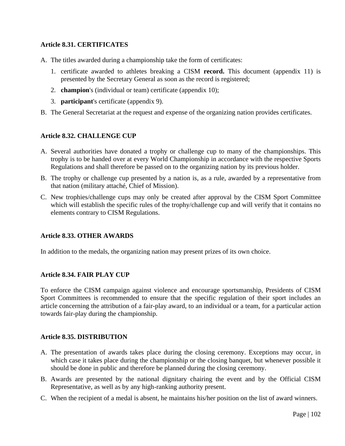### **Article 8.31. CERTIFICATES**

- A. The titles awarded during a championship take the form of certificates:
	- 1. certificate awarded to athletes breaking a CISM **record.** This document (appendix 11) is presented by the Secretary General as soon as the record is registered;
	- 2. **champion**'s (individual or team) certificate (appendix 10);
	- 3. **participant**'s certificate (appendix 9).
- B. The General Secretariat at the request and expense of the organizing nation provides certificates.

#### **Article 8.32. CHALLENGE CUP**

- A. Several authorities have donated a trophy or challenge cup to many of the championships. This trophy is to be handed over at every World Championship in accordance with the respective Sports Regulations and shall therefore be passed on to the organizing nation by its previous holder.
- B. The trophy or challenge cup presented by a nation is, as a rule, awarded by a representative from that nation (military attaché, Chief of Mission).
- C. New trophies/challenge cups may only be created after approval by the CISM Sport Committee which will establish the specific rules of the trophy/challenge cup and will verify that it contains no elements contrary to CISM Regulations.

#### **Article 8.33. OTHER AWARDS**

In addition to the medals, the organizing nation may present prizes of its own choice.

#### **Article 8.34. FAIR PLAY CUP**

To enforce the CISM campaign against violence and encourage sportsmanship, Presidents of CISM Sport Committees is recommended to ensure that the specific regulation of their sport includes an article concerning the attribution of a fair-play award, to an individual or a team, for a particular action towards fair-play during the championship.

#### **Article 8.35. DISTRIBUTION**

- A. The presentation of awards takes place during the closing ceremony. Exceptions may occur, in which case it takes place during the championship or the closing banquet, but whenever possible it should be done in public and therefore be planned during the closing ceremony.
- B. Awards are presented by the national dignitary chairing the event and by the Official CISM Representative, as well as by any high-ranking authority present.
- C. When the recipient of a medal is absent, he maintains his/her position on the list of award winners.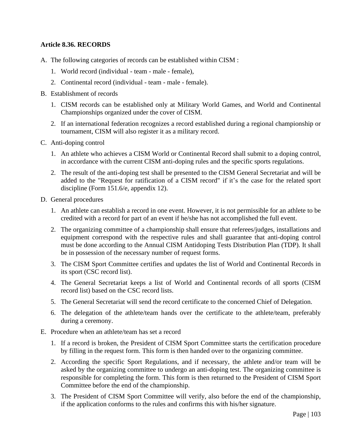### **Article 8.36. RECORDS**

- A. The following categories of records can be established within CISM :
	- 1. World record (individual team male female),
	- 2. Continental record (individual team male female).
- B. Establishment of records
	- 1. CISM records can be established only at Military World Games, and World and Continental Championships organized under the cover of CISM.
	- 2. If an international federation recognizes a record established during a regional championship or tournament, CISM will also register it as a military record.
- C. Anti-doping control
	- 1. An athlete who achieves a CISM World or Continental Record shall submit to a doping control, in accordance with the current CISM anti-doping rules and the specific sports regulations.
	- 2. The result of the anti-doping test shall be presented to the CISM General Secretariat and will be added to the "Request for ratification of a CISM record" if it's the case for the related sport discipline (Form 151.6/e, appendix 12).
- D. General procedures
	- 1. An athlete can establish a record in one event. However, it is not permissible for an athlete to be credited with a record for part of an event if he/she has not accomplished the full event.
	- 2. The organizing committee of a championship shall ensure that referees/judges, installations and equipment correspond with the respective rules and shall guarantee that anti-doping control must be done according to the Annual CISM Antidoping Tests Distribution Plan (TDP). It shall be in possession of the necessary number of request forms.
	- 3. The CISM Sport Committee certifies and updates the list of World and Continental Records in its sport (CSC record list).
	- 4. The General Secretariat keeps a list of World and Continental records of all sports (CISM record list) based on the CSC record lists.
	- 5. The General Secretariat will send the record certificate to the concerned Chief of Delegation.
	- 6. The delegation of the athlete/team hands over the certificate to the athlete/team, preferably during a ceremony.
- E. Procedure when an athlete/team has set a record
	- 1. If a record is broken, the President of CISM Sport Committee starts the certification procedure by filling in the request form. This form is then handed over to the organizing committee.
	- 2. According the specific Sport Regulations, and if necessary, the athlete and/or team will be asked by the organizing committee to undergo an anti-doping test. The organizing committee is responsible for completing the form. This form is then returned to the President of CISM Sport Committee before the end of the championship.
	- 3. The President of CISM Sport Committee will verify, also before the end of the championship, if the application conforms to the rules and confirms this with his/her signature.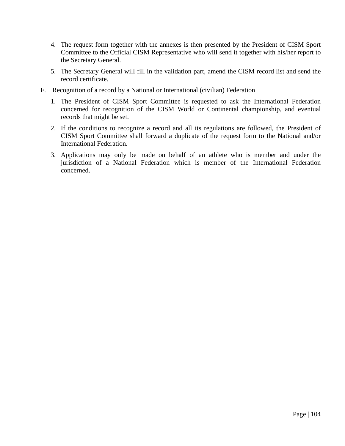- 4. The request form together with the annexes is then presented by the President of CISM Sport Committee to the Official CISM Representative who will send it together with his/her report to the Secretary General.
- 5. The Secretary General will fill in the validation part, amend the CISM record list and send the record certificate.
- F. Recognition of a record by a National or International (civilian) Federation
	- 1. The President of CISM Sport Committee is requested to ask the International Federation concerned for recognition of the CISM World or Continental championship, and eventual records that might be set.
	- 2. If the conditions to recognize a record and all its regulations are followed, the President of CISM Sport Committee shall forward a duplicate of the request form to the National and/or International Federation.
	- 3. Applications may only be made on behalf of an athlete who is member and under the jurisdiction of a National Federation which is member of the International Federation concerned.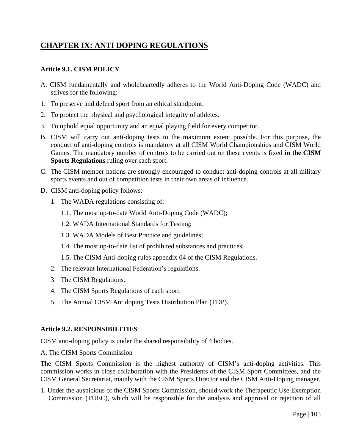# **CHAPTER IX: ANTI DOPING REGULATIONS**

### **Article 9.1. CISM POLICY**

- A. CISM fundamentally and wholeheartedly adheres to the World Anti-Doping Code (WADC) and strives for the following:
- 1. To preserve and defend sport from an ethical standpoint.
- 2. To protect the physical and psychological integrity of athletes.
- 3. To uphold equal opportunity and an equal playing field for every competitor.
- B. CISM will carry out anti-doping tests to the maximum extent possible. For this purpose, the conduct of anti-doping controls is mandatory at all CISM World Championships and CISM World Games. The mandatory number of controls to be carried out on these events is fixed **in the CISM Sports Regulations** ruling over each sport.
- C. The CISM member nations are strongly encouraged to conduct anti-doping controls at all military sports events and out of competition tests in their own areas of influence.
- D. CISM anti-doping policy follows:
	- 1. The WADA regulations consisting of:
		- 1.1. The most up-to-date World Anti-Doping Code (WADC);
		- 1.2. WADA International Standards for Testing;
		- 1.3. WADA Models of Best Practice and guidelines;
		- 1.4. The most up-to-date list of prohibited substances and practices;
		- 1.5. The CISM Anti-doping rules appendix 04 of the CISM Regulations.
	- 2. The relevant International Federation's regulations.
	- 3. The CISM Regulations.
	- 4. The CISM Sports Regulations of each sport.
	- 5. The Annual CISM Antidoping Tests Distribution Plan (TDP).

#### **Article 9.2. RESPONSIBILITIES**

CISM anti-doping policy is under the shared responsibility of 4 bodies.

A. The CISM Sports Commission

The CISM Sports Commission is the highest authority of CISM's anti-doping activities. This commission works in close collaboration with the Presidents of the CISM Sport Committees, and the CISM General Secretariat, mainly with the CISM Sports Director and the CISM Anti-Doping manager.

1. Under the auspicious of the CISM Sports Commission, should work the Therapeutic Use Exemption Commission (TUEC), which will be responsible for the analysis and approval or rejection of all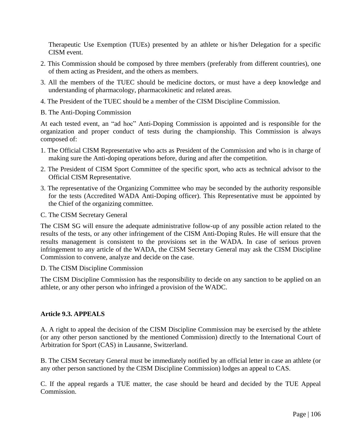Therapeutic Use Exemption (TUEs) presented by an athlete or his/her Delegation for a specific CISM event.

- 2. This Commission should be composed by three members (preferably from different countries), one of them acting as President, and the others as members.
- 3. All the members of the TUEC should be medicine doctors, or must have a deep knowledge and understanding of pharmacology, pharmacokinetic and related areas.
- 4. The President of the TUEC should be a member of the CISM Discipline Commission.
- B. The Anti-Doping Commission

At each tested event, an "ad hoc" Anti-Doping Commission is appointed and is responsible for the organization and proper conduct of tests during the championship. This Commission is always composed of:

- 1. The Official CISM Representative who acts as President of the Commission and who is in charge of making sure the Anti-doping operations before, during and after the competition.
- 2. The President of CISM Sport Committee of the specific sport, who acts as technical advisor to the Official CISM Representative.
- 3. The representative of the Organizing Committee who may be seconded by the authority responsible for the tests (Accredited WADA Anti-Doping officer). This Representative must be appointed by the Chief of the organizing committee.
- C. The CISM Secretary General

The CISM SG will ensure the adequate administrative follow-up of any possible action related to the results of the tests, or any other infringement of the CISM Anti-Doping Rules. He will ensure that the results management is consistent to the provisions set in the WADA. In case of serious proven infringement to any article of the WADA, the CISM Secretary General may ask the CISM Discipline Commission to convene, analyze and decide on the case.

#### D. The CISM Discipline Commission

The CISM Discipline Commission has the responsibility to decide on any sanction to be applied on an athlete, or any other person who infringed a provision of the WADC.

#### **Article 9.3. APPEALS**

A. A right to appeal the decision of the CISM Discipline Commission may be exercised by the athlete (or any other person sanctioned by the mentioned Commission) directly to the International Court of Arbitration for Sport (CAS) in Lausanne, Switzerland.

B. The CISM Secretary General must be immediately notified by an official letter in case an athlete (or any other person sanctioned by the CISM Discipline Commission) lodges an appeal to CAS.

C. If the appeal regards a TUE matter, the case should be heard and decided by the TUE Appeal Commission.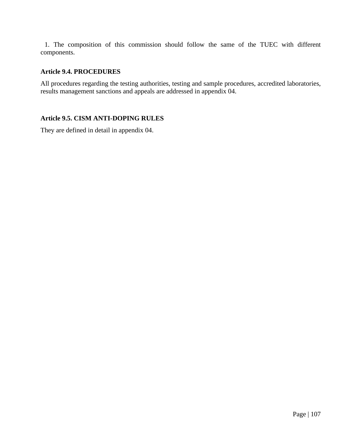1. The composition of this commission should follow the same of the TUEC with different components.

### **Article 9.4. PROCEDURES**

All procedures regarding the testing authorities, testing and sample procedures, accredited laboratories, results management sanctions and appeals are addressed in appendix 04.

### **Article 9.5. CISM ANTI-DOPING RULES**

They are defined in detail in appendix 04.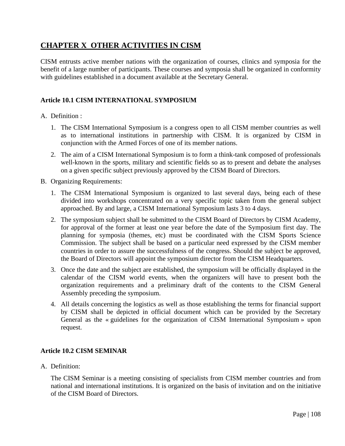# **CHAPTER X OTHER ACTIVITIES IN CISM**

CISM entrusts active member nations with the organization of courses, clinics and symposia for the benefit of a large number of participants. These courses and symposia shall be organized in conformity with guidelines established in a document available at the Secretary General.

### **Article 10.1 CISM INTERNATIONAL SYMPOSIUM**

#### A. Definition :

- 1. The CISM International Symposium is a congress open to all CISM member countries as well as to international institutions in partnership with CISM. It is organized by CISM in conjunction with the Armed Forces of one of its member nations.
- 2. The aim of a CISM International Symposium is to form a think-tank composed of professionals well-known in the sports, military and scientific fields so as to present and debate the analyses on a given specific subject previously approved by the CISM Board of Directors.
- B. Organizing Requirements:
	- 1. The CISM International Symposium is organized to last several days, being each of these divided into workshops concentrated on a very specific topic taken from the general subject approached. By and large, a CISM International Symposium lasts 3 to 4 days.
	- 2. The symposium subject shall be submitted to the CISM Board of Directors by CISM Academy, for approval of the former at least one year before the date of the Symposium first day. The planning for symposia (themes, etc) must be coordinated with the CISM Sports Science Commission. The subject shall be based on a particular need expressed by the CISM member countries in order to assure the successfulness of the congress. Should the subject be approved, the Board of Directors will appoint the symposium director from the CISM Headquarters.
	- 3. Once the date and the subject are established, the symposium will be officially displayed in the calendar of the CISM world events, when the organizers will have to present both the organization requirements and a preliminary draft of the contents to the CISM General Assembly preceding the symposium.
	- 4. All details concerning the logistics as well as those establishing the terms for financial support by CISM shall be depicted in official document which can be provided by the Secretary General as the « guidelines for the organization of CISM International Symposium » upon request.

#### **Article 10.2 CISM SEMINAR**

A. Definition:

The CISM Seminar is a meeting consisting of specialists from CISM member countries and from national and international institutions. It is organized on the basis of invitation and on the initiative of the CISM Board of Directors.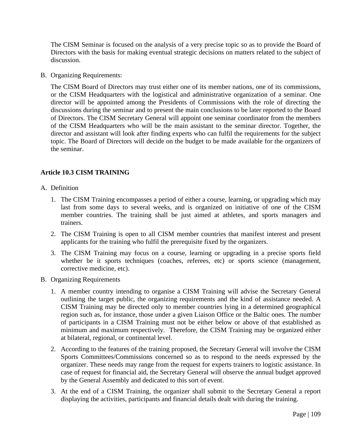The CISM Seminar is focused on the analysis of a very precise topic so as to provide the Board of Directors with the basis for making eventual strategic decisions on matters related to the subject of discussion.

B. Organizing Requirements:

The CISM Board of Directors may trust either one of its member nations, one of its commissions, or the CISM Headquarters with the logistical and administrative organization of a seminar. One director will be appointed among the Presidents of Commissions with the role of directing the discussions during the seminar and to present the main conclusions to be later reported to the Board of Directors. The CISM Secretary General will appoint one seminar coordinator from the members of the CISM Headquarters who will be the main assistant to the seminar director. Together, the director and assistant will look after finding experts who can fulfil the requirements for the subject topic. The Board of Directors will decide on the budget to be made available for the organizers of the seminar.

## **Article 10.3 CISM TRAINING**

- A. Definition
	- 1. The CISM Training encompasses a period of either a course, learning, or upgrading which may last from some days to several weeks, and is organized on initiative of one of the CISM member countries. The training shall be just aimed at athletes, and sports managers and trainers.
	- 2. The CISM Training is open to all CISM member countries that manifest interest and present applicants for the training who fulfil the prerequisite fixed by the organizers.
	- 3. The CISM Training may focus on a course, learning or upgrading in a precise sports field whether be it sports techniques (coaches, referees, etc) or sports science (management, corrective medicine, etc).
- B. Organizing Requirements
	- 1. A member country intending to organise a CISM Training will advise the Secretary General outlining the target public, the organizing requirements and the kind of assistance needed. A CISM Training may be directed only to member countries lying in a determined geographical region such as, for instance, those under a given Liaison Office or the Baltic ones. The number of participants in a CISM Training must not be either below or above of that established as minimum and maximum respectively. Therefore, the CISM Training may be organized either at bilateral, regional, or continental level.
	- 2. According to the features of the training proposed, the Secretary General will involve the CISM Sports Committees/Commissions concerned so as to respond to the needs expressed by the organizer. These needs may range from the request for experts trainers to logistic assistance. In case of request for financial aid, the Secretary General will observe the annual budget approved by the General Assembly and dedicated to this sort of event.
	- 3. At the end of a CISM Training, the organizer shall submit to the Secretary General a report displaying the activities, participants and financial details dealt with during the training.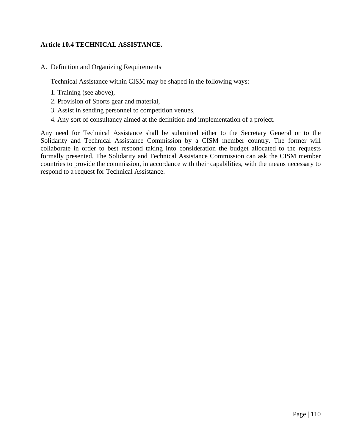## **Article 10.4 TECHNICAL ASSISTANCE.**

A. Definition and Organizing Requirements

Technical Assistance within CISM may be shaped in the following ways:

- 1. Training (see above),
- 2. Provision of Sports gear and material,
- 3. Assist in sending personnel to competition venues,
- 4. Any sort of consultancy aimed at the definition and implementation of a project.

Any need for Technical Assistance shall be submitted either to the Secretary General or to the Solidarity and Technical Assistance Commission by a CISM member country. The former will collaborate in order to best respond taking into consideration the budget allocated to the requests formally presented. The Solidarity and Technical Assistance Commission can ask the CISM member countries to provide the commission, in accordance with their capabilities, with the means necessary to respond to a request for Technical Assistance.